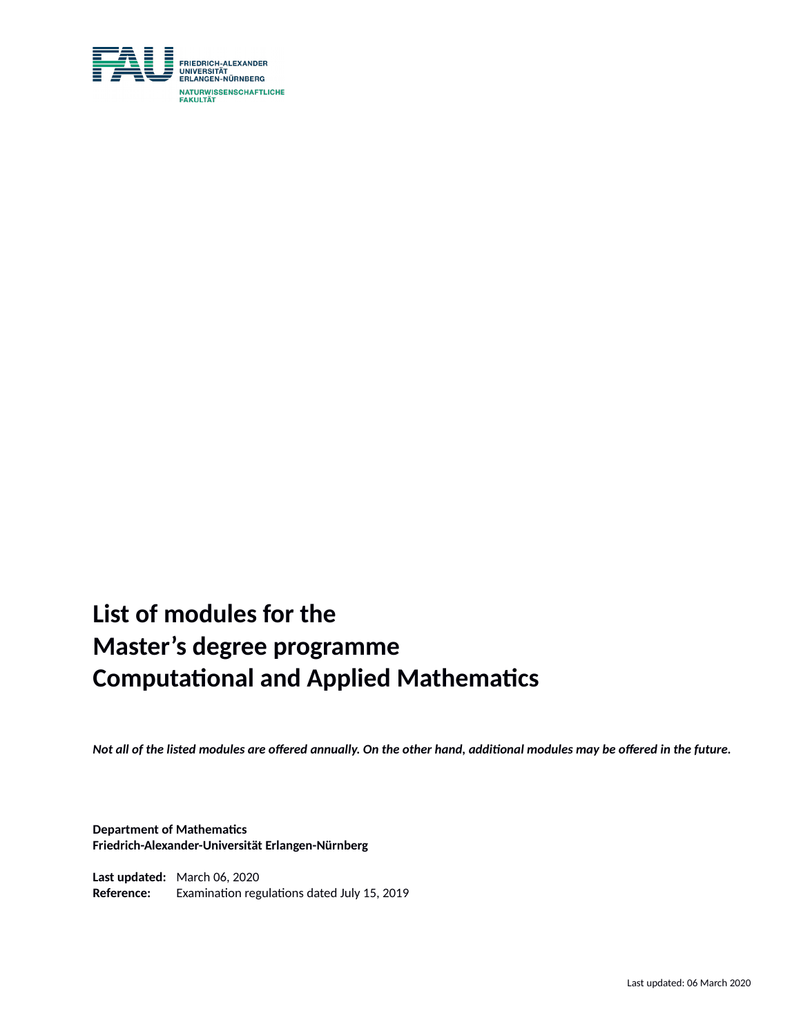

# **List of modules for the Master's degree programme Computational and Applied Mathematics**

*Not all of the listed modules are offered annually. On the other hand, additional modules may be offered in the future.*

#### **Department of Mathematics Friedrich-Alexander-Universität Erlangen-Nürnberg**

**Last updated:** March 06, 2020 **Reference:** Examination regulations dated July 15, 2019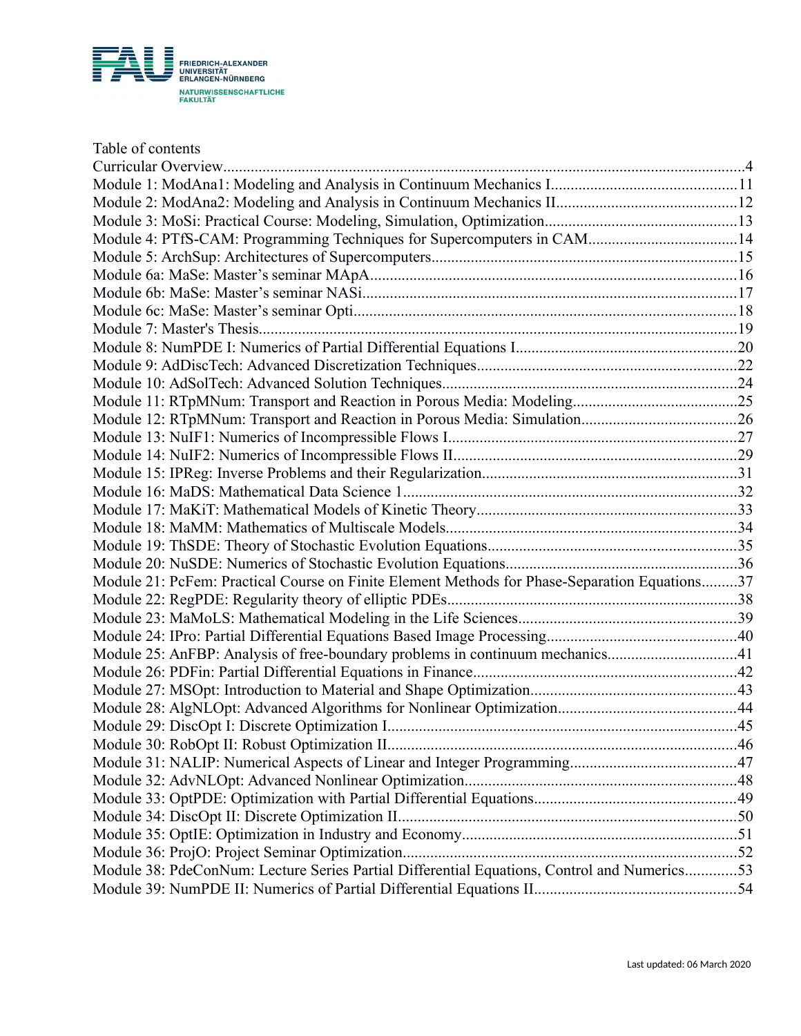

| Table of contents                                                                             |    |
|-----------------------------------------------------------------------------------------------|----|
| Curricular Overview                                                                           |    |
|                                                                                               |    |
|                                                                                               |    |
|                                                                                               |    |
| Module 4: PTfS-CAM: Programming Techniques for Supercomputers in CAM14                        |    |
|                                                                                               |    |
|                                                                                               |    |
|                                                                                               |    |
|                                                                                               |    |
|                                                                                               |    |
|                                                                                               |    |
|                                                                                               |    |
|                                                                                               |    |
|                                                                                               |    |
|                                                                                               |    |
|                                                                                               |    |
|                                                                                               |    |
|                                                                                               |    |
|                                                                                               |    |
|                                                                                               |    |
|                                                                                               |    |
|                                                                                               |    |
|                                                                                               |    |
| Module 21: PcFem: Practical Course on Finite Element Methods for Phase-Separation Equations37 |    |
|                                                                                               |    |
|                                                                                               |    |
|                                                                                               |    |
| Module 25: AnFBP: Analysis of free-boundary problems in continuum mechanics41                 |    |
|                                                                                               |    |
|                                                                                               |    |
|                                                                                               |    |
|                                                                                               | 45 |
|                                                                                               |    |
|                                                                                               |    |
|                                                                                               |    |
|                                                                                               |    |
|                                                                                               |    |
|                                                                                               |    |
|                                                                                               |    |
| Module 38: PdeConNum: Lecture Series Partial Differential Equations, Control and Numerics53   |    |
|                                                                                               |    |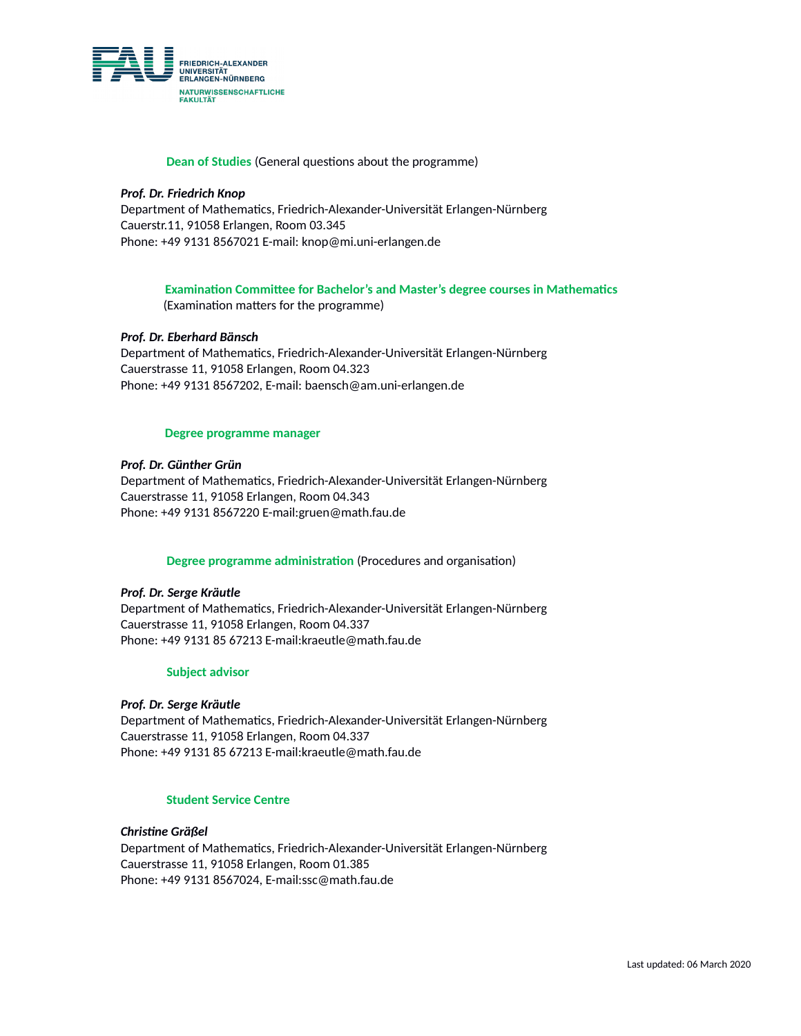

#### **Dean of Studies** (General questions about the programme)

#### *Prof. Dr. Friedrich Knop*

Department of Mathematics, Friedrich-Alexander-Universität Erlangen-Nürnberg Cauerstr.11, 91058 Erlangen, Room 03.345 Phone: +49 9131 8567021 E-mail: knop@mi.uni-erlangen.de

### **Examination Committee for Bachelor's and Master's degree courses in Mathematics**

(Examination matters for the programme)

#### *Prof. Dr. Eberhard Bänsch*

Department of Mathematics, Friedrich-Alexander-Universität Erlangen-Nürnberg Cauerstrasse 11, 91058 Erlangen, Room 04.323 Phone: +49 9131 8567202, E-mail: baensch@am.uni-erlangen.de

#### **Degree programme manager**

#### *Prof. Dr. Günther Grün*

Department of Mathematics, Friedrich-Alexander-Universität Erlangen-Nürnberg Cauerstrasse 11, 91058 Erlangen, Room 04.343 Phone: +49 9131 8567220 E-mail:gruen@math.fau.de

#### **Degree programme administration** (Procedures and organisation)

#### *Prof. Dr. Serge Kräutle*

Department of Mathematics, Friedrich-Alexander-Universität Erlangen-Nürnberg Cauerstrasse 11, 91058 Erlangen, Room 04.337 Phone: +49 9131 85 67213 E-mail:kraeutle@math.fau.de

#### **Subject advisor**

#### *Prof. Dr. Serge Kräutle*

Department of Mathematics, Friedrich-Alexander-Universität Erlangen-Nürnberg Cauerstrasse 11, 91058 Erlangen, Room 04.337 Phone: +49 9131 85 67213 E-mail:kraeutle@math.fau.de

#### **Student Service Centre**

#### *Christine Gräßel*

Department of Mathematics, Friedrich-Alexander-Universität Erlangen-Nürnberg Cauerstrasse 11, 91058 Erlangen, Room 01.385 Phone: +49 9131 8567024, E-mail:ssc@math.fau.de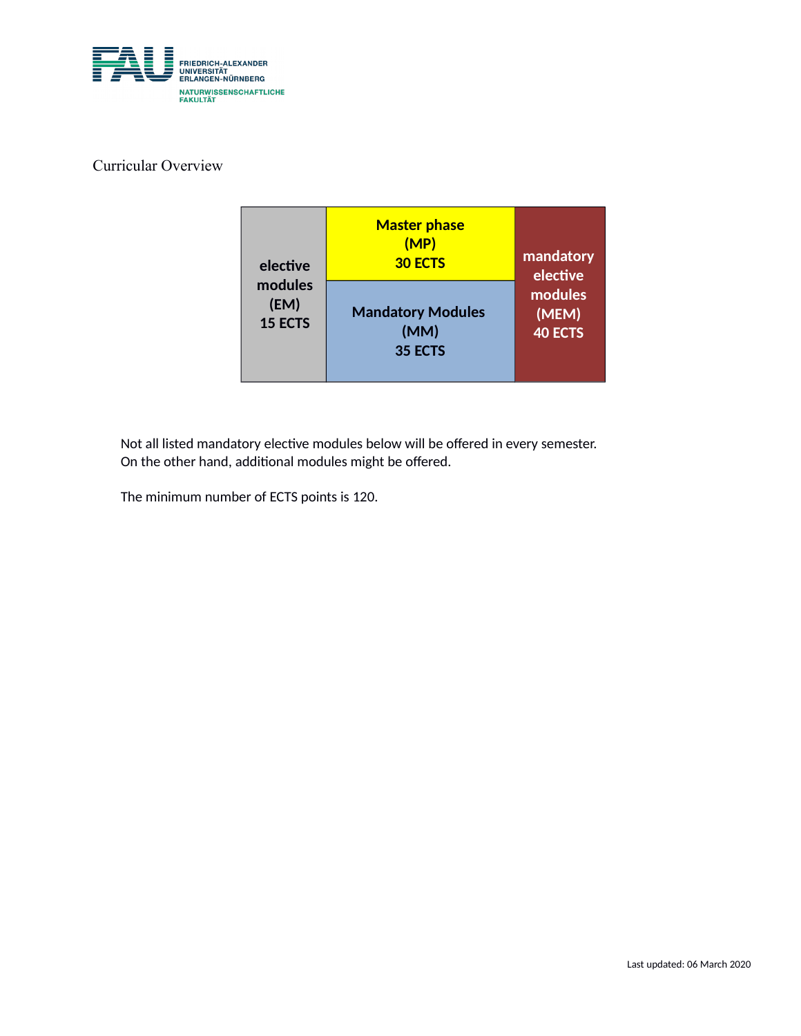

### Curricular Overview

| elective       | <b>Master phase</b><br>(MP)<br><b>30 ECTS</b> | mandatory<br>elective |
|----------------|-----------------------------------------------|-----------------------|
| modules        | <b>Mandatory Modules</b>                      | modules               |
| (EM)           | (MM)                                          | (MEM)                 |
| <b>15 ECTS</b> | 35 ECTS                                       | <b>40 ECTS</b>        |

Not all listed mandatory elective modules below will be offered in every semester. On the other hand, additional modules might be offered.

The minimum number of ECTS points is 120.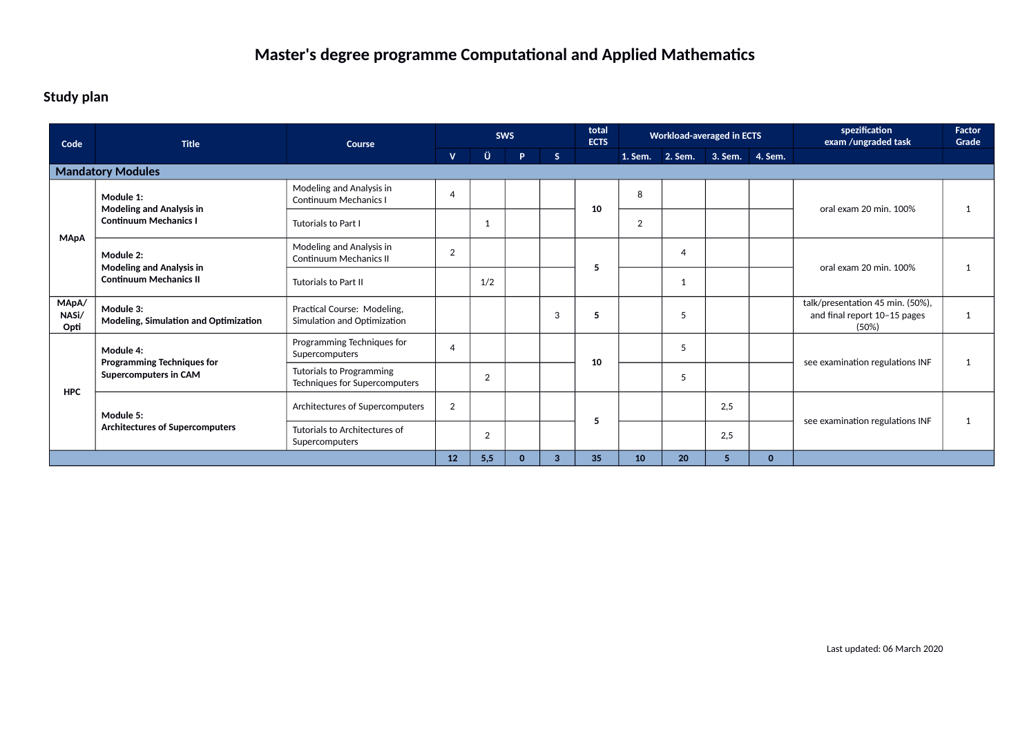### **Study plan**

| Code                   | <b>Title</b>                                                                  | Course                                                     | <b>SWS</b>     |                | total<br><b>ECTS</b> | <b>Workload-averaged in ECTS</b> |    |    |                                 | spezification<br>exam /ungraded task | <b>Factor</b><br>Grade |                                                                           |              |  |
|------------------------|-------------------------------------------------------------------------------|------------------------------------------------------------|----------------|----------------|----------------------|----------------------------------|----|----|---------------------------------|--------------------------------------|------------------------|---------------------------------------------------------------------------|--------------|--|
|                        |                                                                               |                                                            | v.             | Ü              | P.                   | S                                |    |    | 1. Sem. 2. Sem. 3. Sem. 4. Sem. |                                      |                        |                                                                           |              |  |
|                        | <b>Mandatory Modules</b>                                                      |                                                            |                |                |                      |                                  |    |    |                                 |                                      |                        |                                                                           |              |  |
|                        | Module 1:<br><b>Modeling and Analysis in</b>                                  | Modeling and Analysis in<br><b>Continuum Mechanics I</b>   | $\overline{4}$ |                |                      |                                  | 10 | 8  |                                 |                                      |                        | oral exam 20 min. 100%                                                    | $\mathbf{1}$ |  |
| <b>MApA</b>            | <b>Continuum Mechanics I</b>                                                  | Tutorials to Part I                                        |                | -1             |                      |                                  |    | 2  |                                 |                                      |                        |                                                                           |              |  |
|                        | Module 2:<br><b>Modeling and Analysis in</b><br><b>Continuum Mechanics II</b> | Modeling and Analysis in<br><b>Continuum Mechanics II</b>  | 2              |                |                      |                                  | 5  |    | $\overline{4}$                  |                                      |                        | oral exam 20 min. 100%                                                    | 1            |  |
|                        |                                                                               | <b>Tutorials to Part II</b>                                |                | 1/2            |                      |                                  |    |    | 1                               |                                      |                        |                                                                           |              |  |
| MApA/<br>NASi/<br>Opti | Module 3:<br>Modeling, Simulation and Optimization                            | Practical Course: Modeling,<br>Simulation and Optimization |                |                |                      | 3                                | 5  |    | 5                               |                                      |                        | talk/presentation 45 min. (50%),<br>and final report 10-15 pages<br>(50%) | $\mathbf{1}$ |  |
|                        | Module 4:<br><b>Programming Techniques for</b>                                | Programming Techniques for<br>Supercomputers               | $\overline{4}$ |                |                      |                                  |    |    | 5                               |                                      |                        | see examination regulations INF                                           | $\mathbf{1}$ |  |
| <b>HPC</b>             | Supercomputers in CAM                                                         | Tutorials to Programming<br>Techniques for Supercomputers  |                | $\overline{2}$ |                      |                                  | 10 |    |                                 | 5                                    |                        |                                                                           |              |  |
|                        | Module 5:                                                                     | Architectures of Supercomputers                            | $\overline{2}$ |                |                      |                                  | 5  |    |                                 | 2,5                                  |                        | see examination regulations INF                                           |              |  |
|                        | <b>Architectures of Supercomputers</b>                                        | Tutorials to Architectures of<br>Supercomputers            |                | 2              |                      |                                  |    |    |                                 | 2,5                                  |                        |                                                                           | 1            |  |
|                        |                                                                               | 12                                                         | 5,5            | $\bf{0}$       | 3                    | 35                               | 10 | 20 | 5                               | $\mathbf{0}$                         |                        |                                                                           |              |  |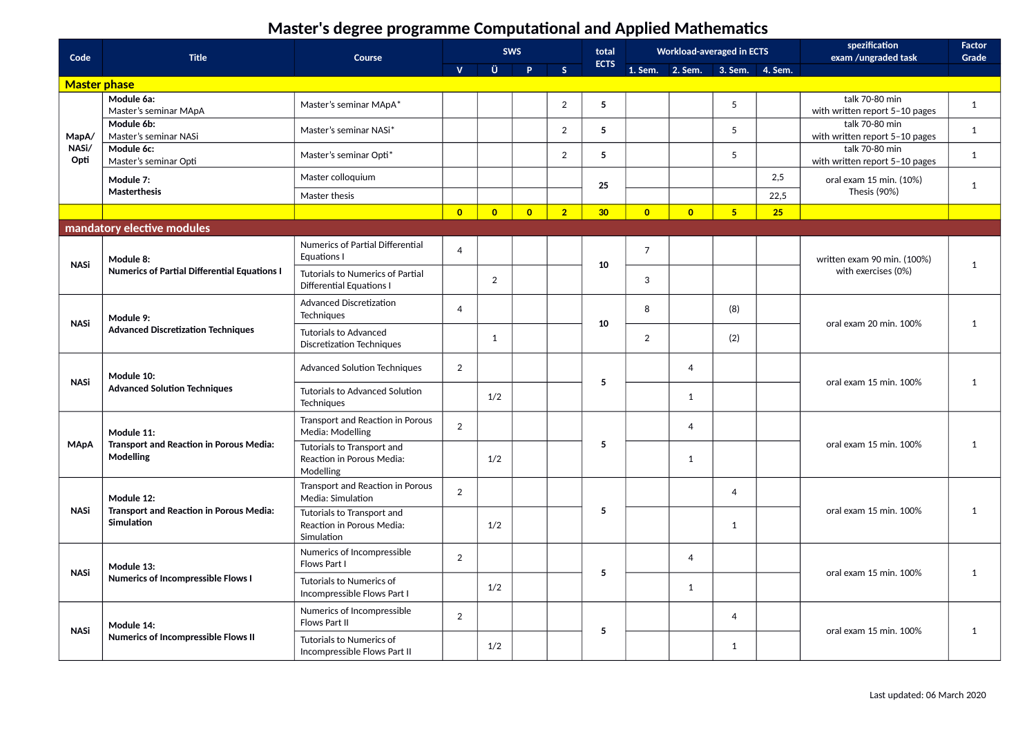| Code                     | <b>Title</b>                                                        | Course                                                                |                |                | <b>SWS</b>     |                | total           |                | <b>Workload-averaged in ECTS</b> |                |      | spezification<br>exam /ungraded task             | Factor<br>Grade |  |  |  |  |  |                |  |                        |   |
|--------------------------|---------------------------------------------------------------------|-----------------------------------------------------------------------|----------------|----------------|----------------|----------------|-----------------|----------------|----------------------------------|----------------|------|--------------------------------------------------|-----------------|--|--|--|--|--|----------------|--|------------------------|---|
|                          |                                                                     |                                                                       | $\mathbf{V}$   | Ü.             | <b>P</b>       | $\mathsf{s}$   | <b>ECTS</b>     |                | 1. Sem. 2. Sem. 3. Sem. 4. Sem.  |                |      |                                                  |                 |  |  |  |  |  |                |  |                        |   |
| <b>Master phase</b>      |                                                                     |                                                                       |                |                |                |                |                 |                |                                  |                |      |                                                  |                 |  |  |  |  |  |                |  |                        |   |
|                          | Module 6a:<br>Master's seminar MApA                                 | Master's seminar MApA*                                                |                |                |                | $\overline{2}$ | 5               |                |                                  | 5              |      | talk 70-80 min<br>with written report 5-10 pages | $\mathbf{1}$    |  |  |  |  |  |                |  |                        |   |
| MapA/                    | Module 6b:<br>Master's seminar NASi                                 | Master's seminar NASi*                                                |                |                |                | $\overline{2}$ | 5               |                |                                  | 5              |      | talk 70-80 min<br>with written report 5-10 pages | $\mathbf{1}$    |  |  |  |  |  |                |  |                        |   |
| NASi/<br>Opti            | Module 6c:<br>Master's seminar Opti                                 | Master's seminar Opti*                                                |                |                |                | $\overline{2}$ | 5               |                |                                  | 5              |      | talk 70-80 min<br>with written report 5-10 pages | $\mathbf{1}$    |  |  |  |  |  |                |  |                        |   |
|                          | Module 7:                                                           | Master colloquium                                                     |                |                |                |                | 25              |                |                                  |                | 2,5  | oral exam 15 min. (10%)                          | $\mathbf{1}$    |  |  |  |  |  |                |  |                        |   |
|                          | Masterthesis                                                        | Master thesis                                                         |                |                |                |                |                 |                |                                  |                | 22,5 | Thesis (90%)                                     |                 |  |  |  |  |  |                |  |                        |   |
|                          |                                                                     |                                                                       | $\overline{0}$ | $\overline{0}$ | $\overline{0}$ | $\overline{2}$ | 30 <sub>o</sub> | $\overline{0}$ | $\overline{0}$                   | 5 <sup>1</sup> | 25   |                                                  |                 |  |  |  |  |  |                |  |                        |   |
|                          | mandatory elective modules                                          |                                                                       |                |                |                |                |                 |                |                                  |                |      |                                                  |                 |  |  |  |  |  |                |  |                        |   |
|                          | Module 8:                                                           | Numerics of Partial Differential<br>Equations I                       | $\overline{4}$ |                |                |                |                 | $\overline{7}$ |                                  |                |      | written exam 90 min. (100%)                      |                 |  |  |  |  |  |                |  |                        |   |
| <b>NASi</b>              | <b>Numerics of Partial Differential Equations I</b>                 | Tutorials to Numerics of Partial<br><b>Differential Equations I</b>   |                | 2              |                |                | 10              | 3              |                                  |                |      | with exercises (0%)                              | $\mathbf{1}$    |  |  |  |  |  |                |  |                        |   |
| Module 9:<br><b>NASi</b> |                                                                     | <b>Advanced Discretization</b><br>Techniques                          | $\overline{4}$ |                |                |                |                 | 8              |                                  | (8)            |      |                                                  |                 |  |  |  |  |  |                |  |                        |   |
|                          | <b>Advanced Discretization Techniques</b>                           | <b>Tutorials to Advanced</b><br><b>Discretization Techniques</b>      |                | $\mathbf{1}$   |                |                | 10              | $\overline{2}$ |                                  | (2)            |      | oral exam 20 min. 100%                           | 1               |  |  |  |  |  |                |  |                        |   |
| <b>NASi</b>              | Module 10:                                                          | <b>Advanced Solution Techniques</b>                                   | 2              |                |                |                | 5               |                | $\overline{4}$                   |                |      | oral exam 15 min. 100%                           | 1               |  |  |  |  |  |                |  |                        |   |
|                          | <b>Advanced Solution Techniques</b>                                 | Tutorials to Advanced Solution<br>Techniques                          |                | 1/2            |                |                |                 |                | 1                                |                |      |                                                  |                 |  |  |  |  |  |                |  |                        |   |
|                          | Module 11:                                                          | Transport and Reaction in Porous<br>Media: Modelling                  | 2              |                |                |                |                 |                | $\overline{4}$                   |                |      |                                                  |                 |  |  |  |  |  |                |  |                        |   |
| <b>MApA</b>              | <b>Transport and Reaction in Porous Media:</b><br>Modelling         | Tutorials to Transport and<br>Reaction in Porous Media:<br>Modelling  |                | 1/2            |                |                | 5               |                | 1                                |                |      | oral exam 15 min. 100%                           | 1               |  |  |  |  |  |                |  |                        |   |
|                          | Module 12:                                                          | Transport and Reaction in Porous<br>Media: Simulation                 | 2              |                |                |                |                 |                |                                  | $\overline{4}$ |      |                                                  |                 |  |  |  |  |  |                |  |                        |   |
| <b>NASi</b>              | <b>Transport and Reaction in Porous Media:</b><br><b>Simulation</b> | Tutorials to Transport and<br>Reaction in Porous Media:<br>Simulation |                | 1/2            |                |                | 5               |                |                                  | $\mathbf{1}$   |      | oral exam 15 min. 100%                           | 1               |  |  |  |  |  |                |  |                        |   |
| <b>NASi</b>              | Module 13:                                                          | Numerics of Incompressible<br>Flows Part I                            | $\overline{2}$ |                |                |                | 5               |                | $\overline{4}$                   |                |      | oral exam 15 min. 100%                           | 1               |  |  |  |  |  |                |  |                        |   |
|                          | <b>Numerics of Incompressible Flows I</b>                           | Tutorials to Numerics of<br>Incompressible Flows Part I               |                | 1/2            |                |                |                 |                | 1                                |                |      |                                                  |                 |  |  |  |  |  |                |  |                        |   |
|                          | Module 14:<br><b>Numerics of Incompressible Flows II</b>            | Numerics of Incompressible<br><b>Flows Part II</b>                    | 2              |                |                |                | 5               |                |                                  |                |      |                                                  |                 |  |  |  |  |  | $\overline{4}$ |  | oral exam 15 min. 100% | 1 |
| <b>NASi</b>              |                                                                     | Tutorials to Numerics of<br>Incompressible Flows Part II              |                | 1/2            |                |                |                 |                |                                  |                | 1    |                                                  |                 |  |  |  |  |  |                |  |                        |   |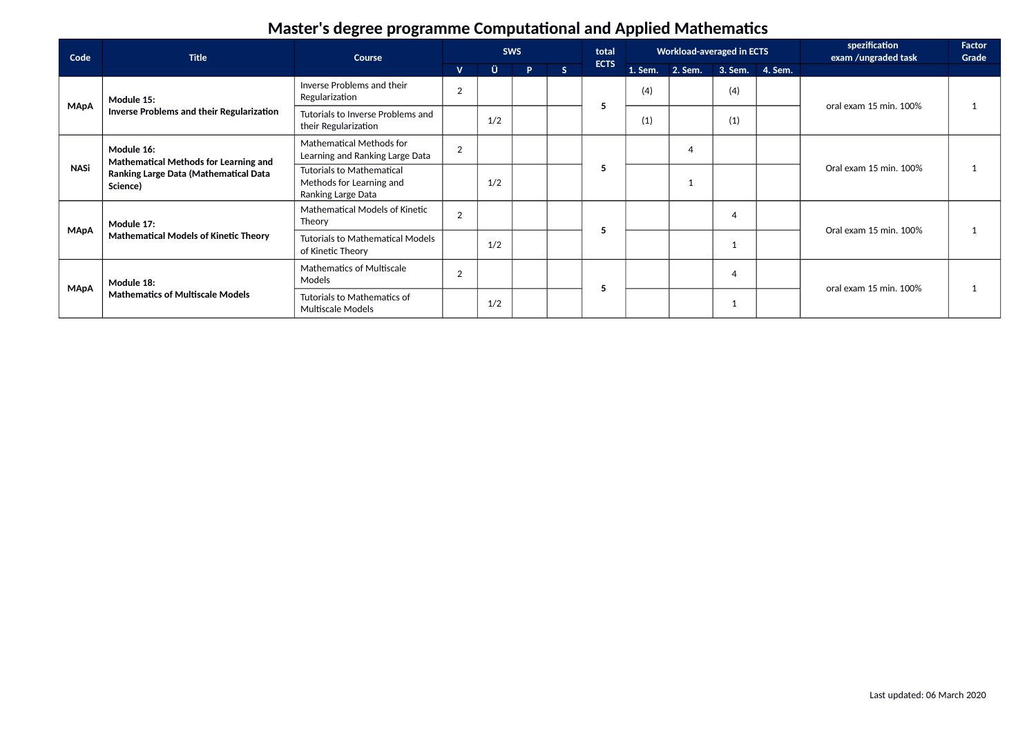| Code        | <b>Title</b>                                                                                                    | Course                                                                             | <b>SWS</b>     |     |    |   | total       |     | <b>Workload-averaged in ECTS</b> |                        |  | spezification<br>exam /ungraded task | Factor<br>Grade |  |  |  |  |  |  |  |  |  |
|-------------|-----------------------------------------------------------------------------------------------------------------|------------------------------------------------------------------------------------|----------------|-----|----|---|-------------|-----|----------------------------------|------------------------|--|--------------------------------------|-----------------|--|--|--|--|--|--|--|--|--|
|             |                                                                                                                 |                                                                                    | $\mathbf{V}$   | Ü   | P. | S | <b>ECTS</b> |     | 1. Sem. 2. Sem. 3. Sem. 4. Sem.  |                        |  |                                      |                 |  |  |  |  |  |  |  |  |  |
| <b>MApA</b> | Module 15:                                                                                                      | Inverse Problems and their<br>Regularization                                       | $\overline{2}$ |     |    |   |             | (4) |                                  | (4)                    |  | oral exam 15 min. 100%               |                 |  |  |  |  |  |  |  |  |  |
|             | Inverse Problems and their Regularization                                                                       | Tutorials to Inverse Problems and<br>their Regularization                          |                | 1/2 |    |   | 5           | (1) |                                  | (1)                    |  |                                      |                 |  |  |  |  |  |  |  |  |  |
| <b>NASi</b> | Module 16:<br>Mathematical Methods for Learning and<br><b>Ranking Large Data (Mathematical Data</b><br>Science) | Mathematical Methods for<br>Learning and Ranking Large Data                        | $\overline{2}$ |     |    |   |             |     | $\overline{4}$                   |                        |  |                                      |                 |  |  |  |  |  |  |  |  |  |
|             |                                                                                                                 | <b>Tutorials to Mathematical</b><br>Methods for Learning and<br>Ranking Large Data |                | 1/2 |    |   | э           |     |                                  | Oral exam 15 min. 100% |  |                                      |                 |  |  |  |  |  |  |  |  |  |
| <b>MApA</b> | Module 17:                                                                                                      | <b>Mathematical Models of Kinetic</b><br>Theory                                    | $\overline{2}$ |     |    |   |             |     |                                  | $\overline{4}$         |  | Oral exam 15 min. 100%               |                 |  |  |  |  |  |  |  |  |  |
|             | <b>Mathematical Models of Kinetic Theory</b>                                                                    | <b>Tutorials to Mathematical Models</b><br>of Kinetic Theory                       |                | 1/2 |    |   | э           |     |                                  |                        |  |                                      |                 |  |  |  |  |  |  |  |  |  |
| <b>MApA</b> | Module 18:<br><b>Mathematics of Multiscale Models</b>                                                           | <b>Mathematics of Multiscale</b><br>Models                                         | $\overline{2}$ |     |    |   |             |     |                                  | $\overline{4}$         |  | oral exam 15 min. 100%               |                 |  |  |  |  |  |  |  |  |  |
|             |                                                                                                                 | Tutorials to Mathematics of<br><b>Multiscale Models</b>                            |                | 1/2 |    |   | э           |     |                                  |                        |  |                                      |                 |  |  |  |  |  |  |  |  |  |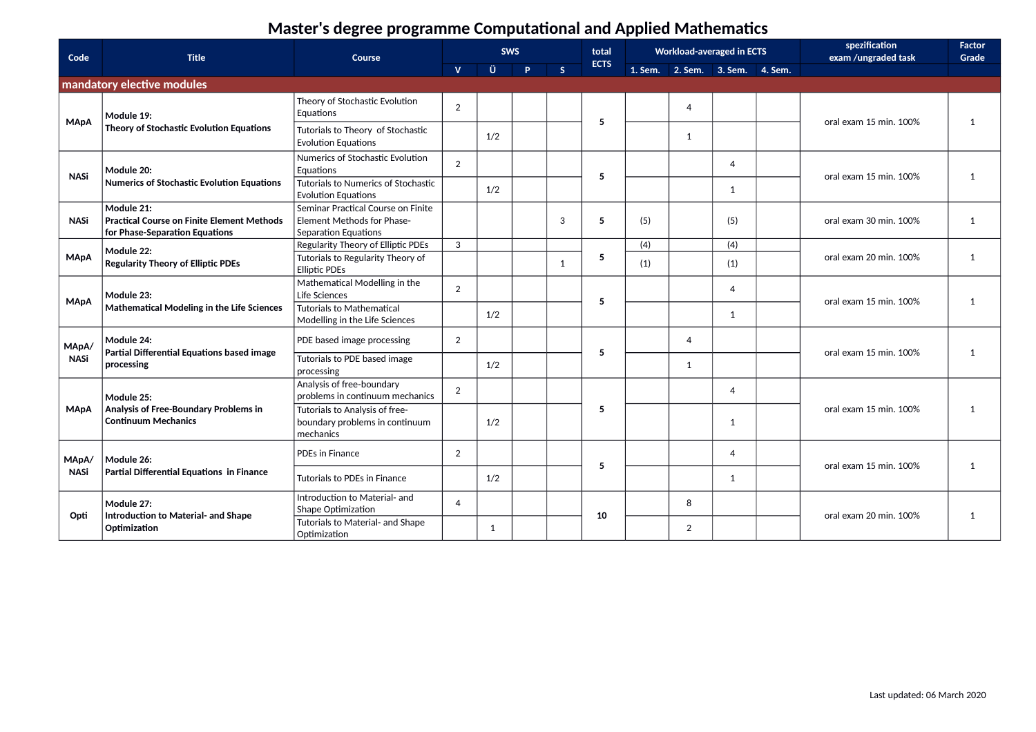| Code        | <b>Title</b>                                                                                      | <b>Course</b>                                                                            |                | <b>SWS</b> |    |   | total       | <b>Workload-averaged in ECTS</b> |                                 | spezification<br>exam /ungraded task | <b>Factor</b><br>Grade |                        |   |  |  |
|-------------|---------------------------------------------------------------------------------------------------|------------------------------------------------------------------------------------------|----------------|------------|----|---|-------------|----------------------------------|---------------------------------|--------------------------------------|------------------------|------------------------|---|--|--|
|             |                                                                                                   |                                                                                          | $\mathbf{V}$   | Ü          | P. | S | <b>ECTS</b> |                                  | 1. Sem. 2. Sem. 3. Sem. 4. Sem. |                                      |                        |                        |   |  |  |
|             | mandatory elective modules                                                                        |                                                                                          |                |            |    |   |             |                                  |                                 |                                      |                        |                        |   |  |  |
| <b>MApA</b> | Module 19:                                                                                        | Theory of Stochastic Evolution<br>Equations                                              | 2              |            |    |   | 5           |                                  | $\overline{4}$                  |                                      | oral exam 15 min. 100% | 1                      |   |  |  |
|             | Theory of Stochastic Evolution Equations                                                          | Tutorials to Theory of Stochastic<br><b>Evolution Equations</b>                          |                | 1/2        |    |   |             |                                  | 1                               |                                      |                        |                        |   |  |  |
| <b>NASi</b> | Module 20:                                                                                        | Numerics of Stochastic Evolution<br>Equations                                            | $\overline{2}$ |            |    |   | 5           |                                  |                                 | $\overline{4}$                       | oral exam 15 min. 100% | 1                      |   |  |  |
|             | <b>Numerics of Stochastic Evolution Equations</b>                                                 | Tutorials to Numerics of Stochastic<br><b>Evolution Equations</b>                        |                | 1/2        |    |   |             |                                  |                                 | 1                                    |                        |                        |   |  |  |
| <b>NASi</b> | Module 21:<br><b>Practical Course on Finite Element Methods</b><br>for Phase-Separation Equations | Seminar Practical Course on Finite<br>Element Methods for Phase-<br>Separation Equations |                |            |    | 3 | 5           | (5)                              |                                 | (5)                                  | oral exam 30 min. 100% | 1                      |   |  |  |
|             | Module 22:                                                                                        | Regularity Theory of Elliptic PDEs                                                       | 3              |            |    |   |             | (4)                              |                                 | (4)                                  |                        |                        |   |  |  |
| <b>MApA</b> | <b>Regularity Theory of Elliptic PDEs</b>                                                         | Tutorials to Regularity Theory of<br><b>Elliptic PDEs</b>                                |                |            |    | 1 | 5           | (1)                              |                                 | (1)                                  | oral exam 20 min. 100% | 1                      |   |  |  |
| <b>MApA</b> | Module 23:<br>Mathematical Modeling in the Life Sciences                                          | Mathematical Modelling in the<br>Life Sciences                                           | 2              |            |    |   | 5           |                                  |                                 | $\overline{4}$                       | oral exam 15 min. 100% | 1                      |   |  |  |
|             |                                                                                                   | <b>Tutorials to Mathematical</b><br>Modelling in the Life Sciences                       |                | 1/2        |    |   |             |                                  |                                 | 1                                    |                        |                        |   |  |  |
| MApA/       | Module 24:<br>Partial Differential Equations based image                                          | PDE based image processing                                                               | 2              |            |    |   | 5           |                                  | 4                               |                                      | oral exam 15 min. 100% | 1                      |   |  |  |
| <b>NASi</b> | processing                                                                                        | Tutorials to PDE based image<br>processing                                               |                | 1/2        |    |   |             |                                  | 1                               |                                      |                        |                        |   |  |  |
|             | Module 25:                                                                                        | Analysis of free-boundary<br>problems in continuum mechanics                             | $\overline{2}$ |            |    |   |             |                                  |                                 | $\overline{4}$                       |                        |                        |   |  |  |
| <b>MApA</b> | Analysis of Free-Boundary Problems in<br><b>Continuum Mechanics</b>                               | Tutorials to Analysis of free-<br>boundary problems in continuum<br>mechanics            |                | 1/2        |    |   | 5           |                                  |                                 | 1                                    | oral exam 15 min. 100% | 1                      |   |  |  |
| MApA/       | Module 26:                                                                                        | PDEs in Finance                                                                          | $\overline{2}$ |            |    |   | 5           |                                  |                                 | $\overline{4}$                       | oral exam 15 min. 100% |                        |   |  |  |
| <b>NASi</b> | Partial Differential Equations in Finance                                                         | Tutorials to PDEs in Finance                                                             |                | 1/2        |    |   |             |                                  |                                 | $\mathbf{1}$                         |                        | 1                      |   |  |  |
|             | Module 27:<br>Introduction to Material- and Shape<br>Opti<br>Optimization                         | Introduction to Material- and<br>Shape Optimization                                      | $\overline{a}$ |            |    |   | 10          |                                  |                                 |                                      |                        | 8                      |   |  |  |
|             |                                                                                                   | Tutorials to Material- and Shape<br>Optimization                                         |                | 1          |    |   |             |                                  |                                 | $\overline{2}$                       |                        | oral exam 20 min. 100% | 1 |  |  |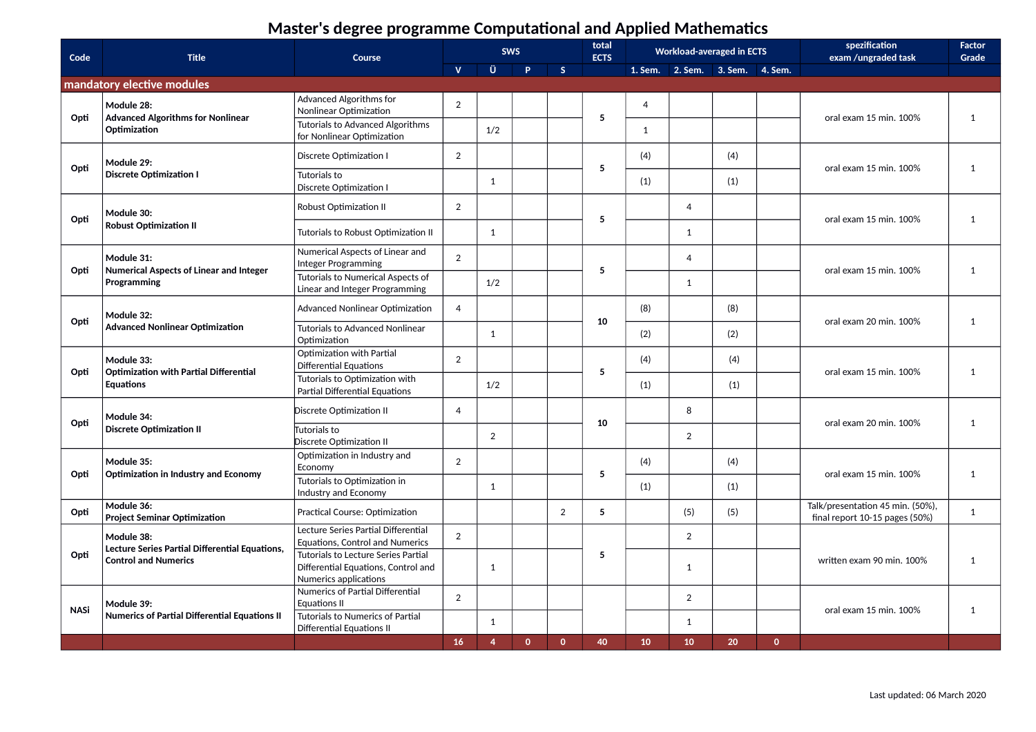| Code        | <b>Title</b>                                                       | Course                                                                        |                |                | <b>SWS</b>   |                | total<br><b>ECTS</b> | <b>Workload-averaged in ECTS</b> |                |                                 |              | spezification<br>exam /ungraded task                               | <b>Factor</b><br>Grade |              |
|-------------|--------------------------------------------------------------------|-------------------------------------------------------------------------------|----------------|----------------|--------------|----------------|----------------------|----------------------------------|----------------|---------------------------------|--------------|--------------------------------------------------------------------|------------------------|--------------|
|             |                                                                    |                                                                               | $\mathbf{V}$   | Ü              | <b>P</b>     | S              |                      |                                  |                | 1. Sem. 2. Sem. 3. Sem. 4. Sem. |              |                                                                    |                        |              |
|             | mandatory elective modules                                         |                                                                               |                |                |              |                |                      |                                  |                |                                 |              |                                                                    |                        |              |
| Opti        | Module 28:<br><b>Advanced Algorithms for Nonlinear</b>             | Advanced Algorithms for<br>Nonlinear Optimization                             | $\overline{2}$ |                |              |                | 5                    | $\overline{4}$                   |                |                                 |              | oral exam 15 min. 100%                                             | $\mathbf{1}$           |              |
|             | Optimization                                                       | Tutorials to Advanced Algorithms<br>for Nonlinear Optimization                |                | 1/2            |              |                |                      | 1                                |                |                                 |              |                                                                    |                        |              |
| Opti        | Module 29:                                                         | Discrete Optimization I                                                       | 2              |                |              |                | 5                    | (4)                              |                | (4)                             |              | oral exam 15 min. 100%                                             | $\mathbf{1}$           |              |
|             | <b>Discrete Optimization I</b>                                     | <b>Tutorials to</b><br>Discrete Optimization I                                |                | $\mathbf{1}$   |              |                |                      | (1)                              |                | (1)                             |              |                                                                    |                        |              |
| Opti        | Module 30:                                                         | Robust Optimization II                                                        | 2              |                |              |                | 5                    |                                  | $\overline{4}$ |                                 |              | oral exam 15 min. 100%                                             | $\mathbf{1}$           |              |
|             | <b>Robust Optimization II</b>                                      | Tutorials to Robust Optimization II                                           |                | $\mathbf{1}$   |              |                |                      |                                  | 1              |                                 |              |                                                                    |                        |              |
| Opti        | Module 31:<br><b>Numerical Aspects of Linear and Integer</b>       | Numerical Aspects of Linear and<br>Integer Programming                        | 2              |                |              |                | 5                    |                                  | $\overline{4}$ |                                 |              | oral exam 15 min. 100%                                             | $\mathbf{1}$           |              |
|             | Programming                                                        | Tutorials to Numerical Aspects of<br>Linear and Integer Programming           |                | 1/2            |              |                |                      |                                  | $\mathbf{1}$   |                                 |              |                                                                    |                        |              |
| Opti        | Module 32:                                                         | Advanced Nonlinear Optimization                                               | $\overline{4}$ |                |              |                | 10                   | (8)                              |                | (8)                             |              | oral exam 20 min. 100%                                             | $\mathbf{1}$           |              |
|             | <b>Advanced Nonlinear Optimization</b>                             | <b>Tutorials to Advanced Nonlinear</b><br>Optimization                        |                | 1              |              |                |                      | (2)                              |                | (2)                             |              |                                                                    |                        |              |
| Opti        | Module 33:<br><b>Optimization with Partial Differential</b>        | Optimization with Partial<br><b>Differential Equations</b>                    | 2              |                |              |                | 5                    | (4)                              |                | (4)                             |              | oral exam 15 min. 100%                                             | $\mathbf{1}$           |              |
|             | <b>Equations</b>                                                   | Tutorials to Optimization with<br><b>Partial Differential Equations</b>       |                | 1/2            |              |                |                      | (1)                              |                | (1)                             |              |                                                                    |                        |              |
| Opti        | Module 34:                                                         | Discrete Optimization II                                                      | $\overline{4}$ |                |              |                |                      | 10                               |                | 8                               |              |                                                                    | oral exam 20 min. 100% | $\mathbf{1}$ |
|             | <b>Discrete Optimization II</b>                                    | Tutorials to<br>Discrete Optimization II                                      |                | 2              |              |                |                      |                                  | $\overline{2}$ |                                 |              |                                                                    |                        |              |
| Opti        | Module 35:<br><b>Optimization in Industry and Economy</b>          | Optimization in Industry and<br>Economy                                       | 2              |                |              |                | 5                    | (4)                              |                | (4)                             |              | oral exam 15 min. 100%                                             | $\mathbf{1}$           |              |
|             |                                                                    | Tutorials to Optimization in<br>Industry and Economy                          |                | 1              |              |                |                      | (1)                              |                | (1)                             |              |                                                                    |                        |              |
| Opti        | Module 36:<br><b>Project Seminar Optimization</b>                  | Practical Course: Optimization                                                |                |                |              | $\overline{2}$ | 5                    |                                  | (5)            | (5)                             |              | Talk/presentation 45 min. (50%),<br>final report 10-15 pages (50%) | $\mathbf{1}$           |              |
|             | Module 38:<br>Lecture Series Partial Differential Equations,       | Lecture Series Partial Differential<br><b>Equations, Control and Numerics</b> | 2              |                |              |                |                      |                                  | $\overline{2}$ |                                 |              |                                                                    |                        |              |
| Opti        | <b>Control and Numerics</b>                                        | Tutorials to Lecture Series Partial<br>Differential Equations, Control and    |                | 1              |              |                | 5                    |                                  | 1              |                                 |              | written exam 90 min. 100%                                          | $\mathbf{1}$           |              |
|             |                                                                    | Numerics applications                                                         |                |                |              |                |                      |                                  |                |                                 |              |                                                                    |                        |              |
|             |                                                                    | Numerics of Partial Differential<br><b>Equations II</b>                       | $\overline{2}$ |                |              |                |                      |                                  | $\overline{2}$ |                                 |              |                                                                    |                        |              |
| <b>NASi</b> | Module 39:<br><b>Numerics of Partial Differential Equations II</b> | <b>Tutorials to Numerics of Partial</b>                                       |                |                |              |                |                      |                                  |                |                                 |              |                                                                    | oral exam 15 min. 100% | $\mathbf{1}$ |
|             |                                                                    | <b>Differential Equations II</b>                                              |                | $\mathbf{1}$   |              |                |                      |                                  | $\mathbf{1}$   |                                 |              |                                                                    |                        |              |
|             |                                                                    |                                                                               | 16             | $\overline{4}$ | $\mathbf{0}$ | $\mathbf{0}$   | 40                   | 10                               | 10             | 20                              | $\mathbf{0}$ |                                                                    |                        |              |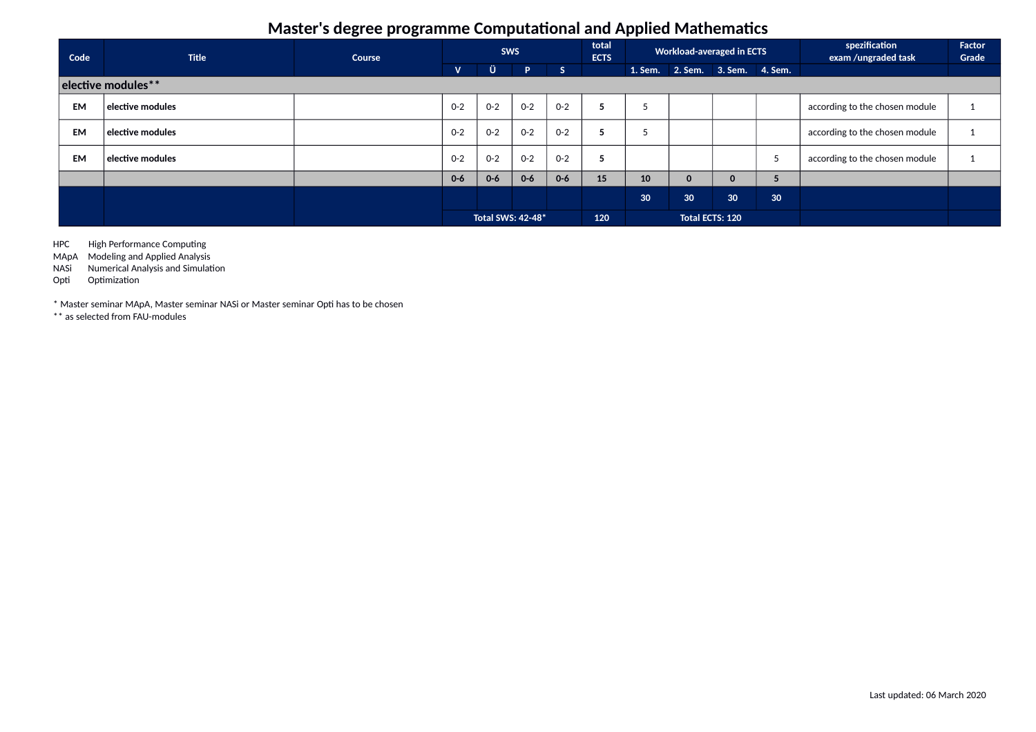| Code               | <b>Title</b>            | Course | <b>SWS</b>   |                   | total<br><b>Workload-averaged in ECTS</b><br><b>ECTS</b> |         |                        |    |                 | spezification<br>exam /ungraded task | Factor<br>Grade               |                                |  |
|--------------------|-------------------------|--------|--------------|-------------------|----------------------------------------------------------|---------|------------------------|----|-----------------|--------------------------------------|-------------------------------|--------------------------------|--|
|                    |                         |        | $\mathbf{V}$ | Ü                 | P.                                                       | S       |                        |    |                 | 1. Sem. 2. Sem. 3. Sem. 4. Sem.      |                               |                                |  |
| elective modules** |                         |        |              |                   |                                                          |         |                        |    |                 |                                      |                               |                                |  |
| <b>EM</b>          | $\mid$ elective modules |        | $0 - 2$      | $O - 2$           | $0 - 2$                                                  | $O - 2$ |                        |    |                 |                                      |                               | according to the chosen module |  |
| <b>EM</b>          | $\mid$ elective modules |        | $O - 2$      | $0 - 2$           | $0 - 2$                                                  | $O - 2$ | כ                      |    |                 |                                      |                               | according to the chosen module |  |
| <b>EM</b>          | $\mid$ elective modules |        | $O - 2$      | $0 - 2$           | $0 - 2$                                                  | $0 - 2$ | Þ                      |    |                 |                                      | $\overline{\phantom{a}}$<br>5 | according to the chosen module |  |
|                    |                         |        | $0-6$        | $0 - 6$           | $0 - 6$                                                  | $0 - 6$ | 15                     | 10 | $\mathbf 0$     | 0                                    | ∍                             |                                |  |
|                    |                         |        |              |                   |                                                          |         |                        | 30 | 30 <sub>o</sub> | 30 <sup>°</sup>                      | 30 <sup>°</sup>               |                                |  |
|                    |                         |        |              | Total SWS: 42-48* |                                                          |         | Total ECTS: 120<br>120 |    |                 |                                      |                               |                                |  |

HPC High Performance Computing

MApA Modeling and Applied Analysis

NASi Numerical Analysis and Simulation

Opti Optimization

\* Master seminar MApA, Master seminar NASi or Master seminar Opti has to be chosen

\*\* as selected from FAU-modules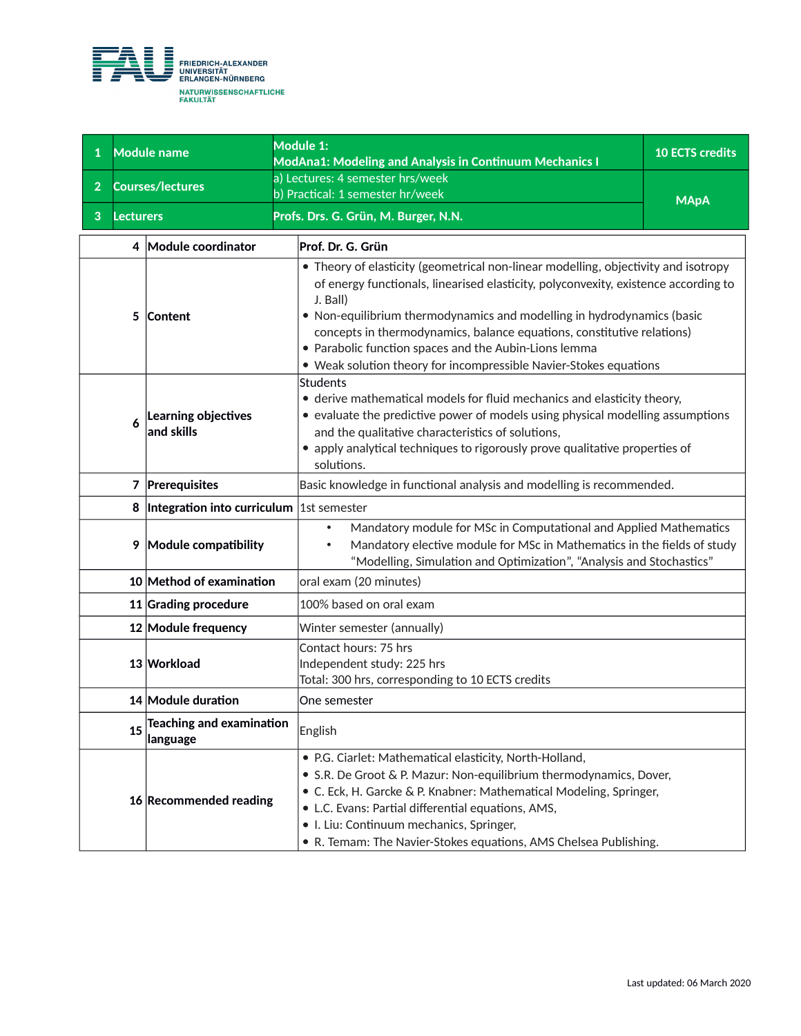

| $\mathbf{1}$   |           | <b>Module name</b>                           | Module 1:<br><b>ModAna1: Modeling and Analysis in Continuum Mechanics I</b>                                                                                                                                                                                                                                                                                                                                                                                             | <b>10 ECTS credits</b> |  |  |  |  |  |  |
|----------------|-----------|----------------------------------------------|-------------------------------------------------------------------------------------------------------------------------------------------------------------------------------------------------------------------------------------------------------------------------------------------------------------------------------------------------------------------------------------------------------------------------------------------------------------------------|------------------------|--|--|--|--|--|--|
| $\overline{2}$ |           | <b>Courses/lectures</b>                      | a) Lectures: 4 semester hrs/week                                                                                                                                                                                                                                                                                                                                                                                                                                        |                        |  |  |  |  |  |  |
|                |           |                                              | b) Practical: 1 semester hr/week                                                                                                                                                                                                                                                                                                                                                                                                                                        | <b>MApA</b>            |  |  |  |  |  |  |
| 3              | Lecturers |                                              | Profs. Drs. G. Grün, M. Burger, N.N.                                                                                                                                                                                                                                                                                                                                                                                                                                    |                        |  |  |  |  |  |  |
|                |           | 4 Module coordinator                         | Prof. Dr. G. Grün                                                                                                                                                                                                                                                                                                                                                                                                                                                       |                        |  |  |  |  |  |  |
|                | 5         | Content                                      | • Theory of elasticity (geometrical non-linear modelling, objectivity and isotropy<br>of energy functionals, linearised elasticity, polyconvexity, existence according to<br>J. Ball)<br>• Non-equilibrium thermodynamics and modelling in hydrodynamics (basic<br>concepts in thermodynamics, balance equations, constitutive relations)<br>• Parabolic function spaces and the Aubin-Lions lemma<br>• Weak solution theory for incompressible Navier-Stokes equations |                        |  |  |  |  |  |  |
|                | 6         | Learning objectives<br>and skills            | <b>Students</b><br>• derive mathematical models for fluid mechanics and elasticity theory,<br>• evaluate the predictive power of models using physical modelling assumptions<br>and the qualitative characteristics of solutions,<br>• apply analytical techniques to rigorously prove qualitative properties of<br>solutions.                                                                                                                                          |                        |  |  |  |  |  |  |
|                |           | 7 Prerequisites                              | Basic knowledge in functional analysis and modelling is recommended.                                                                                                                                                                                                                                                                                                                                                                                                    |                        |  |  |  |  |  |  |
|                |           | 8  Integration into curriculum  1st semester |                                                                                                                                                                                                                                                                                                                                                                                                                                                                         |                        |  |  |  |  |  |  |
|                |           | 9 Module compatibility                       | Mandatory module for MSc in Computational and Applied Mathematics<br>$\bullet$<br>Mandatory elective module for MSc in Mathematics in the fields of study<br>$\bullet$<br>"Modelling, Simulation and Optimization", "Analysis and Stochastics"                                                                                                                                                                                                                          |                        |  |  |  |  |  |  |
|                |           | 10 Method of examination                     | oral exam (20 minutes)                                                                                                                                                                                                                                                                                                                                                                                                                                                  |                        |  |  |  |  |  |  |
|                |           | 11 Grading procedure                         | 100% based on oral exam                                                                                                                                                                                                                                                                                                                                                                                                                                                 |                        |  |  |  |  |  |  |
|                |           | 12 Module frequency                          | Winter semester (annually)                                                                                                                                                                                                                                                                                                                                                                                                                                              |                        |  |  |  |  |  |  |
|                |           | 13 Workload                                  | Contact hours: 75 hrs<br>Independent study: 225 hrs<br>Total: 300 hrs, corresponding to 10 ECTS credits                                                                                                                                                                                                                                                                                                                                                                 |                        |  |  |  |  |  |  |
|                |           | 14 Module duration                           | One semester                                                                                                                                                                                                                                                                                                                                                                                                                                                            |                        |  |  |  |  |  |  |
|                | 15        | Teaching and examination<br>language         | English                                                                                                                                                                                                                                                                                                                                                                                                                                                                 |                        |  |  |  |  |  |  |
|                |           | 16 Recommended reading                       | • P.G. Ciarlet: Mathematical elasticity, North-Holland,<br>• S.R. De Groot & P. Mazur: Non-equilibrium thermodynamics, Dover,<br>• C. Eck, H. Garcke & P. Knabner: Mathematical Modeling, Springer,<br>• L.C. Evans: Partial differential equations, AMS,<br>• I. Liu: Continuum mechanics, Springer,<br>• R. Temam: The Navier-Stokes equations, AMS Chelsea Publishing.                                                                                               |                        |  |  |  |  |  |  |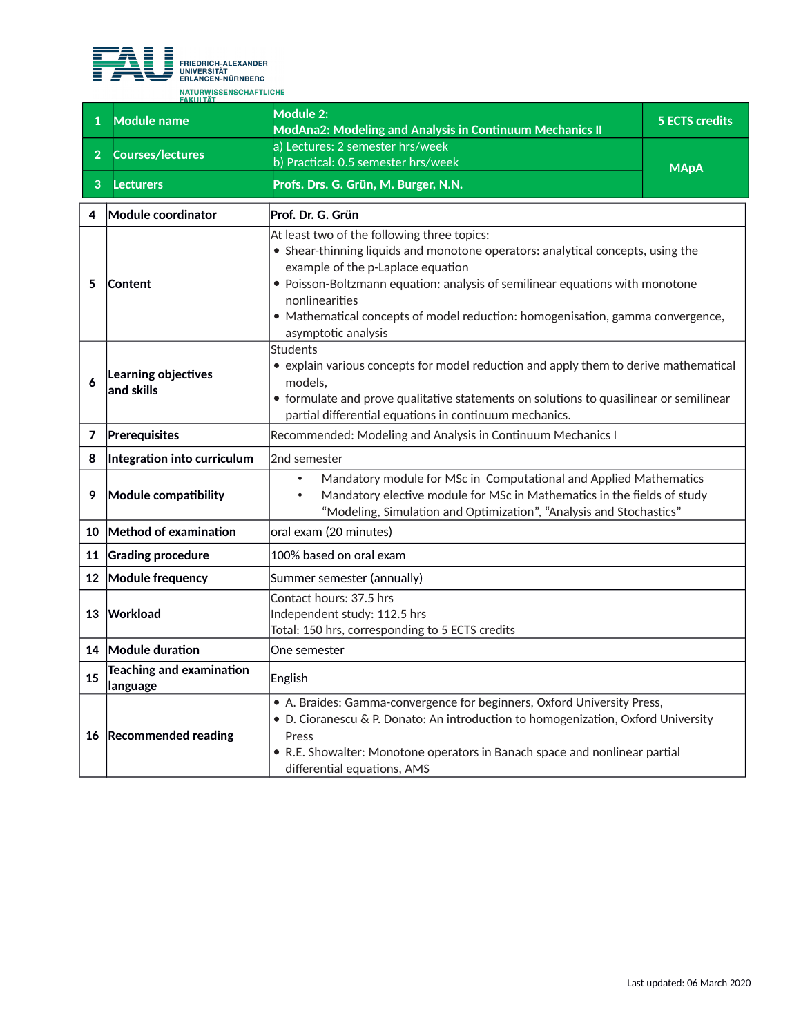

| $\mathbf{1}$    | <b>Module name</b>                          | Module 2:<br><b>ModAna2: Modeling and Analysis in Continuum Mechanics II</b>                                                                                                                                                                                                                                                                                                   | <b>5 ECTS credits</b> |
|-----------------|---------------------------------------------|--------------------------------------------------------------------------------------------------------------------------------------------------------------------------------------------------------------------------------------------------------------------------------------------------------------------------------------------------------------------------------|-----------------------|
| $\overline{2}$  | <b>Courses/lectures</b>                     | a) Lectures: 2 semester hrs/week<br>b) Practical: 0.5 semester hrs/week                                                                                                                                                                                                                                                                                                        | <b>MApA</b>           |
| 3               | <b>Lecturers</b>                            | Profs. Drs. G. Grün, M. Burger, N.N.                                                                                                                                                                                                                                                                                                                                           |                       |
| 4               | Module coordinator                          | Prof. Dr. G. Grün                                                                                                                                                                                                                                                                                                                                                              |                       |
| 5               | Content                                     | At least two of the following three topics:<br>• Shear-thinning liquids and monotone operators: analytical concepts, using the<br>example of the p-Laplace equation<br>• Poisson-Boltzmann equation: analysis of semilinear equations with monotone<br>nonlinearities<br>· Mathematical concepts of model reduction: homogenisation, gamma convergence,<br>asymptotic analysis |                       |
| 6               | Learning objectives<br>and skills           | <b>Students</b><br>• explain various concepts for model reduction and apply them to derive mathematical<br>models.<br>• formulate and prove qualitative statements on solutions to quasilinear or semilinear<br>partial differential equations in continuum mechanics.                                                                                                         |                       |
| 7               | Prerequisites                               | Recommended: Modeling and Analysis in Continuum Mechanics I                                                                                                                                                                                                                                                                                                                    |                       |
| 8               | Integration into curriculum                 | 2nd semester                                                                                                                                                                                                                                                                                                                                                                   |                       |
| 9               | Module compatibility                        | Mandatory module for MSc in Computational and Applied Mathematics<br>$\bullet$<br>Mandatory elective module for MSc in Mathematics in the fields of study<br>"Modeling, Simulation and Optimization", "Analysis and Stochastics"                                                                                                                                               |                       |
| 10              | Method of examination                       | oral exam (20 minutes)                                                                                                                                                                                                                                                                                                                                                         |                       |
| 11              | <b>Grading procedure</b>                    | 100% based on oral exam                                                                                                                                                                                                                                                                                                                                                        |                       |
| 12 <sup>°</sup> | Module frequency                            | Summer semester (annually)                                                                                                                                                                                                                                                                                                                                                     |                       |
| 13              | Workload                                    | Contact hours: 37.5 hrs<br>Independent study: 112.5 hrs<br>Total: 150 hrs, corresponding to 5 ECTS credits                                                                                                                                                                                                                                                                     |                       |
| 14              | Module duration                             | One semester                                                                                                                                                                                                                                                                                                                                                                   |                       |
| 15              | <b>Teaching and examination</b><br>language | English                                                                                                                                                                                                                                                                                                                                                                        |                       |
|                 | 16 Recommended reading                      | • A. Braides: Gamma-convergence for beginners, Oxford University Press,<br>• D. Cioranescu & P. Donato: An introduction to homogenization, Oxford University<br>Press<br>• R.E. Showalter: Monotone operators in Banach space and nonlinear partial<br>differential equations, AMS                                                                                             |                       |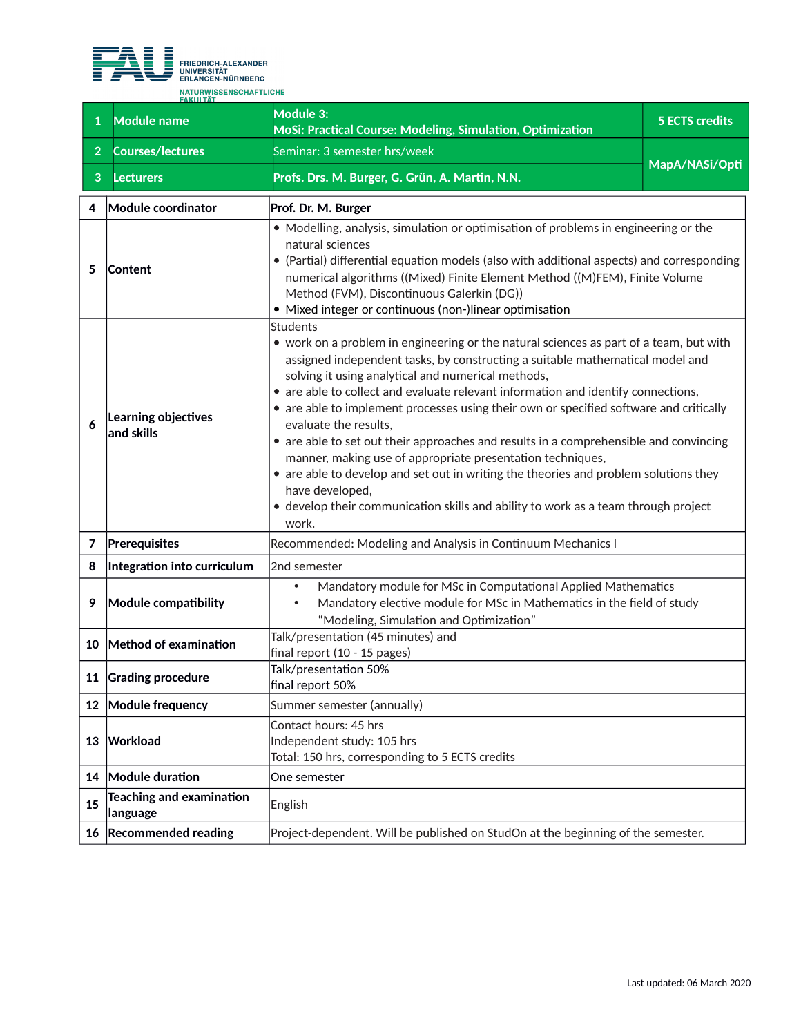

| $\mathbf{1}$   | <b>Module name</b>                           | <b>Module 3:</b><br>MoSi: Practical Course: Modeling, Simulation, Optimization                                                                                                                                                                                                                                                                                                                                                                                                                                                                                                                                                                                                                                                                                                                                     | <b>5 ECTS credits</b> |
|----------------|----------------------------------------------|--------------------------------------------------------------------------------------------------------------------------------------------------------------------------------------------------------------------------------------------------------------------------------------------------------------------------------------------------------------------------------------------------------------------------------------------------------------------------------------------------------------------------------------------------------------------------------------------------------------------------------------------------------------------------------------------------------------------------------------------------------------------------------------------------------------------|-----------------------|
| $\overline{2}$ | <b>Courses/lectures</b>                      | Seminar: 3 semester hrs/week                                                                                                                                                                                                                                                                                                                                                                                                                                                                                                                                                                                                                                                                                                                                                                                       |                       |
| 3              | <b>Lecturers</b>                             | Profs. Drs. M. Burger, G. Grün, A. Martin, N.N.                                                                                                                                                                                                                                                                                                                                                                                                                                                                                                                                                                                                                                                                                                                                                                    | MapA/NASi/Opti        |
| 4              | Module coordinator                           | Prof. Dr. M. Burger                                                                                                                                                                                                                                                                                                                                                                                                                                                                                                                                                                                                                                                                                                                                                                                                |                       |
| 5              | <b>Content</b>                               | • Modelling, analysis, simulation or optimisation of problems in engineering or the<br>natural sciences<br>• (Partial) differential equation models (also with additional aspects) and corresponding<br>numerical algorithms ((Mixed) Finite Element Method ((M)FEM), Finite Volume<br>Method (FVM), Discontinuous Galerkin (DG))<br>· Mixed integer or continuous (non-)linear optimisation                                                                                                                                                                                                                                                                                                                                                                                                                       |                       |
| 6              | Learning objectives<br>and skills            | Students<br>• work on a problem in engineering or the natural sciences as part of a team, but with<br>assigned independent tasks, by constructing a suitable mathematical model and<br>solving it using analytical and numerical methods,<br>• are able to collect and evaluate relevant information and identify connections,<br>• are able to implement processes using their own or specified software and critically<br>evaluate the results,<br>• are able to set out their approaches and results in a comprehensible and convincing<br>manner, making use of appropriate presentation techniques,<br>• are able to develop and set out in writing the theories and problem solutions they<br>have developed,<br>• develop their communication skills and ability to work as a team through project<br>work. |                       |
| 7              | Prerequisites                                | Recommended: Modeling and Analysis in Continuum Mechanics I                                                                                                                                                                                                                                                                                                                                                                                                                                                                                                                                                                                                                                                                                                                                                        |                       |
| 8              | Integration into curriculum                  | 2nd semester                                                                                                                                                                                                                                                                                                                                                                                                                                                                                                                                                                                                                                                                                                                                                                                                       |                       |
| 9              | Module compatibility                         | Mandatory module for MSc in Computational Applied Mathematics<br>$\bullet$<br>Mandatory elective module for MSc in Mathematics in the field of study<br>٠<br>"Modeling, Simulation and Optimization"                                                                                                                                                                                                                                                                                                                                                                                                                                                                                                                                                                                                               |                       |
| 10             | Method of examination                        | Talk/presentation (45 minutes) and<br>final report (10 - 15 pages)                                                                                                                                                                                                                                                                                                                                                                                                                                                                                                                                                                                                                                                                                                                                                 |                       |
|                | 11 Grading procedure                         | Talk/presentation 50%<br>final report 50%                                                                                                                                                                                                                                                                                                                                                                                                                                                                                                                                                                                                                                                                                                                                                                          |                       |
| 12             | Module frequency                             | Summer semester (annually)                                                                                                                                                                                                                                                                                                                                                                                                                                                                                                                                                                                                                                                                                                                                                                                         |                       |
| 13             | Workload                                     | Contact hours: 45 hrs<br>Independent study: 105 hrs<br>Total: 150 hrs, corresponding to 5 ECTS credits                                                                                                                                                                                                                                                                                                                                                                                                                                                                                                                                                                                                                                                                                                             |                       |
| 14             | Module duration                              | One semester                                                                                                                                                                                                                                                                                                                                                                                                                                                                                                                                                                                                                                                                                                                                                                                                       |                       |
| 15             | <b>Teaching and examination</b><br> language | English                                                                                                                                                                                                                                                                                                                                                                                                                                                                                                                                                                                                                                                                                                                                                                                                            |                       |
|                | 16 Recommended reading                       | Project-dependent. Will be published on StudOn at the beginning of the semester.                                                                                                                                                                                                                                                                                                                                                                                                                                                                                                                                                                                                                                                                                                                                   |                       |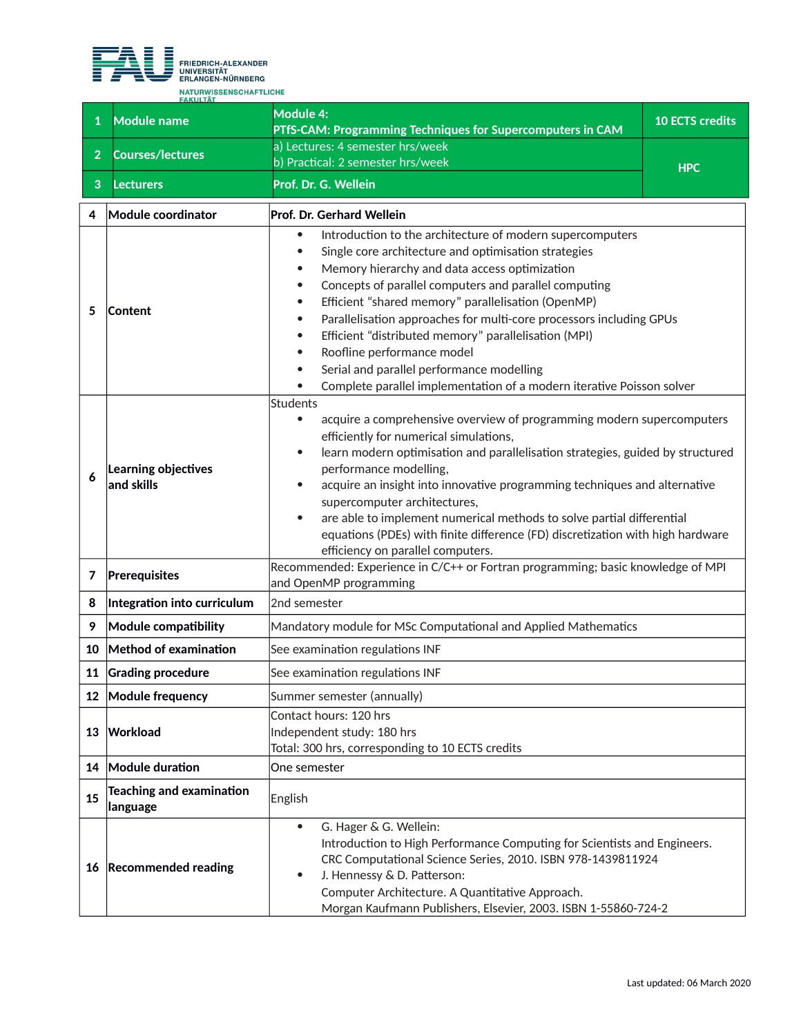

|                | <b>FAKULTÄT</b>                      |                                                                                                                                                                                                                                                                                                                                                                                                                                                                                                                                                                                                                                                    |                        |
|----------------|--------------------------------------|----------------------------------------------------------------------------------------------------------------------------------------------------------------------------------------------------------------------------------------------------------------------------------------------------------------------------------------------------------------------------------------------------------------------------------------------------------------------------------------------------------------------------------------------------------------------------------------------------------------------------------------------------|------------------------|
| $\mathbf{1}$   | <b>Module name</b>                   | Module 4:<br>PTfS-CAM: Programming Techniques for Supercomputers in CAM                                                                                                                                                                                                                                                                                                                                                                                                                                                                                                                                                                            | <b>10 ECTS credits</b> |
| 2 <sup>1</sup> | <b>Courses/lectures</b>              | a) Lectures: 4 semester hrs/week<br>b) Practical: 2 semester hrs/week                                                                                                                                                                                                                                                                                                                                                                                                                                                                                                                                                                              |                        |
| 3              | <b>Lecturers</b>                     | Prof. Dr. G. Wellein                                                                                                                                                                                                                                                                                                                                                                                                                                                                                                                                                                                                                               | <b>HPC</b>             |
| 4              | Module coordinator                   | Prof. Dr. Gerhard Wellein                                                                                                                                                                                                                                                                                                                                                                                                                                                                                                                                                                                                                          |                        |
| 5              | Content                              | Introduction to the architecture of modern supercomputers<br>$\bullet$<br>Single core architecture and optimisation strategies<br>$\bullet$<br>Memory hierarchy and data access optimization<br>$\bullet$<br>Concepts of parallel computers and parallel computing<br>Efficient "shared memory" parallelisation (OpenMP)<br>$\bullet$<br>Parallelisation approaches for multi-core processors including GPUs<br>$\bullet$<br>Efficient "distributed memory" parallelisation (MPI)<br>$\bullet$<br>Roofline performance model<br>Serial and parallel performance modelling<br>Complete parallel implementation of a modern iterative Poisson solver |                        |
| 6              | Learning objectives<br>and skills    | <b>Students</b><br>acquire a comprehensive overview of programming modern supercomputers<br>$\bullet$<br>efficiently for numerical simulations,<br>learn modern optimisation and parallelisation strategies, guided by structured<br>$\bullet$<br>performance modelling,<br>acquire an insight into innovative programming techniques and alternative<br>supercomputer architectures,<br>are able to implement numerical methods to solve partial differential<br>$\bullet$<br>equations (PDEs) with finite difference (FD) discretization with high hardware<br>efficiency on parallel computers.                                                 |                        |
| 7              | Prerequisites                        | Recommended: Experience in C/C++ or Fortran programming; basic knowledge of MPI<br>and OpenMP programming                                                                                                                                                                                                                                                                                                                                                                                                                                                                                                                                          |                        |
| 8              | Integration into curriculum          | 2nd semester                                                                                                                                                                                                                                                                                                                                                                                                                                                                                                                                                                                                                                       |                        |
| 9              | Module compatibility                 | Mandatory module for MSc Computational and Applied Mathematics                                                                                                                                                                                                                                                                                                                                                                                                                                                                                                                                                                                     |                        |
| 10             | Method of examination                | See examination regulations INF                                                                                                                                                                                                                                                                                                                                                                                                                                                                                                                                                                                                                    |                        |
| 11             | <b>Grading procedure</b>             | See examination regulations INF                                                                                                                                                                                                                                                                                                                                                                                                                                                                                                                                                                                                                    |                        |
|                | 12 Module frequency                  | Summer semester (annually)                                                                                                                                                                                                                                                                                                                                                                                                                                                                                                                                                                                                                         |                        |
| 13             | Workload                             | Contact hours: 120 hrs<br>Independent study: 180 hrs<br>Total: 300 hrs, corresponding to 10 ECTS credits                                                                                                                                                                                                                                                                                                                                                                                                                                                                                                                                           |                        |
|                | 14 Module duration                   | One semester                                                                                                                                                                                                                                                                                                                                                                                                                                                                                                                                                                                                                                       |                        |
| 15             | Teaching and examination<br>language | English                                                                                                                                                                                                                                                                                                                                                                                                                                                                                                                                                                                                                                            |                        |
| 16             | <b>Recommended reading</b>           | G. Hager & G. Wellein:<br>$\bullet$<br>Introduction to High Performance Computing for Scientists and Engineers.<br>CRC Computational Science Series, 2010. ISBN 978-1439811924<br>J. Hennessy & D. Patterson:<br>$\bullet$<br>Computer Architecture. A Quantitative Approach.<br>Morgan Kaufmann Publishers, Elsevier, 2003. ISBN 1-55860-724-2                                                                                                                                                                                                                                                                                                    |                        |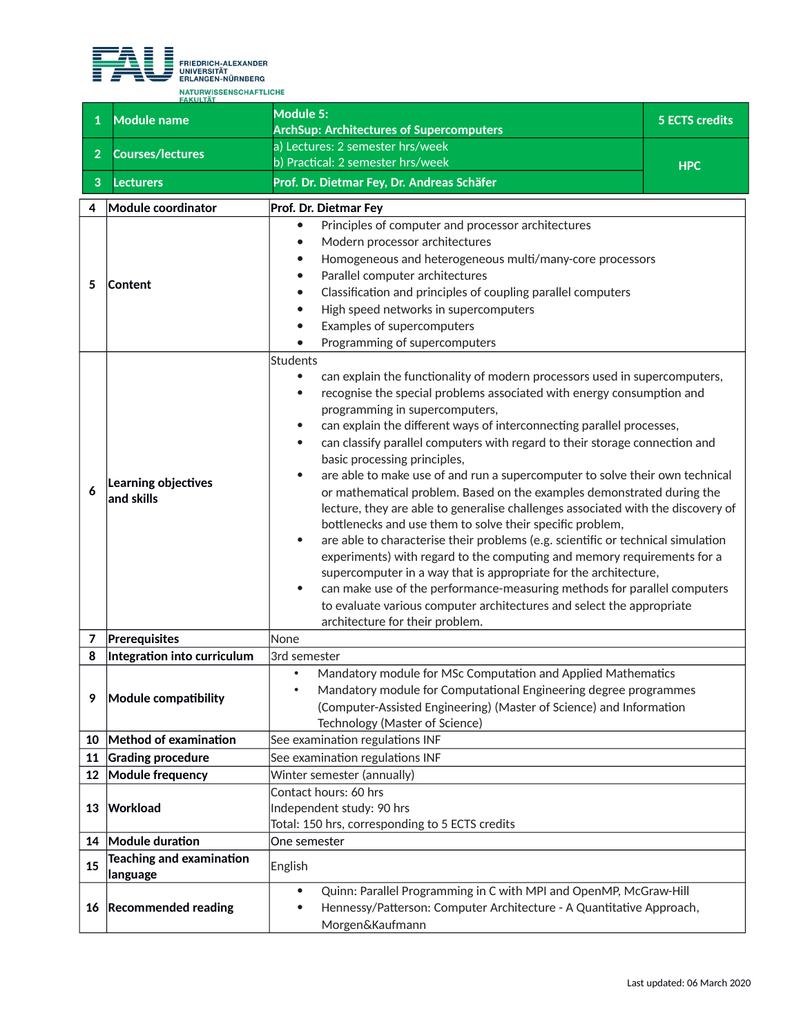

|                 | <b>FAKULTÄT</b>                              |                                                                                          |                       |
|-----------------|----------------------------------------------|------------------------------------------------------------------------------------------|-----------------------|
| $\mathbf{1}$    | Module name                                  | Module 5:                                                                                | <b>5 ECTS credits</b> |
|                 |                                              | <b>ArchSup: Architectures of Supercomputers</b>                                          |                       |
| $\overline{2}$  | <b>Courses/lectures</b>                      | a) Lectures: 2 semester hrs/week                                                         |                       |
|                 |                                              | b) Practical: 2 semester hrs/week                                                        | <b>HPC</b>            |
| 3               | <b>Lecturers</b>                             | Prof. Dr. Dietmar Fey, Dr. Andreas Schäfer                                               |                       |
| 4               | Module coordinator                           | Prof. Dr. Dietmar Fey                                                                    |                       |
|                 |                                              | Principles of computer and processor architectures<br>$\bullet$                          |                       |
|                 |                                              | Modern processor architectures                                                           |                       |
|                 |                                              | Homogeneous and heterogeneous multi/many-core processors                                 |                       |
| 5               |                                              | Parallel computer architectures<br>٠                                                     |                       |
|                 | Content                                      | Classification and principles of coupling parallel computers                             |                       |
|                 |                                              | High speed networks in supercomputers                                                    |                       |
|                 |                                              | Examples of supercomputers                                                               |                       |
|                 |                                              | Programming of supercomputers                                                            |                       |
|                 |                                              | Students                                                                                 |                       |
|                 |                                              | can explain the functionality of modern processors used in supercomputers,<br>$\bullet$  |                       |
|                 |                                              | recognise the special problems associated with energy consumption and<br>$\bullet$       |                       |
|                 |                                              | programming in supercomputers,                                                           |                       |
|                 |                                              | can explain the different ways of interconnecting parallel processes,                    |                       |
|                 |                                              | can classify parallel computers with regard to their storage connection and<br>$\bullet$ |                       |
|                 |                                              | basic processing principles,                                                             |                       |
|                 | Learning objectives                          | are able to make use of and run a supercomputer to solve their own technical             |                       |
| 6               | and skills                                   | or mathematical problem. Based on the examples demonstrated during the                   |                       |
|                 |                                              | lecture, they are able to generalise challenges associated with the discovery of         |                       |
|                 |                                              | bottlenecks and use them to solve their specific problem,                                |                       |
|                 |                                              | are able to characterise their problems (e.g. scientific or technical simulation         |                       |
|                 |                                              | experiments) with regard to the computing and memory requirements for a                  |                       |
|                 |                                              | supercomputer in a way that is appropriate for the architecture,                         |                       |
|                 |                                              | can make use of the performance-measuring methods for parallel computers                 |                       |
|                 |                                              | to evaluate various computer architectures and select the appropriate                    |                       |
|                 |                                              | architecture for their problem.                                                          |                       |
| 7<br>8          | Prerequisites<br>Integration into curriculum | None<br>3rd semester                                                                     |                       |
|                 |                                              | Mandatory module for MSc Computation and Applied Mathematics<br>$\bullet$                |                       |
|                 |                                              | Mandatory module for Computational Engineering degree programmes<br>$\bullet$            |                       |
| 9               | Module compatibility                         | (Computer-Assisted Engineering) (Master of Science) and Information                      |                       |
|                 |                                              | Technology (Master of Science)                                                           |                       |
| 10              | Method of examination                        | See examination regulations INF                                                          |                       |
| 11              | <b>Grading procedure</b>                     | See examination regulations INF                                                          |                       |
| 12 <sup>2</sup> | <b>Module frequency</b>                      | Winter semester (annually)                                                               |                       |
|                 |                                              | Contact hours: 60 hrs                                                                    |                       |
| 13              | Workload                                     | Independent study: 90 hrs                                                                |                       |
|                 |                                              | Total: 150 hrs, corresponding to 5 ECTS credits                                          |                       |
|                 | 14 Module duration                           | One semester                                                                             |                       |
|                 | <b>Teaching and examination</b>              |                                                                                          |                       |
| 15              | language                                     | English                                                                                  |                       |
|                 |                                              | Quinn: Parallel Programming in C with MPI and OpenMP, McGraw-Hill<br>$\bullet$           |                       |
|                 | 16 Recommended reading                       | Hennessy/Patterson: Computer Architecture - A Quantitative Approach,<br>$\bullet$        |                       |
|                 |                                              | Morgen&Kaufmann                                                                          |                       |
|                 |                                              |                                                                                          |                       |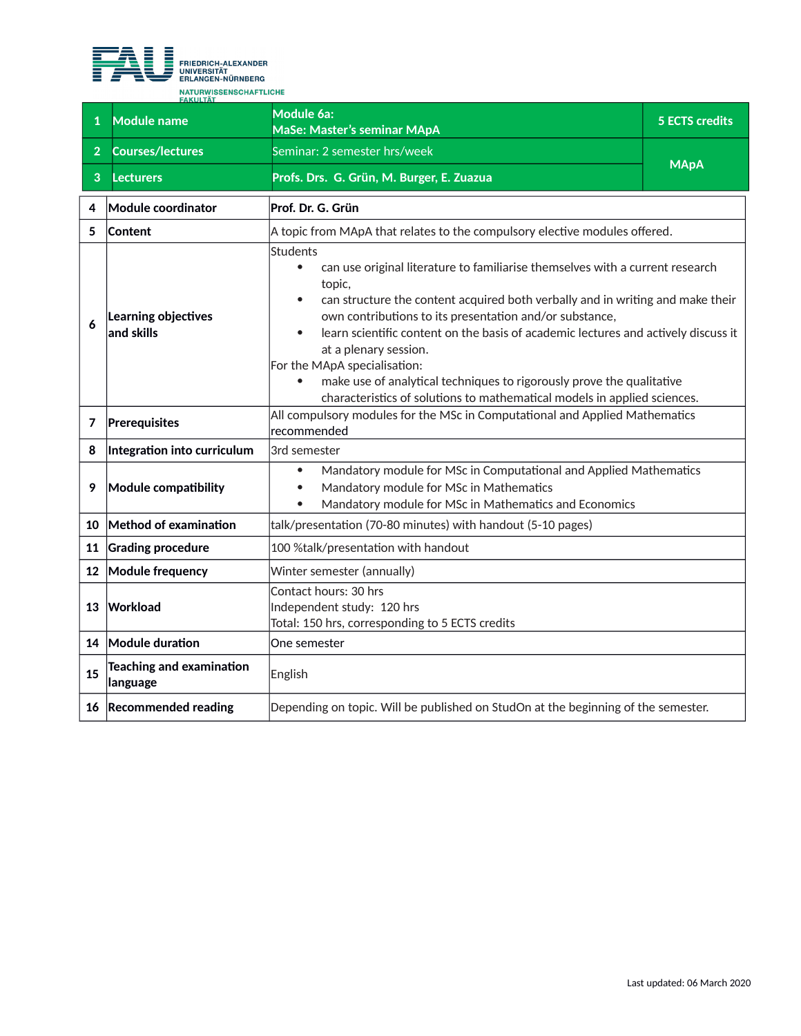

| $\mathbf{1}$   | <b>Module name</b>                          | Module 6a:<br>MaSe: Master's seminar MApA                                                                                                                                                                                                                                                                                                                                                                                                                                                                                                                                      | <b>5 ECTS credits</b> |
|----------------|---------------------------------------------|--------------------------------------------------------------------------------------------------------------------------------------------------------------------------------------------------------------------------------------------------------------------------------------------------------------------------------------------------------------------------------------------------------------------------------------------------------------------------------------------------------------------------------------------------------------------------------|-----------------------|
| $\overline{2}$ | <b>Courses/lectures</b>                     | Seminar: 2 semester hrs/week                                                                                                                                                                                                                                                                                                                                                                                                                                                                                                                                                   |                       |
| 3              | <b>Lecturers</b>                            | Profs. Drs. G. Grün, M. Burger, E. Zuazua                                                                                                                                                                                                                                                                                                                                                                                                                                                                                                                                      | <b>MApA</b>           |
| 4              | Module coordinator                          | Prof. Dr. G. Grün                                                                                                                                                                                                                                                                                                                                                                                                                                                                                                                                                              |                       |
| 5              | <b>Content</b>                              | A topic from MApA that relates to the compulsory elective modules offered.                                                                                                                                                                                                                                                                                                                                                                                                                                                                                                     |                       |
| 6              | Learning objectives<br>and skills           | Students<br>can use original literature to familiarise themselves with a current research<br>$\bullet$<br>topic,<br>can structure the content acquired both verbally and in writing and make their<br>own contributions to its presentation and/or substance,<br>learn scientific content on the basis of academic lectures and actively discuss it<br>at a plenary session.<br>For the MApA specialisation:<br>make use of analytical techniques to rigorously prove the qualitative<br>$\bullet$<br>characteristics of solutions to mathematical models in applied sciences. |                       |
| 7              | Prerequisites                               | All compulsory modules for the MSc in Computational and Applied Mathematics<br>recommended                                                                                                                                                                                                                                                                                                                                                                                                                                                                                     |                       |
| 8              | Integration into curriculum                 | 3rd semester                                                                                                                                                                                                                                                                                                                                                                                                                                                                                                                                                                   |                       |
| 9              | Module compatibility                        | Mandatory module for MSc in Computational and Applied Mathematics<br>$\bullet$<br>Mandatory module for MSc in Mathematics<br>Mandatory module for MSc in Mathematics and Economics<br>$\bullet$                                                                                                                                                                                                                                                                                                                                                                                |                       |
| 10             | Method of examination                       | talk/presentation (70-80 minutes) with handout (5-10 pages)                                                                                                                                                                                                                                                                                                                                                                                                                                                                                                                    |                       |
| 11             | <b>Grading procedure</b>                    | 100 %talk/presentation with handout                                                                                                                                                                                                                                                                                                                                                                                                                                                                                                                                            |                       |
| 12             | Module frequency                            | Winter semester (annually)                                                                                                                                                                                                                                                                                                                                                                                                                                                                                                                                                     |                       |
| 13             | <b>Workload</b>                             | Contact hours: 30 hrs<br>Independent study: 120 hrs<br>Total: 150 hrs, corresponding to 5 ECTS credits                                                                                                                                                                                                                                                                                                                                                                                                                                                                         |                       |
| 14             | Module duration                             | One semester                                                                                                                                                                                                                                                                                                                                                                                                                                                                                                                                                                   |                       |
| 15             | <b>Teaching and examination</b><br>language | English                                                                                                                                                                                                                                                                                                                                                                                                                                                                                                                                                                        |                       |
|                | 16 Recommended reading                      | Depending on topic. Will be published on StudOn at the beginning of the semester.                                                                                                                                                                                                                                                                                                                                                                                                                                                                                              |                       |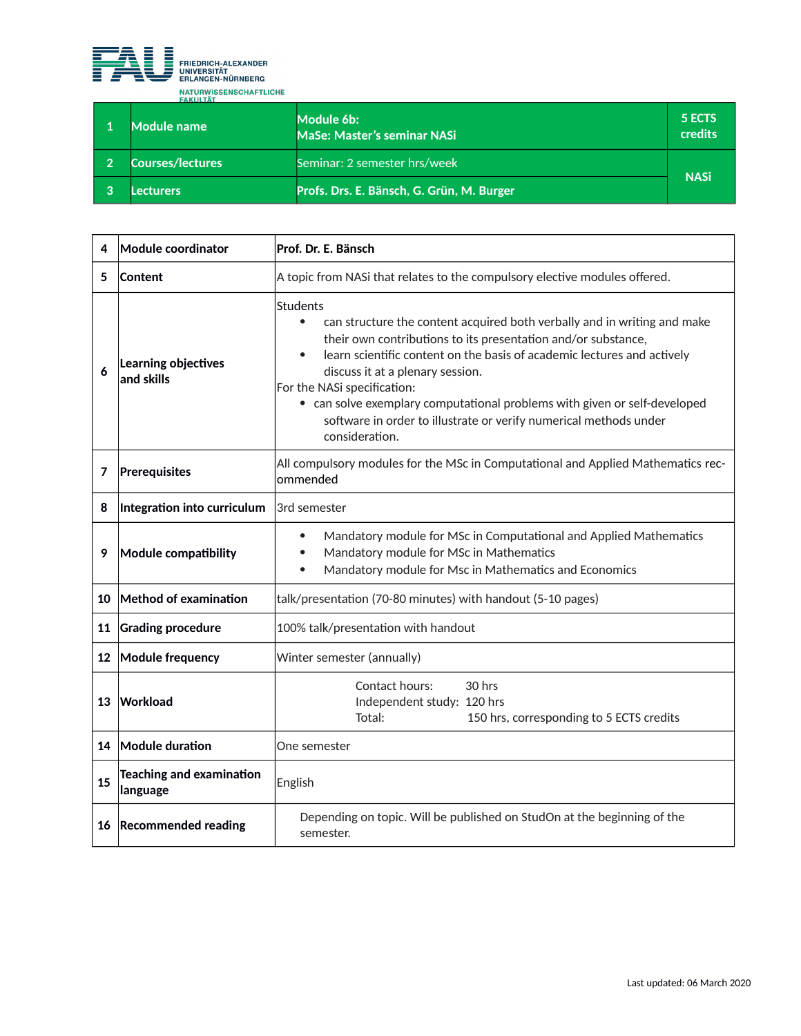

| <b>FAKULIAI</b><br>Module name | Module 6b:<br>MaSe: Master's seminar NASi | 5 ECTS<br>credits |
|--------------------------------|-------------------------------------------|-------------------|
| <b>Courses/lectures</b>        |                                           | <b>NASi</b>       |
| .ecturers                      | Profs. Drs. E. Bänsch, G. Grün, M. Burger |                   |

| 4  | Module coordinator                          | Prof. Dr. E. Bänsch                                                                                                                                                                                                                                                                                                                                                                                                                                                                                      |
|----|---------------------------------------------|----------------------------------------------------------------------------------------------------------------------------------------------------------------------------------------------------------------------------------------------------------------------------------------------------------------------------------------------------------------------------------------------------------------------------------------------------------------------------------------------------------|
| 5  | <b>Content</b>                              | A topic from NASi that relates to the compulsory elective modules offered.                                                                                                                                                                                                                                                                                                                                                                                                                               |
| 6  | Learning objectives<br>and skills           | <b>Students</b><br>$\bullet$<br>can structure the content acquired both verbally and in writing and make<br>their own contributions to its presentation and/or substance,<br>learn scientific content on the basis of academic lectures and actively<br>$\bullet$<br>discuss it at a plenary session.<br>For the NASi specification:<br>• can solve exemplary computational problems with given or self-developed<br>software in order to illustrate or verify numerical methods under<br>consideration. |
| 7  | Prerequisites                               | All compulsory modules for the MSc in Computational and Applied Mathematics rec-<br>ommended                                                                                                                                                                                                                                                                                                                                                                                                             |
| 8  | Integration into curriculum                 | 3rd semester                                                                                                                                                                                                                                                                                                                                                                                                                                                                                             |
| 9  | Module compatibility                        | Mandatory module for MSc in Computational and Applied Mathematics<br>$\bullet$<br>Mandatory module for MSc in Mathematics<br>$\bullet$<br>Mandatory module for Msc in Mathematics and Economics<br>$\bullet$                                                                                                                                                                                                                                                                                             |
| 10 | Method of examination                       | talk/presentation (70-80 minutes) with handout (5-10 pages)                                                                                                                                                                                                                                                                                                                                                                                                                                              |
| 11 | <b>Grading procedure</b>                    | 100% talk/presentation with handout                                                                                                                                                                                                                                                                                                                                                                                                                                                                      |
|    | 12 Module frequency                         | Winter semester (annually)                                                                                                                                                                                                                                                                                                                                                                                                                                                                               |
| 13 | Workload                                    | Contact hours:<br>30 hrs<br>Independent study: 120 hrs<br>150 hrs, corresponding to 5 ECTS credits<br>Total:                                                                                                                                                                                                                                                                                                                                                                                             |
|    | 14 Module duration                          | One semester                                                                                                                                                                                                                                                                                                                                                                                                                                                                                             |
| 15 | <b>Teaching and examination</b><br>language | English                                                                                                                                                                                                                                                                                                                                                                                                                                                                                                  |
| 16 | <b>Recommended reading</b>                  | Depending on topic. Will be published on StudOn at the beginning of the<br>semester.                                                                                                                                                                                                                                                                                                                                                                                                                     |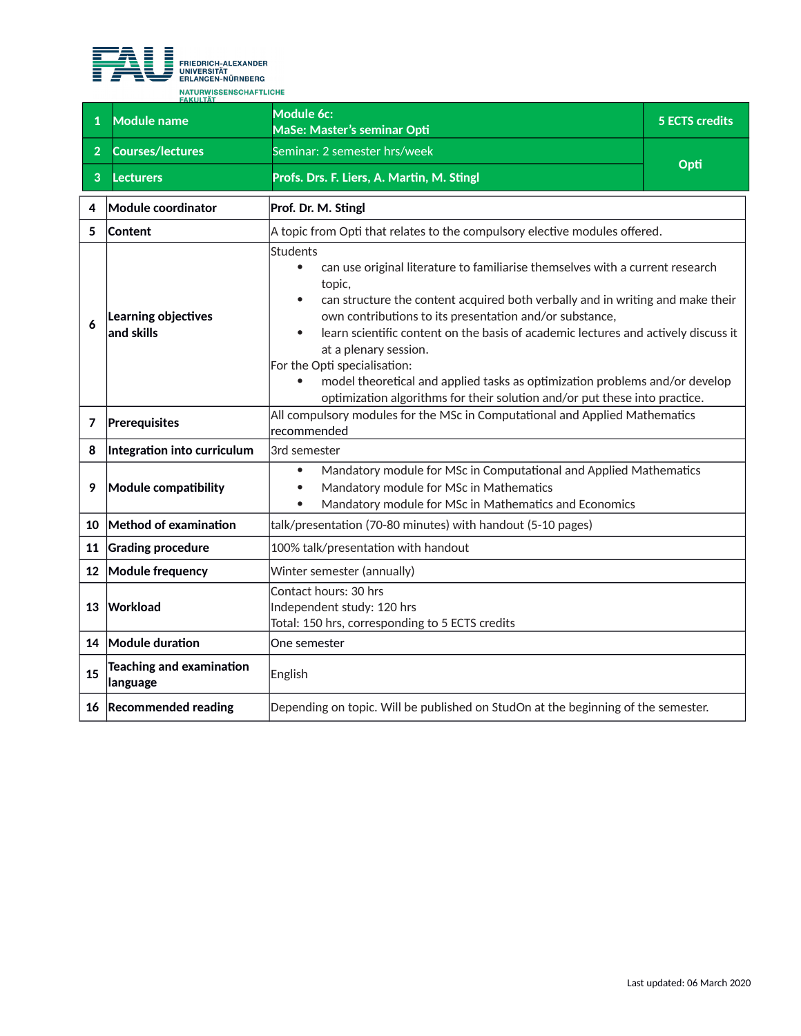

| $\mathbf{1}$   | <b>Module name</b>                          | Module 6c:<br>MaSe: Master's seminar Opti                                                                                                                                                                                                                                                                                                                                                                                                                                                                                                                                                     | <b>5 ECTS credits</b> |
|----------------|---------------------------------------------|-----------------------------------------------------------------------------------------------------------------------------------------------------------------------------------------------------------------------------------------------------------------------------------------------------------------------------------------------------------------------------------------------------------------------------------------------------------------------------------------------------------------------------------------------------------------------------------------------|-----------------------|
| 2 <sup>1</sup> | <b>Courses/lectures</b>                     | Seminar: 2 semester hrs/week                                                                                                                                                                                                                                                                                                                                                                                                                                                                                                                                                                  |                       |
| 3              | <b>Lecturers</b>                            | Profs. Drs. F. Liers, A. Martin, M. Stingl                                                                                                                                                                                                                                                                                                                                                                                                                                                                                                                                                    | Opti                  |
| 4              | Module coordinator                          | Prof. Dr. M. Stingl                                                                                                                                                                                                                                                                                                                                                                                                                                                                                                                                                                           |                       |
| 5              | Content                                     | A topic from Opti that relates to the compulsory elective modules offered.                                                                                                                                                                                                                                                                                                                                                                                                                                                                                                                    |                       |
| 6              | Learning objectives<br>and skills           | <b>Students</b><br>can use original literature to familiarise themselves with a current research<br>$\bullet$<br>topic,<br>can structure the content acquired both verbally and in writing and make their<br>own contributions to its presentation and/or substance,<br>learn scientific content on the basis of academic lectures and actively discuss it<br>at a plenary session.<br>For the Opti specialisation:<br>model theoretical and applied tasks as optimization problems and/or develop<br>$\bullet$<br>optimization algorithms for their solution and/or put these into practice. |                       |
| 7              | Prerequisites                               | All compulsory modules for the MSc in Computational and Applied Mathematics<br>recommended                                                                                                                                                                                                                                                                                                                                                                                                                                                                                                    |                       |
| 8              | Integration into curriculum                 | 3rd semester                                                                                                                                                                                                                                                                                                                                                                                                                                                                                                                                                                                  |                       |
| 9              | Module compatibility                        | Mandatory module for MSc in Computational and Applied Mathematics<br>$\bullet$<br>Mandatory module for MSc in Mathematics<br>$\bullet$<br>Mandatory module for MSc in Mathematics and Economics<br>$\bullet$                                                                                                                                                                                                                                                                                                                                                                                  |                       |
| 10             | Method of examination                       | talk/presentation (70-80 minutes) with handout (5-10 pages)                                                                                                                                                                                                                                                                                                                                                                                                                                                                                                                                   |                       |
| 11             | <b>Grading procedure</b>                    | 100% talk/presentation with handout                                                                                                                                                                                                                                                                                                                                                                                                                                                                                                                                                           |                       |
| 12             | Module frequency                            | Winter semester (annually)                                                                                                                                                                                                                                                                                                                                                                                                                                                                                                                                                                    |                       |
| 13             | Workload                                    | Contact hours: 30 hrs<br>Independent study: 120 hrs<br>Total: 150 hrs, corresponding to 5 ECTS credits                                                                                                                                                                                                                                                                                                                                                                                                                                                                                        |                       |
| 14             | Module duration                             | One semester                                                                                                                                                                                                                                                                                                                                                                                                                                                                                                                                                                                  |                       |
| 15             | <b>Teaching and examination</b><br>language | English                                                                                                                                                                                                                                                                                                                                                                                                                                                                                                                                                                                       |                       |
|                | 16 Recommended reading                      | Depending on topic. Will be published on StudOn at the beginning of the semester.                                                                                                                                                                                                                                                                                                                                                                                                                                                                                                             |                       |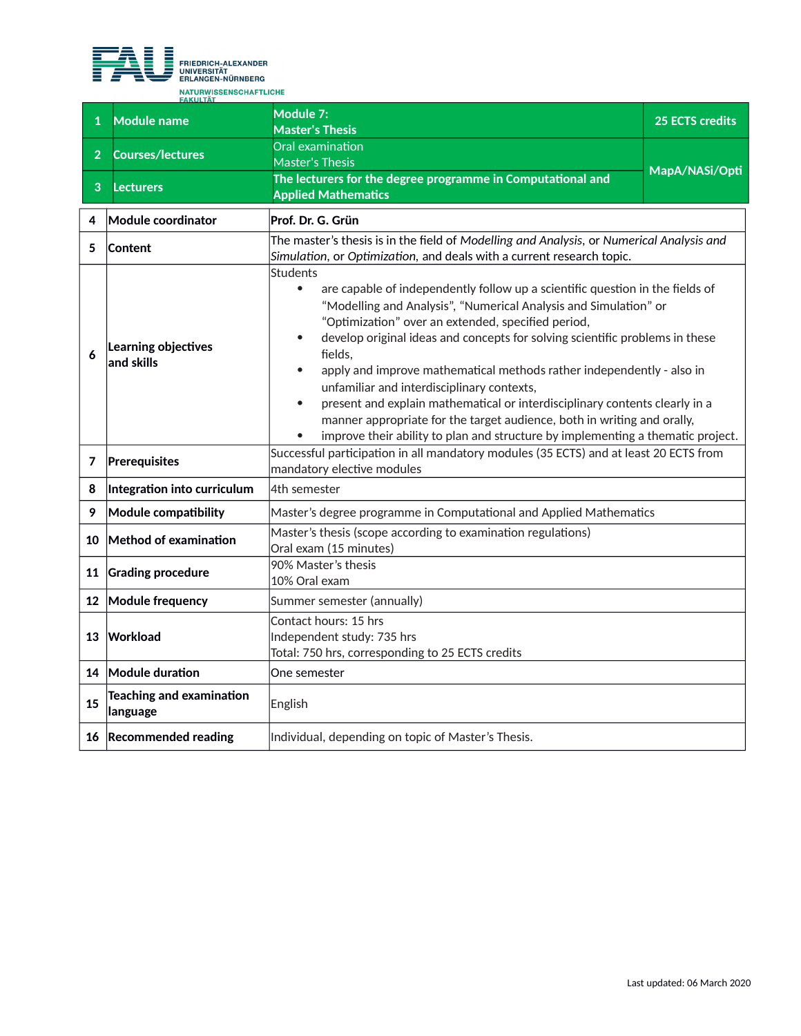

| $\mathbf{1}$    | <b>Module name</b>                          | Module 7:<br><b>Master's Thesis</b>                                                                                                                                                                                                                                                                                                                                                                                                                                                                                                                                                                                                                                                                                              | <b>25 ECTS credits</b> |
|-----------------|---------------------------------------------|----------------------------------------------------------------------------------------------------------------------------------------------------------------------------------------------------------------------------------------------------------------------------------------------------------------------------------------------------------------------------------------------------------------------------------------------------------------------------------------------------------------------------------------------------------------------------------------------------------------------------------------------------------------------------------------------------------------------------------|------------------------|
| $\overline{2}$  | <b>Courses/lectures</b>                     | Oral examination<br><b>Master's Thesis</b>                                                                                                                                                                                                                                                                                                                                                                                                                                                                                                                                                                                                                                                                                       | MapA/NASi/Opti         |
| 3               | <b>Lecturers</b>                            | The lecturers for the degree programme in Computational and<br><b>Applied Mathematics</b>                                                                                                                                                                                                                                                                                                                                                                                                                                                                                                                                                                                                                                        |                        |
| 4               | Module coordinator                          | Prof. Dr. G. Grün                                                                                                                                                                                                                                                                                                                                                                                                                                                                                                                                                                                                                                                                                                                |                        |
| 5               | <b>Content</b>                              | The master's thesis is in the field of Modelling and Analysis, or Numerical Analysis and<br>Simulation, or Optimization, and deals with a current research topic.                                                                                                                                                                                                                                                                                                                                                                                                                                                                                                                                                                |                        |
| 6               | Learning objectives<br>and skills           | <b>Students</b><br>are capable of independently follow up a scientific question in the fields of<br>$\bullet$<br>"Modelling and Analysis", "Numerical Analysis and Simulation" or<br>"Optimization" over an extended, specified period,<br>develop original ideas and concepts for solving scientific problems in these<br>fields.<br>apply and improve mathematical methods rather independently - also in<br>unfamiliar and interdisciplinary contexts,<br>present and explain mathematical or interdisciplinary contents clearly in a<br>$\bullet$<br>manner appropriate for the target audience, both in writing and orally,<br>improve their ability to plan and structure by implementing a thematic project.<br>$\bullet$ |                        |
| 7               | Prerequisites                               | Successful participation in all mandatory modules (35 ECTS) and at least 20 ECTS from<br>mandatory elective modules                                                                                                                                                                                                                                                                                                                                                                                                                                                                                                                                                                                                              |                        |
| 8               | Integration into curriculum                 | 4th semester                                                                                                                                                                                                                                                                                                                                                                                                                                                                                                                                                                                                                                                                                                                     |                        |
| 9               | <b>Module compatibility</b>                 | Master's degree programme in Computational and Applied Mathematics                                                                                                                                                                                                                                                                                                                                                                                                                                                                                                                                                                                                                                                               |                        |
|                 | 10 Method of examination                    | Master's thesis (scope according to examination regulations)<br>Oral exam (15 minutes)                                                                                                                                                                                                                                                                                                                                                                                                                                                                                                                                                                                                                                           |                        |
| 11              | <b>Grading procedure</b>                    | 90% Master's thesis<br>10% Oral exam                                                                                                                                                                                                                                                                                                                                                                                                                                                                                                                                                                                                                                                                                             |                        |
| 12 <sup>1</sup> | Module frequency                            | Summer semester (annually)                                                                                                                                                                                                                                                                                                                                                                                                                                                                                                                                                                                                                                                                                                       |                        |
| 13              | Workload                                    | Contact hours: 15 hrs<br>Independent study: 735 hrs<br>Total: 750 hrs, corresponding to 25 ECTS credits                                                                                                                                                                                                                                                                                                                                                                                                                                                                                                                                                                                                                          |                        |
|                 | 14 Module duration                          | One semester                                                                                                                                                                                                                                                                                                                                                                                                                                                                                                                                                                                                                                                                                                                     |                        |
| 15              | <b>Teaching and examination</b><br>language | English                                                                                                                                                                                                                                                                                                                                                                                                                                                                                                                                                                                                                                                                                                                          |                        |
|                 | 16 Recommended reading                      | Individual, depending on topic of Master's Thesis.                                                                                                                                                                                                                                                                                                                                                                                                                                                                                                                                                                                                                                                                               |                        |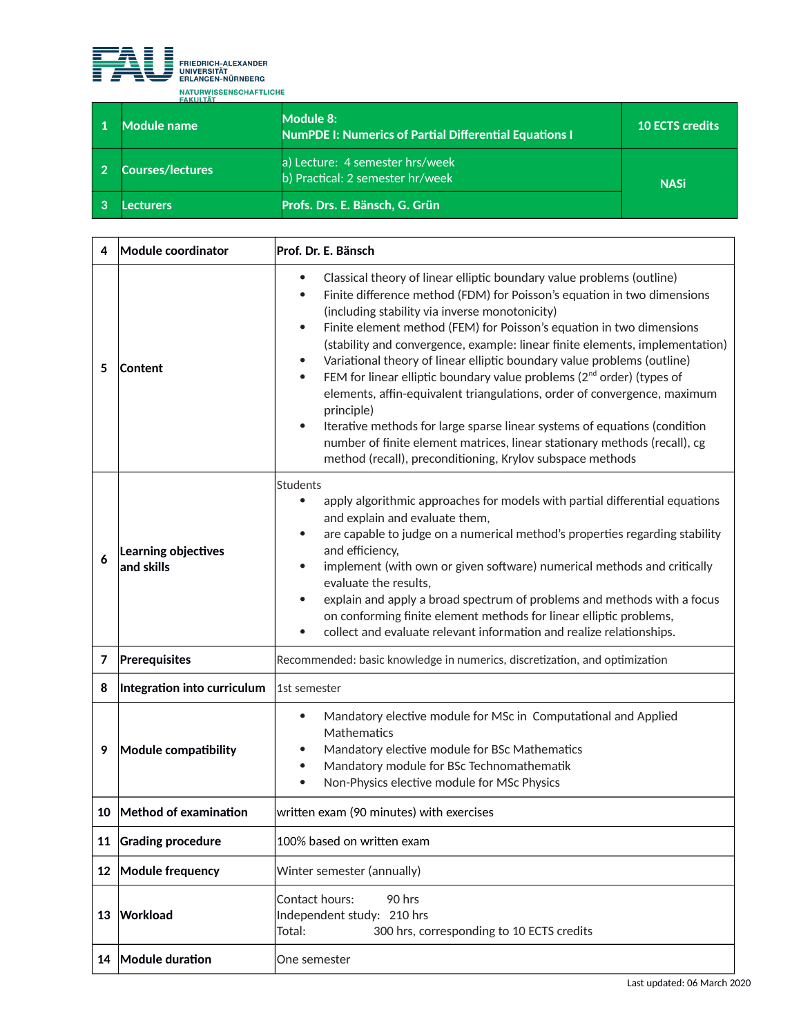

| Module name      | Module 8:<br><b>NumPDE I: Numerics of Partial Differential Equations I</b> | <b>10 ECTS credits</b> |
|------------------|----------------------------------------------------------------------------|------------------------|
| Courses/lectures | a) Lecture: 4 semester hrs/week<br>b) Practical: 2 semester hr/week        | <b>NASi</b>            |
| ecturers         | Profs. Drs. E. Bänsch, G. Grün                                             |                        |

| 4               | Module coordinator                | Prof. Dr. E. Bänsch                                                                                                                                                                                                                                                                                                                                                                                                                                                                                                                                                                                                                                                                                                                                                                                                                                                                                                       |  |
|-----------------|-----------------------------------|---------------------------------------------------------------------------------------------------------------------------------------------------------------------------------------------------------------------------------------------------------------------------------------------------------------------------------------------------------------------------------------------------------------------------------------------------------------------------------------------------------------------------------------------------------------------------------------------------------------------------------------------------------------------------------------------------------------------------------------------------------------------------------------------------------------------------------------------------------------------------------------------------------------------------|--|
| 5               | Content                           | Classical theory of linear elliptic boundary value problems (outline)<br>$\bullet$<br>Finite difference method (FDM) for Poisson's equation in two dimensions<br>$\bullet$<br>(including stability via inverse monotonicity)<br>Finite element method (FEM) for Poisson's equation in two dimensions<br>$\bullet$<br>(stability and convergence, example: linear finite elements, implementation)<br>Variational theory of linear elliptic boundary value problems (outline)<br>$\bullet$<br>FEM for linear elliptic boundary value problems (2 <sup>nd</sup> order) (types of<br>$\bullet$<br>elements, affin-equivalent triangulations, order of convergence, maximum<br>principle)<br>Iterative methods for large sparse linear systems of equations (condition<br>$\bullet$<br>number of finite element matrices, linear stationary methods (recall), cg<br>method (recall), preconditioning, Krylov subspace methods |  |
| 6               | Learning objectives<br>and skills | <b>Students</b><br>apply algorithmic approaches for models with partial differential equations<br>$\bullet$<br>and explain and evaluate them,<br>are capable to judge on a numerical method's properties regarding stability<br>$\bullet$<br>and efficiency,<br>implement (with own or given software) numerical methods and critically<br>evaluate the results,<br>explain and apply a broad spectrum of problems and methods with a focus<br>$\bullet$<br>on conforming finite element methods for linear elliptic problems,<br>collect and evaluate relevant information and realize relationships.<br>$\bullet$                                                                                                                                                                                                                                                                                                       |  |
| 7               | Prerequisites                     | Recommended: basic knowledge in numerics, discretization, and optimization                                                                                                                                                                                                                                                                                                                                                                                                                                                                                                                                                                                                                                                                                                                                                                                                                                                |  |
| 8               | Integration into curriculum       | 1st semester                                                                                                                                                                                                                                                                                                                                                                                                                                                                                                                                                                                                                                                                                                                                                                                                                                                                                                              |  |
| 9               | Module compatibility              | Mandatory elective module for MSc in Computational and Applied<br>$\bullet$<br>Mathematics<br>Mandatory elective module for BSc Mathematics<br>Mandatory module for BSc Technomathematik<br>$\bullet$<br>Non-Physics elective module for MSc Physics<br>$\bullet$                                                                                                                                                                                                                                                                                                                                                                                                                                                                                                                                                                                                                                                         |  |
| 10              | Method of examination             | written exam (90 minutes) with exercises                                                                                                                                                                                                                                                                                                                                                                                                                                                                                                                                                                                                                                                                                                                                                                                                                                                                                  |  |
| 11              | <b>Grading procedure</b>          | 100% based on written exam                                                                                                                                                                                                                                                                                                                                                                                                                                                                                                                                                                                                                                                                                                                                                                                                                                                                                                |  |
| 12 <sup>2</sup> | <b>Module frequency</b>           | Winter semester (annually)                                                                                                                                                                                                                                                                                                                                                                                                                                                                                                                                                                                                                                                                                                                                                                                                                                                                                                |  |
| 13              | Workload                          | Contact hours:<br>90 hrs<br>Independent study: 210 hrs<br>300 hrs, corresponding to 10 ECTS credits<br>Total:                                                                                                                                                                                                                                                                                                                                                                                                                                                                                                                                                                                                                                                                                                                                                                                                             |  |
| 14              | Module duration                   | One semester                                                                                                                                                                                                                                                                                                                                                                                                                                                                                                                                                                                                                                                                                                                                                                                                                                                                                                              |  |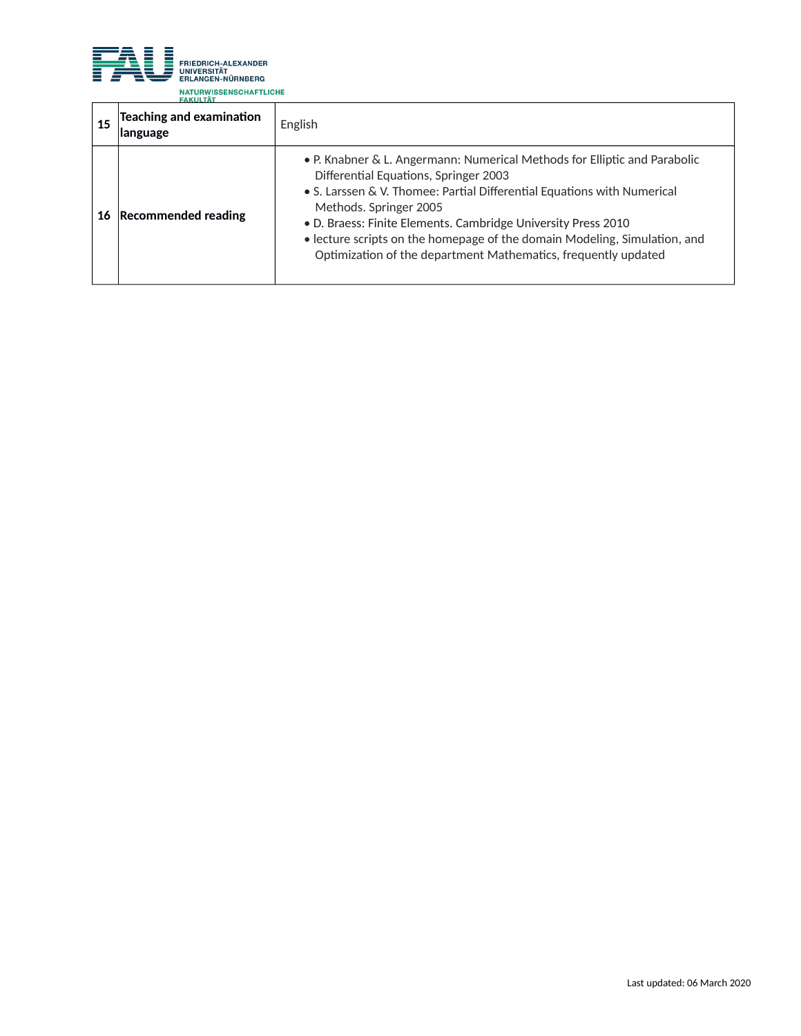

| 15 | <b>Teaching and examination</b><br>language | English                                                                                                                                                                                                                                                                                                                                                                                                                                 |
|----|---------------------------------------------|-----------------------------------------------------------------------------------------------------------------------------------------------------------------------------------------------------------------------------------------------------------------------------------------------------------------------------------------------------------------------------------------------------------------------------------------|
| 16 | <b>Recommended reading</b>                  | • P. Knabner & L. Angermann: Numerical Methods for Elliptic and Parabolic<br>Differential Equations, Springer 2003<br>• S. Larssen & V. Thomee: Partial Differential Equations with Numerical<br>Methods. Springer 2005<br>. D. Braess: Finite Elements. Cambridge University Press 2010<br>• lecture scripts on the homepage of the domain Modeling, Simulation, and<br>Optimization of the department Mathematics, frequently updated |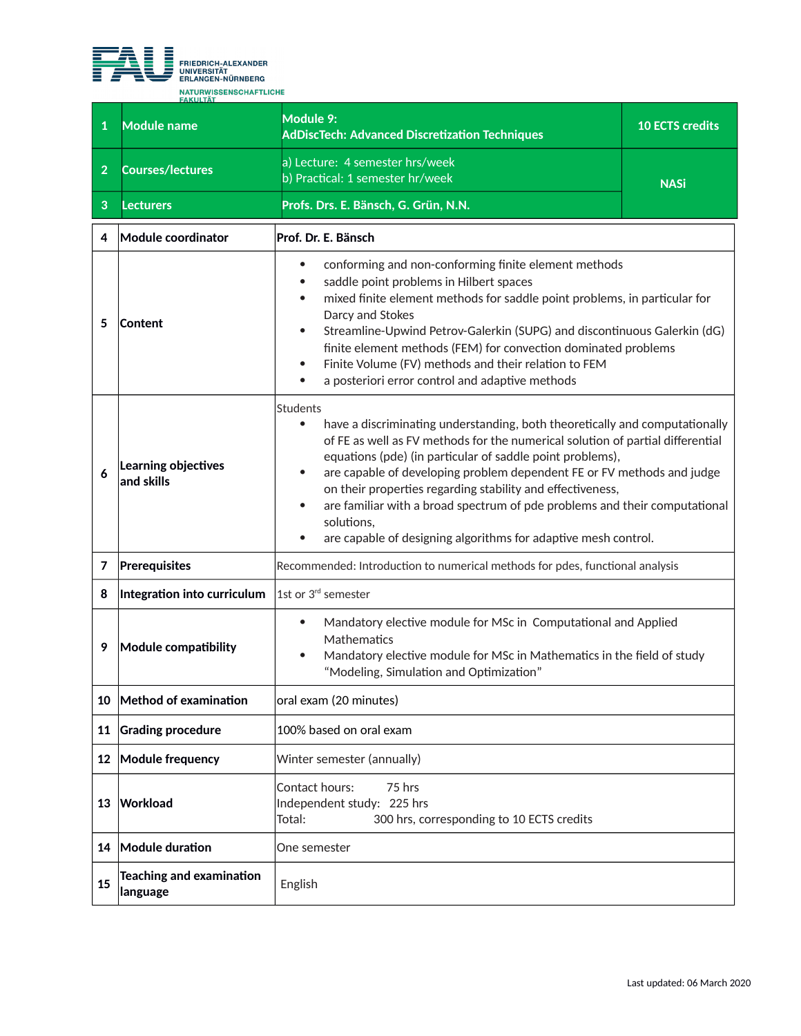

| 1              | <b>Module name</b>                          | Module 9:<br><b>AdDiscTech: Advanced Discretization Techniques</b>                                                                                                                                                                                                                                                                                                                                                                                                                                                                                                                                      | <b>10 ECTS credits</b> |
|----------------|---------------------------------------------|---------------------------------------------------------------------------------------------------------------------------------------------------------------------------------------------------------------------------------------------------------------------------------------------------------------------------------------------------------------------------------------------------------------------------------------------------------------------------------------------------------------------------------------------------------------------------------------------------------|------------------------|
| $\overline{2}$ | <b>Courses/lectures</b>                     | a) Lecture: 4 semester hrs/week<br>b) Practical: 1 semester hr/week                                                                                                                                                                                                                                                                                                                                                                                                                                                                                                                                     | <b>NASi</b>            |
| 3              | <b>Lecturers</b>                            | Profs. Drs. E. Bänsch, G. Grün, N.N.                                                                                                                                                                                                                                                                                                                                                                                                                                                                                                                                                                    |                        |
| 4              | Module coordinator                          | Prof. Dr. E. Bänsch                                                                                                                                                                                                                                                                                                                                                                                                                                                                                                                                                                                     |                        |
| 5              | Content                                     | conforming and non-conforming finite element methods<br>$\bullet$<br>saddle point problems in Hilbert spaces<br>mixed finite element methods for saddle point problems, in particular for<br>Darcy and Stokes<br>Streamline-Upwind Petrov-Galerkin (SUPG) and discontinuous Galerkin (dG)<br>$\bullet$<br>finite element methods (FEM) for convection dominated problems<br>Finite Volume (FV) methods and their relation to FEM<br>$\bullet$<br>a posteriori error control and adaptive methods<br>$\bullet$                                                                                           |                        |
| 6              | Learning objectives<br>and skills           | <b>Students</b><br>have a discriminating understanding, both theoretically and computationally<br>$\bullet$<br>of FE as well as FV methods for the numerical solution of partial differential<br>equations (pde) (in particular of saddle point problems),<br>are capable of developing problem dependent FE or FV methods and judge<br>$\bullet$<br>on their properties regarding stability and effectiveness,<br>are familiar with a broad spectrum of pde problems and their computational<br>$\bullet$<br>solutions,<br>are capable of designing algorithms for adaptive mesh control.<br>$\bullet$ |                        |
| 7              | Prerequisites                               | Recommended: Introduction to numerical methods for pdes, functional analysis                                                                                                                                                                                                                                                                                                                                                                                                                                                                                                                            |                        |
| 8              | Integration into curriculum                 | 1st or 3 <sup>rd</sup> semester                                                                                                                                                                                                                                                                                                                                                                                                                                                                                                                                                                         |                        |
| 9              | Module compatibility                        | Mandatory elective module for MSc in Computational and Applied<br>$\bullet$<br>Mathematics<br>Mandatory elective module for MSc in Mathematics in the field of study<br>$\bullet$<br>"Modeling, Simulation and Optimization"                                                                                                                                                                                                                                                                                                                                                                            |                        |
| 10             | $\blacksquare$ Method of examination        | oral exam (20 minutes)                                                                                                                                                                                                                                                                                                                                                                                                                                                                                                                                                                                  |                        |
| 11             | <b>Grading procedure</b>                    | 100% based on oral exam                                                                                                                                                                                                                                                                                                                                                                                                                                                                                                                                                                                 |                        |
| 12             | Module frequency                            | Winter semester (annually)                                                                                                                                                                                                                                                                                                                                                                                                                                                                                                                                                                              |                        |
| 13             | Workload                                    | Contact hours:<br>75 hrs<br>Independent study: 225 hrs<br>300 hrs, corresponding to 10 ECTS credits<br>Total:                                                                                                                                                                                                                                                                                                                                                                                                                                                                                           |                        |
| 14             | Module duration                             | One semester                                                                                                                                                                                                                                                                                                                                                                                                                                                                                                                                                                                            |                        |
| 15             | <b>Teaching and examination</b><br>language | English                                                                                                                                                                                                                                                                                                                                                                                                                                                                                                                                                                                                 |                        |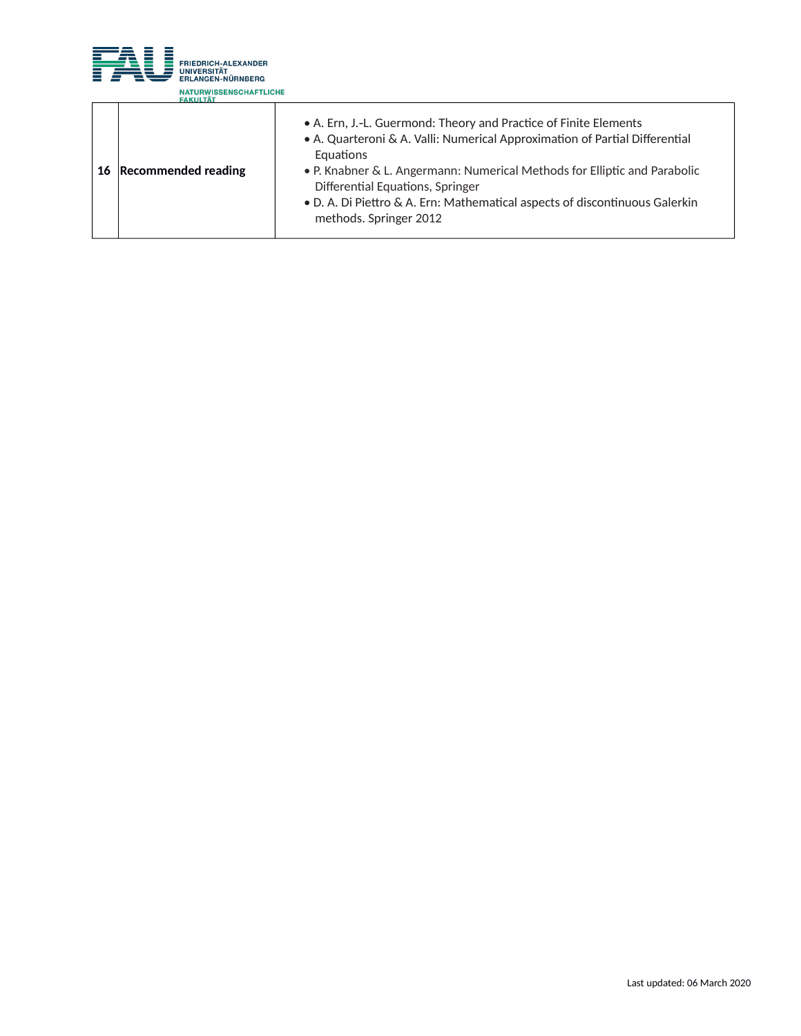

| 16 | <b>Recommended reading</b> | • A. Ern, J.-L. Guermond: Theory and Practice of Finite Elements<br>• A. Quarteroni & A. Valli: Numerical Approximation of Partial Differential<br>Equations<br>• P. Knabner & L. Angermann: Numerical Methods for Elliptic and Parabolic<br>Differential Equations, Springer<br>• D. A. Di Piettro & A. Ern: Mathematical aspects of discontinuous Galerkin<br>methods. Springer 2012 |
|----|----------------------------|----------------------------------------------------------------------------------------------------------------------------------------------------------------------------------------------------------------------------------------------------------------------------------------------------------------------------------------------------------------------------------------|
|    |                            |                                                                                                                                                                                                                                                                                                                                                                                        |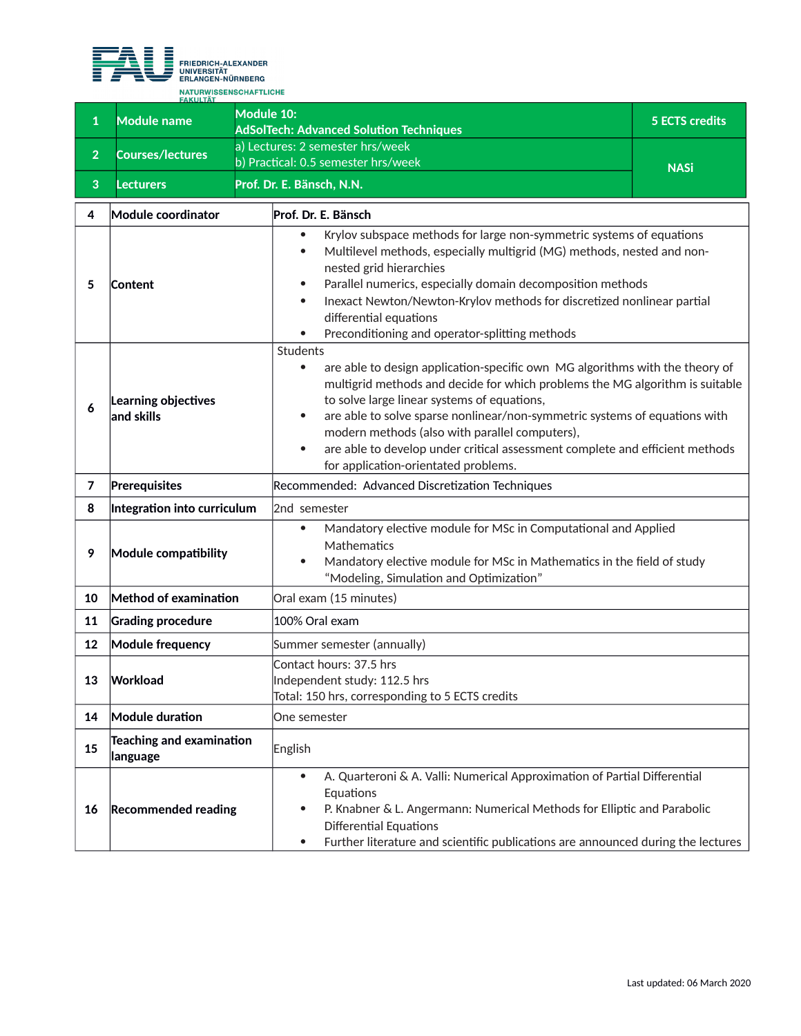

**<sup>1</sup> Module name Module 10: AdSolTech: Advanced Solution Techniques 5 ECTS credits <sup>2</sup> Courses/lectures** a) Lectures: 2 semester hrs/week b) Practical: 0.5 semester hrs/week NASi **3 Lecturers Prof. Dr. E. Bänsch, N.N. 4 Module coordinator Prof. Dr. E. Bänsch 5 Content** Krylov subspace methods for large non-symmetric systems of equations Multilevel methods, especially multigrid (MG) methods, nested and nonnested grid hierarchies Parallel numerics, especially domain decomposition methods Inexact Newton/Newton-Krylov methods for discretized nonlinear partial differential equations • Preconditioning and operator-splitting methods **6 Learning objectives and skills** Students • are able to design application-specific own MG algorithms with the theory of multigrid methods and decide for which problems the MG algorithm is suitable to solve large linear systems of equations, are able to solve sparse nonlinear/non-symmetric systems of equations with modern methods (also with parallel computers), are able to develop under critical assessment complete and efficient methods for application-orientated problems. **7 Prerequisites** Recommended: Advanced Discretization Techniques **8 Integration into curriculum** 2nd semester **9 Module compatibility** Mandatory elective module for MSc in Computational and Applied **Mathematics**  Mandatory elective module for MSc in Mathematics in the field of study "Modeling, Simulation and Optimization" **10 Method of examination Oral exam (15 minutes) 11 Grading procedure** 100% Oral exam **12 Module frequency** Summer semester (annually) **13 Workload** Contact hours: 37.5 hrs Independent study: 112.5 hrs Total: 150 hrs, corresponding to 5 ECTS credits **14 Module duration One semester <sup>15</sup> Teaching and examination leaching and camming on Finglish 16 Recommended reading** A. Quarteroni & A. Valli: Numerical Approximation of Partial Differential Equations P. Knabner & L. Angermann: Numerical Methods for Elliptic and Parabolic Differential Equations Further literature and scientific publications are announced during the lectures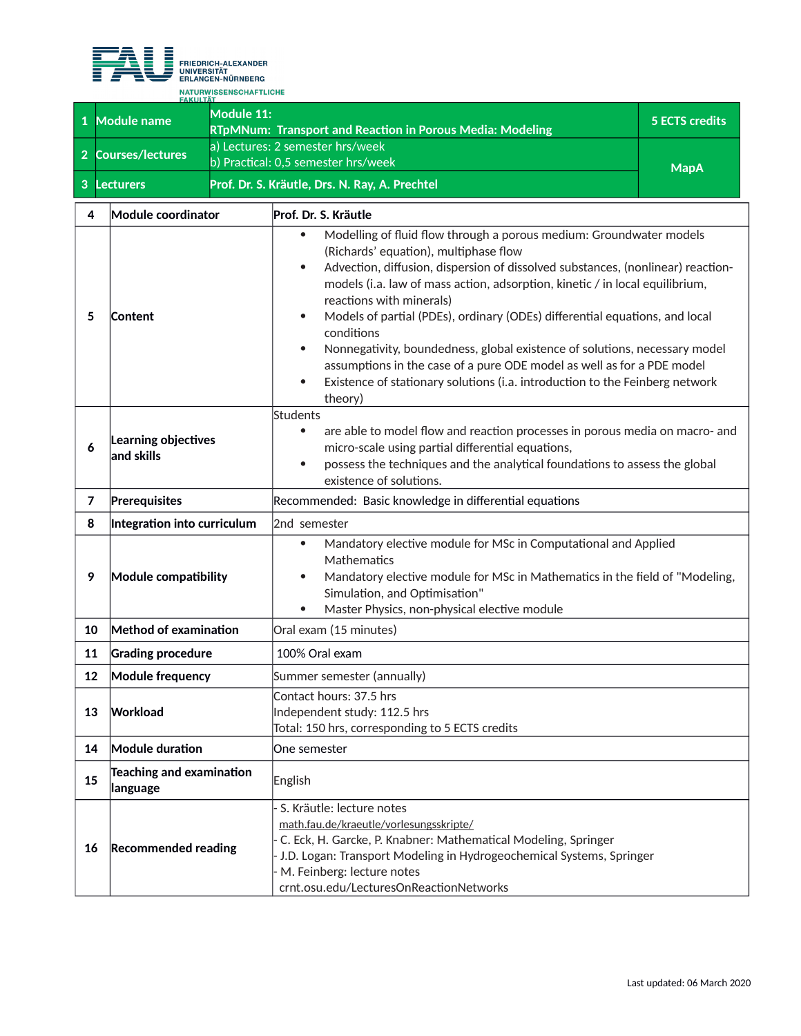

**1 Module name Module 11: RTpMNum: Transport and Reaction in Porous Media: Modeling 5 ECTS credits <sup>2</sup> Courses/lectures** a) Lectures: 2 semester hrs/week b) Practical: 0,5 semester hrs/week MapA **3 Lecturers Prof. Dr. S. Kräutle, Drs. N. Ray, A. Prechtel**

| 4  | <b>Module coordinator</b>            | Prof. Dr. S. Kräutle                                                                                                                                                                                                                                                                                                                                                                                                                                                                                                                                                                                                                                                                                                         |
|----|--------------------------------------|------------------------------------------------------------------------------------------------------------------------------------------------------------------------------------------------------------------------------------------------------------------------------------------------------------------------------------------------------------------------------------------------------------------------------------------------------------------------------------------------------------------------------------------------------------------------------------------------------------------------------------------------------------------------------------------------------------------------------|
| 5  | Content                              | Modelling of fluid flow through a porous medium: Groundwater models<br>$\bullet$<br>(Richards' equation), multiphase flow<br>Advection, diffusion, dispersion of dissolved substances, (nonlinear) reaction-<br>$\bullet$<br>models (i.a. law of mass action, adsorption, kinetic / in local equilibrium,<br>reactions with minerals)<br>Models of partial (PDEs), ordinary (ODEs) differential equations, and local<br>$\bullet$<br>conditions<br>Nonnegativity, boundedness, global existence of solutions, necessary model<br>$\bullet$<br>assumptions in the case of a pure ODE model as well as for a PDE model<br>Existence of stationary solutions (i.a. introduction to the Feinberg network<br>$\bullet$<br>theory) |
| 6  | Learning objectives<br>and skills    | Students<br>are able to model flow and reaction processes in porous media on macro- and<br>$\bullet$<br>micro-scale using partial differential equations,<br>possess the techniques and the analytical foundations to assess the global<br>$\bullet$<br>existence of solutions.                                                                                                                                                                                                                                                                                                                                                                                                                                              |
| 7  | Prerequisites                        | Recommended: Basic knowledge in differential equations                                                                                                                                                                                                                                                                                                                                                                                                                                                                                                                                                                                                                                                                       |
| 8  | Integration into curriculum          | 2nd semester                                                                                                                                                                                                                                                                                                                                                                                                                                                                                                                                                                                                                                                                                                                 |
| 9  | Module compatibility                 | Mandatory elective module for MSc in Computational and Applied<br>$\bullet$<br>Mathematics<br>Mandatory elective module for MSc in Mathematics in the field of "Modeling,<br>$\bullet$<br>Simulation, and Optimisation"<br>Master Physics, non-physical elective module<br>$\bullet$                                                                                                                                                                                                                                                                                                                                                                                                                                         |
| 10 | Method of examination                | Oral exam (15 minutes)                                                                                                                                                                                                                                                                                                                                                                                                                                                                                                                                                                                                                                                                                                       |
| 11 | <b>Grading procedure</b>             | 100% Oral exam                                                                                                                                                                                                                                                                                                                                                                                                                                                                                                                                                                                                                                                                                                               |
| 12 | <b>Module frequency</b>              | Summer semester (annually)                                                                                                                                                                                                                                                                                                                                                                                                                                                                                                                                                                                                                                                                                                   |
| 13 | Workload                             | Contact hours: 37.5 hrs<br>Independent study: 112.5 hrs<br>Total: 150 hrs, corresponding to 5 ECTS credits                                                                                                                                                                                                                                                                                                                                                                                                                                                                                                                                                                                                                   |
| 14 | Module duration                      | One semester                                                                                                                                                                                                                                                                                                                                                                                                                                                                                                                                                                                                                                                                                                                 |
| 15 | Teaching and examination<br>language | English                                                                                                                                                                                                                                                                                                                                                                                                                                                                                                                                                                                                                                                                                                                      |
| 16 | <b>Recommended reading</b>           | - S. Kräutle: lecture notes<br>math.fau.de/kraeutle/vorlesungsskripte/<br>- C. Eck, H. Garcke, P. Knabner: Mathematical Modeling, Springer<br>- J.D. Logan: Transport Modeling in Hydrogeochemical Systems, Springer<br>- M. Feinberg: lecture notes<br>crnt.osu.edu/LecturesOnReactionNetworks                                                                                                                                                                                                                                                                                                                                                                                                                              |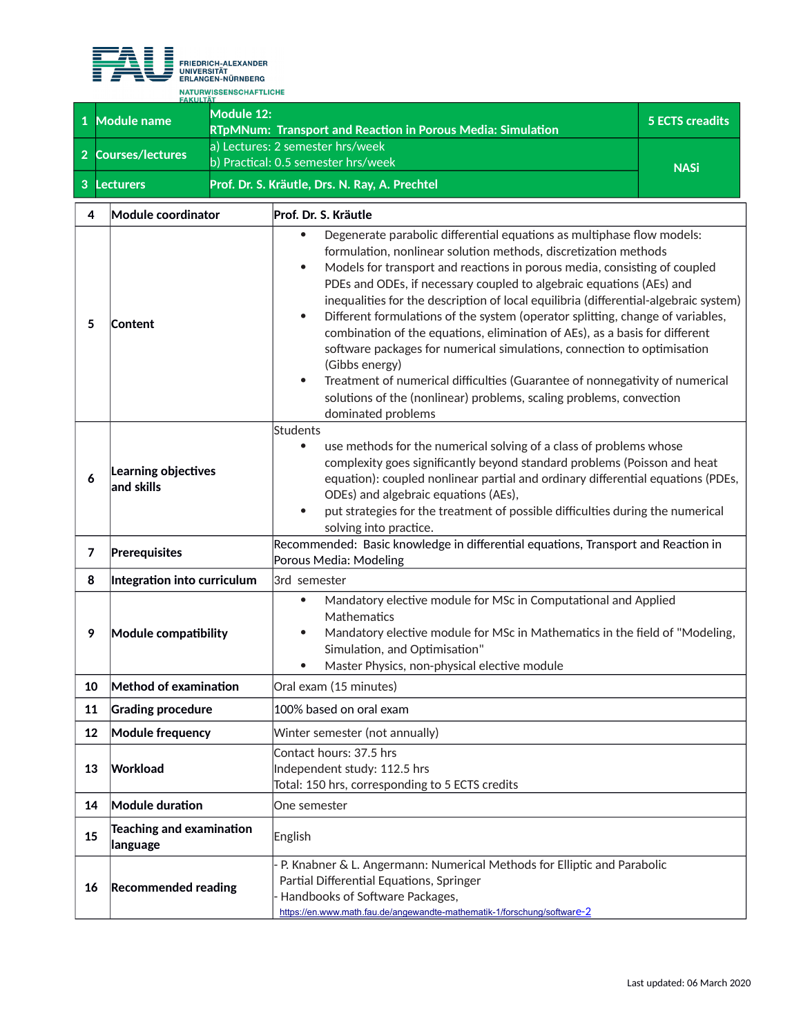

**<sup>1</sup> Module name Module 12: RTpMNum: Transport and Reaction in Porous Media: Simulation 5 ECTS creadits <sup>2</sup> Courses/lectures** a) Lectures: 2 semester hrs/week b) Practical: 0.5 semester hrs/week<br>
MASi **3 Lecturers Prof. Dr. S. Kräutle, Drs. N. Ray, A. Prechtel**

| 4                                                                                                                                                                                          | Module coordinator                   | Prof. Dr. S. Kräutle                                                                                                                                                                                                                                                                                                                                                                                                                                                                                                                                                                                                                                                                                                                                                                                                                                                                  |  |
|--------------------------------------------------------------------------------------------------------------------------------------------------------------------------------------------|--------------------------------------|---------------------------------------------------------------------------------------------------------------------------------------------------------------------------------------------------------------------------------------------------------------------------------------------------------------------------------------------------------------------------------------------------------------------------------------------------------------------------------------------------------------------------------------------------------------------------------------------------------------------------------------------------------------------------------------------------------------------------------------------------------------------------------------------------------------------------------------------------------------------------------------|--|
| 5                                                                                                                                                                                          | Content                              | Degenerate parabolic differential equations as multiphase flow models:<br>$\bullet$<br>formulation, nonlinear solution methods, discretization methods<br>Models for transport and reactions in porous media, consisting of coupled<br>$\bullet$<br>PDEs and ODEs, if necessary coupled to algebraic equations (AEs) and<br>inequalities for the description of local equilibria (differential-algebraic system)<br>Different formulations of the system (operator splitting, change of variables,<br>$\bullet$<br>combination of the equations, elimination of AEs), as a basis for different<br>software packages for numerical simulations, connection to optimisation<br>(Gibbs energy)<br>Treatment of numerical difficulties (Guarantee of nonnegativity of numerical<br>$\bullet$<br>solutions of the (nonlinear) problems, scaling problems, convection<br>dominated problems |  |
| 6                                                                                                                                                                                          | Learning objectives<br>and skills    | <b>Students</b><br>use methods for the numerical solving of a class of problems whose<br>$\bullet$<br>complexity goes significantly beyond standard problems (Poisson and heat<br>equation): coupled nonlinear partial and ordinary differential equations (PDEs,<br>ODEs) and algebraic equations (AEs),<br>put strategies for the treatment of possible difficulties during the numerical<br>$\bullet$<br>solving into practice.                                                                                                                                                                                                                                                                                                                                                                                                                                                    |  |
| $\overline{7}$                                                                                                                                                                             | Prerequisites                        | Recommended: Basic knowledge in differential equations, Transport and Reaction in<br>Porous Media: Modeling                                                                                                                                                                                                                                                                                                                                                                                                                                                                                                                                                                                                                                                                                                                                                                           |  |
| 8                                                                                                                                                                                          | Integration into curriculum          | 3rd semester                                                                                                                                                                                                                                                                                                                                                                                                                                                                                                                                                                                                                                                                                                                                                                                                                                                                          |  |
| 9                                                                                                                                                                                          | Module compatibility                 | Mandatory elective module for MSc in Computational and Applied<br>$\bullet$<br>Mathematics<br>Mandatory elective module for MSc in Mathematics in the field of "Modeling,<br>$\bullet$<br>Simulation, and Optimisation"<br>Master Physics, non-physical elective module                                                                                                                                                                                                                                                                                                                                                                                                                                                                                                                                                                                                               |  |
| 10                                                                                                                                                                                         | Method of examination                | Oral exam (15 minutes)                                                                                                                                                                                                                                                                                                                                                                                                                                                                                                                                                                                                                                                                                                                                                                                                                                                                |  |
| 11                                                                                                                                                                                         | <b>Grading procedure</b>             | 100% based on oral exam                                                                                                                                                                                                                                                                                                                                                                                                                                                                                                                                                                                                                                                                                                                                                                                                                                                               |  |
| 12                                                                                                                                                                                         | Module frequency                     | Winter semester (not annually)                                                                                                                                                                                                                                                                                                                                                                                                                                                                                                                                                                                                                                                                                                                                                                                                                                                        |  |
| Contact hours: 37.5 hrs<br>Workload<br>Independent study: 112.5 hrs<br>13<br>Total: 150 hrs, corresponding to 5 ECTS credits                                                               |                                      |                                                                                                                                                                                                                                                                                                                                                                                                                                                                                                                                                                                                                                                                                                                                                                                                                                                                                       |  |
| 14                                                                                                                                                                                         | Module duration                      | One semester                                                                                                                                                                                                                                                                                                                                                                                                                                                                                                                                                                                                                                                                                                                                                                                                                                                                          |  |
| 15                                                                                                                                                                                         | Teaching and examination<br>language | English                                                                                                                                                                                                                                                                                                                                                                                                                                                                                                                                                                                                                                                                                                                                                                                                                                                                               |  |
| Partial Differential Equations, Springer<br><b>Recommended reading</b><br>16<br>Handbooks of Software Packages,<br>https://en.www.math.fau.de/angewandte-mathematik-1/forschung/software-2 |                                      | P. Knabner & L. Angermann: Numerical Methods for Elliptic and Parabolic                                                                                                                                                                                                                                                                                                                                                                                                                                                                                                                                                                                                                                                                                                                                                                                                               |  |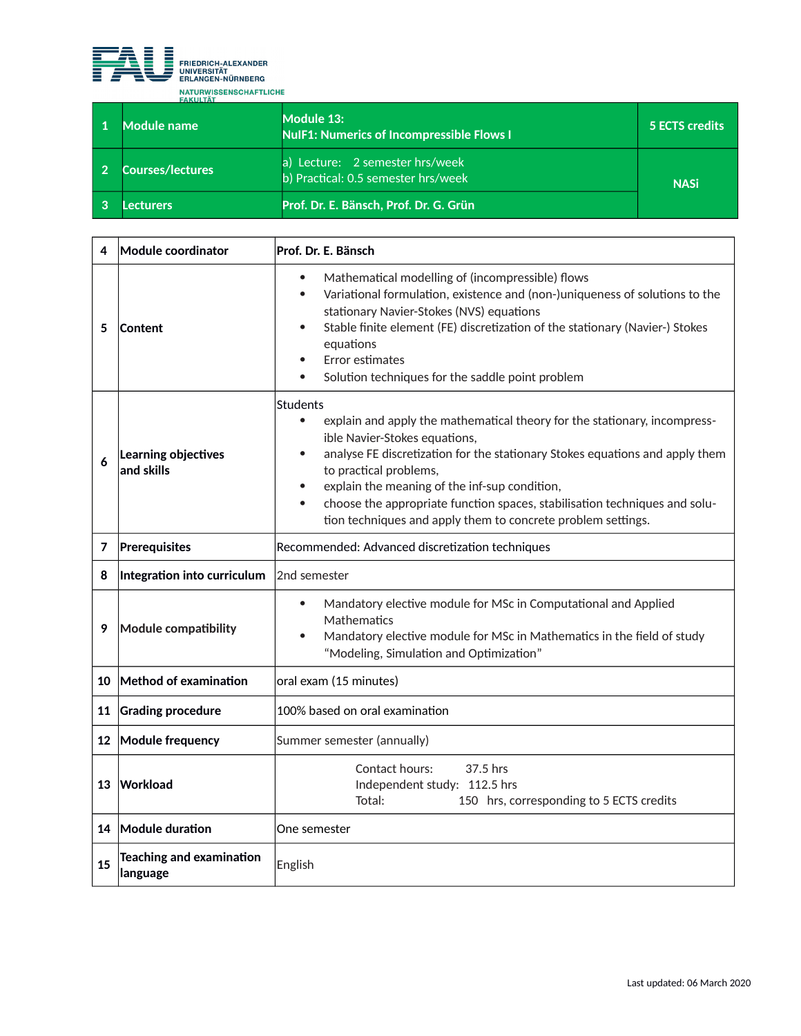

| Module name             | Module 13:<br><b>NulF1: Numerics of Incompressible Flows I</b>         | 5 ECTS credits |
|-------------------------|------------------------------------------------------------------------|----------------|
| <b>Courses/lectures</b> | a) Lecture: 2 semester hrs/week<br>b) Practical: 0.5 semester hrs/week | <b>NASi</b>    |
| .ecturers               | Prof. Dr. E. Bänsch, Prof. Dr. G. Grün                                 |                |

|    | Module coordinator                          | Prof. Dr. E. Bänsch                                                                                                                                                                                                                                                                                                                                                                                                                                       |  |
|----|---------------------------------------------|-----------------------------------------------------------------------------------------------------------------------------------------------------------------------------------------------------------------------------------------------------------------------------------------------------------------------------------------------------------------------------------------------------------------------------------------------------------|--|
| 5  | <b>Content</b>                              | Mathematical modelling of (incompressible) flows<br>$\bullet$<br>Variational formulation, existence and (non-)uniqueness of solutions to the<br>$\bullet$<br>stationary Navier-Stokes (NVS) equations<br>Stable finite element (FE) discretization of the stationary (Navier-) Stokes<br>equations<br>Error estimates<br>Solution techniques for the saddle point problem                                                                                 |  |
| 6  | Learning objectives<br>and skills           | Students<br>explain and apply the mathematical theory for the stationary, incompress-<br>$\bullet$<br>ible Navier-Stokes equations,<br>analyse FE discretization for the stationary Stokes equations and apply them<br>to practical problems,<br>explain the meaning of the inf-sup condition,<br>choose the appropriate function spaces, stabilisation techniques and solu-<br>$\bullet$<br>tion techniques and apply them to concrete problem settings. |  |
| 7  | Prerequisites                               | Recommended: Advanced discretization techniques                                                                                                                                                                                                                                                                                                                                                                                                           |  |
| 8  | Integration into curriculum                 | 2nd semester                                                                                                                                                                                                                                                                                                                                                                                                                                              |  |
| 9  | Module compatibility                        | Mandatory elective module for MSc in Computational and Applied<br>$\bullet$<br>Mathematics<br>Mandatory elective module for MSc in Mathematics in the field of study<br>"Modeling, Simulation and Optimization"                                                                                                                                                                                                                                           |  |
| 10 | Method of examination                       | oral exam (15 minutes)                                                                                                                                                                                                                                                                                                                                                                                                                                    |  |
| 11 | <b>Grading procedure</b>                    | 100% based on oral examination                                                                                                                                                                                                                                                                                                                                                                                                                            |  |
| 12 | Module frequency                            | Summer semester (annually)                                                                                                                                                                                                                                                                                                                                                                                                                                |  |
| 13 | Workload                                    | Contact hours:<br>37.5 hrs<br>Independent study: 112.5 hrs<br>Total:<br>150 hrs, corresponding to 5 ECTS credits                                                                                                                                                                                                                                                                                                                                          |  |
|    | 14 Module duration                          | One semester                                                                                                                                                                                                                                                                                                                                                                                                                                              |  |
| 15 | <b>Teaching and examination</b><br>language | English                                                                                                                                                                                                                                                                                                                                                                                                                                                   |  |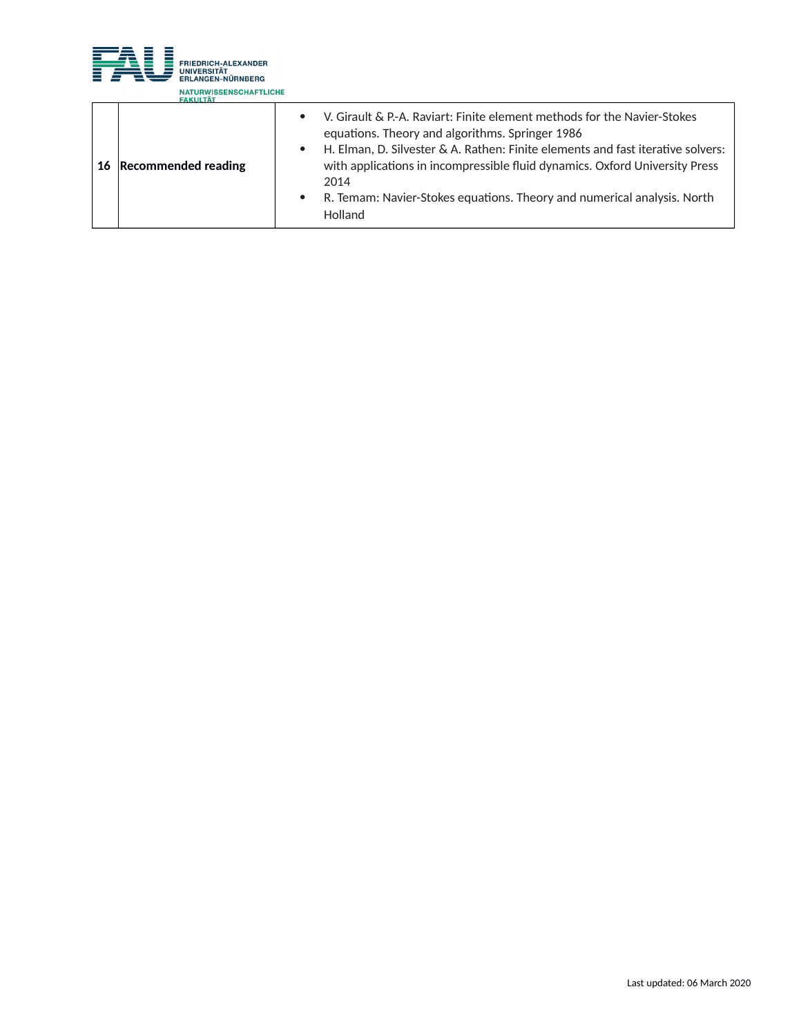

| 16 Recommended reading | V. Girault & P.-A. Raviart: Finite element methods for the Navier-Stokes<br>$\bullet$<br>equations. Theory and algorithms. Springer 1986<br>H. Elman, D. Silvester & A. Rathen: Finite elements and fast iterative solvers:<br>$\bullet$<br>with applications in incompressible fluid dynamics. Oxford University Press<br>2014 |
|------------------------|---------------------------------------------------------------------------------------------------------------------------------------------------------------------------------------------------------------------------------------------------------------------------------------------------------------------------------|
|                        | R. Temam: Navier-Stokes equations. Theory and numerical analysis. North<br>Holland                                                                                                                                                                                                                                              |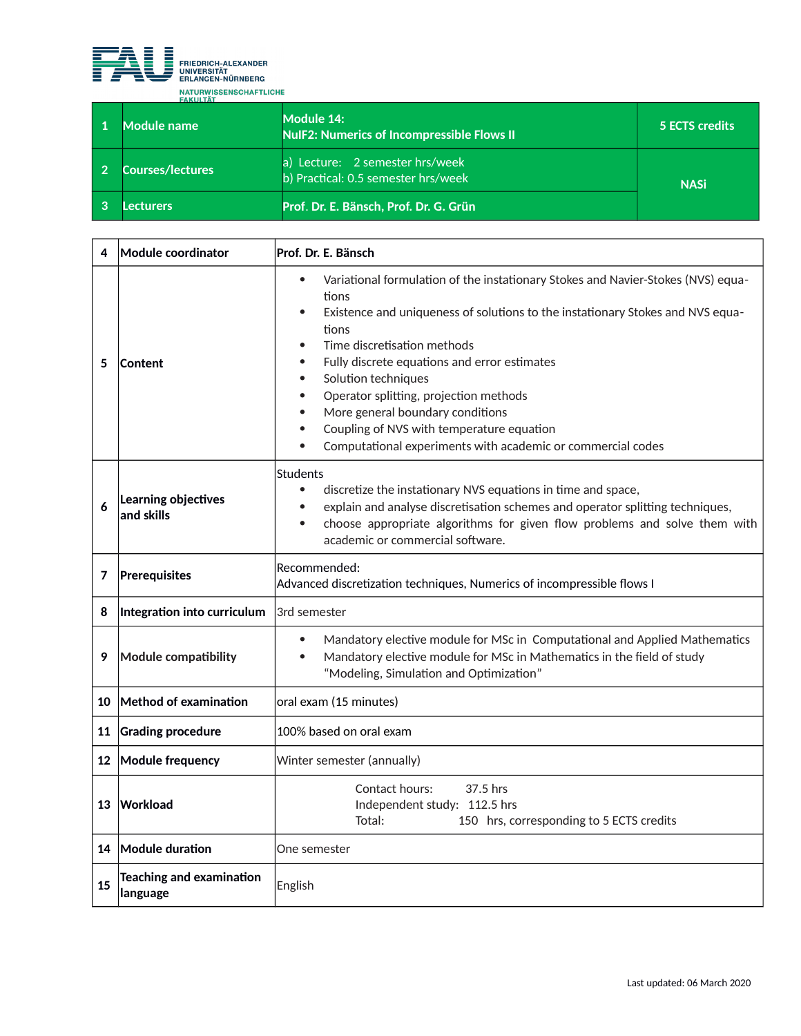

| Module name             | Module 14:<br><b>NulF2: Numerics of Incompressible Flows II</b>        | 5 ECTS credits |
|-------------------------|------------------------------------------------------------------------|----------------|
| <b>Courses/lectures</b> | a) Lecture: 2 semester hrs/week<br>b) Practical: 0.5 semester hrs/week | <b>NASi</b>    |
| .ecturers               | Prof. Dr. E. Bänsch, Prof. Dr. G. Grün                                 |                |

| 4  | Module coordinator                          | Prof. Dr. E. Bänsch                                                                                                                                                                                                                                                                                                                                                                                                                                                                                                                                                |  |
|----|---------------------------------------------|--------------------------------------------------------------------------------------------------------------------------------------------------------------------------------------------------------------------------------------------------------------------------------------------------------------------------------------------------------------------------------------------------------------------------------------------------------------------------------------------------------------------------------------------------------------------|--|
| 5  | <b>Content</b>                              | Variational formulation of the instationary Stokes and Navier-Stokes (NVS) equa-<br>$\bullet$<br>tions<br>Existence and uniqueness of solutions to the instationary Stokes and NVS equa-<br>$\bullet$<br>tions<br>Time discretisation methods<br>$\bullet$<br>Fully discrete equations and error estimates<br>$\bullet$<br>Solution techniques<br>$\bullet$<br>Operator splitting, projection methods<br>$\bullet$<br>More general boundary conditions<br>Coupling of NVS with temperature equation<br>Computational experiments with academic or commercial codes |  |
| 6  | Learning objectives<br>and skills           | Students<br>$\bullet$<br>discretize the instationary NVS equations in time and space,<br>explain and analyse discretisation schemes and operator splitting techniques,<br>$\bullet$<br>choose appropriate algorithms for given flow problems and solve them with<br>$\bullet$<br>academic or commercial software.                                                                                                                                                                                                                                                  |  |
| 7  | Prerequisites                               | Recommended:<br>Advanced discretization techniques, Numerics of incompressible flows I                                                                                                                                                                                                                                                                                                                                                                                                                                                                             |  |
| 8  | Integration into curriculum                 | 3rd semester                                                                                                                                                                                                                                                                                                                                                                                                                                                                                                                                                       |  |
| 9  | Module compatibility                        | Mandatory elective module for MSc in Computational and Applied Mathematics<br>$\bullet$<br>Mandatory elective module for MSc in Mathematics in the field of study<br>$\bullet$<br>"Modeling, Simulation and Optimization"                                                                                                                                                                                                                                                                                                                                          |  |
| 10 | Method of examination                       | oral exam (15 minutes)                                                                                                                                                                                                                                                                                                                                                                                                                                                                                                                                             |  |
| 11 | <b>Grading procedure</b>                    | 100% based on oral exam                                                                                                                                                                                                                                                                                                                                                                                                                                                                                                                                            |  |
| 12 | Module frequency                            | Winter semester (annually)                                                                                                                                                                                                                                                                                                                                                                                                                                                                                                                                         |  |
| 13 | Workload                                    | 37.5 hrs<br>Contact hours:<br>Independent study: 112.5 hrs<br>Total:<br>150 hrs, corresponding to 5 ECTS credits                                                                                                                                                                                                                                                                                                                                                                                                                                                   |  |
|    | 14 Module duration                          | One semester                                                                                                                                                                                                                                                                                                                                                                                                                                                                                                                                                       |  |
| 15 | <b>Teaching and examination</b><br>language | English                                                                                                                                                                                                                                                                                                                                                                                                                                                                                                                                                            |  |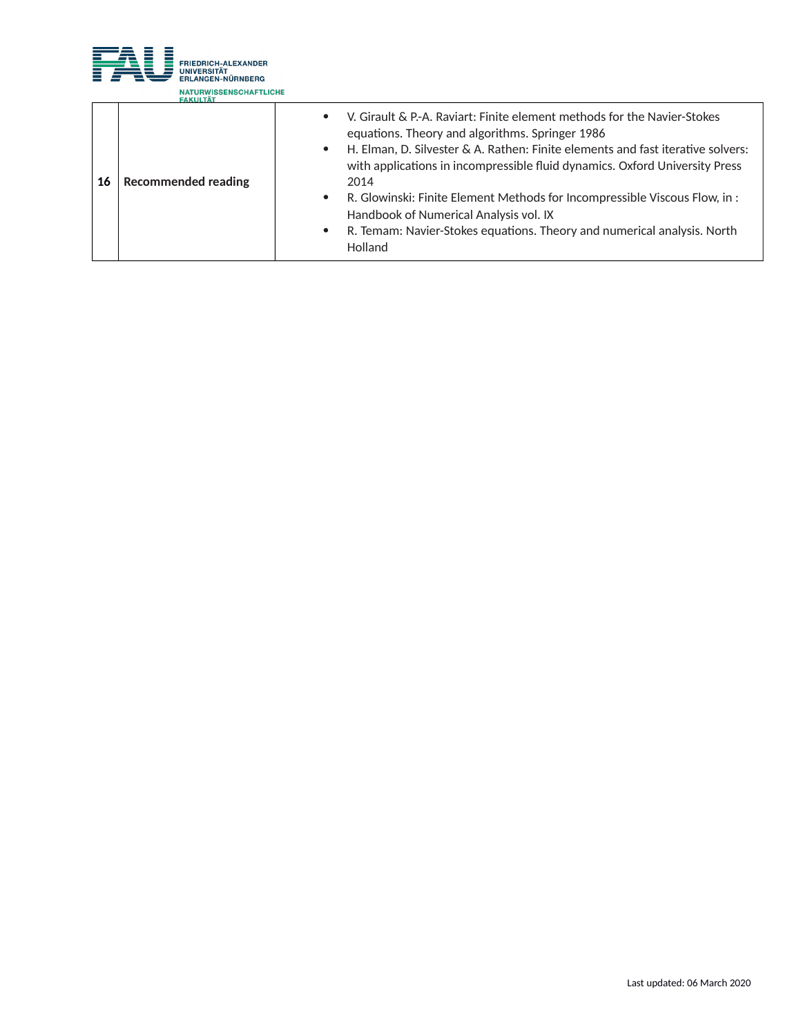

|    | <b>FARISIAI</b>                                                                |                                                                                                                                                                                                                                                                                                                                                                                                                                                                                                                     |
|----|--------------------------------------------------------------------------------|---------------------------------------------------------------------------------------------------------------------------------------------------------------------------------------------------------------------------------------------------------------------------------------------------------------------------------------------------------------------------------------------------------------------------------------------------------------------------------------------------------------------|
| 16 | $\bullet$<br>$\bullet$<br><b>Recommended reading</b><br>$\bullet$<br>$\bullet$ | V. Girault & P.-A. Raviart: Finite element methods for the Navier-Stokes<br>equations. Theory and algorithms. Springer 1986<br>H. Elman, D. Silvester & A. Rathen: Finite elements and fast iterative solvers:<br>with applications in incompressible fluid dynamics. Oxford University Press<br>2014<br>R. Glowinski: Finite Element Methods for Incompressible Viscous Flow, in :<br>Handbook of Numerical Analysis vol. IX<br>R. Temam: Navier-Stokes equations. Theory and numerical analysis. North<br>Holland |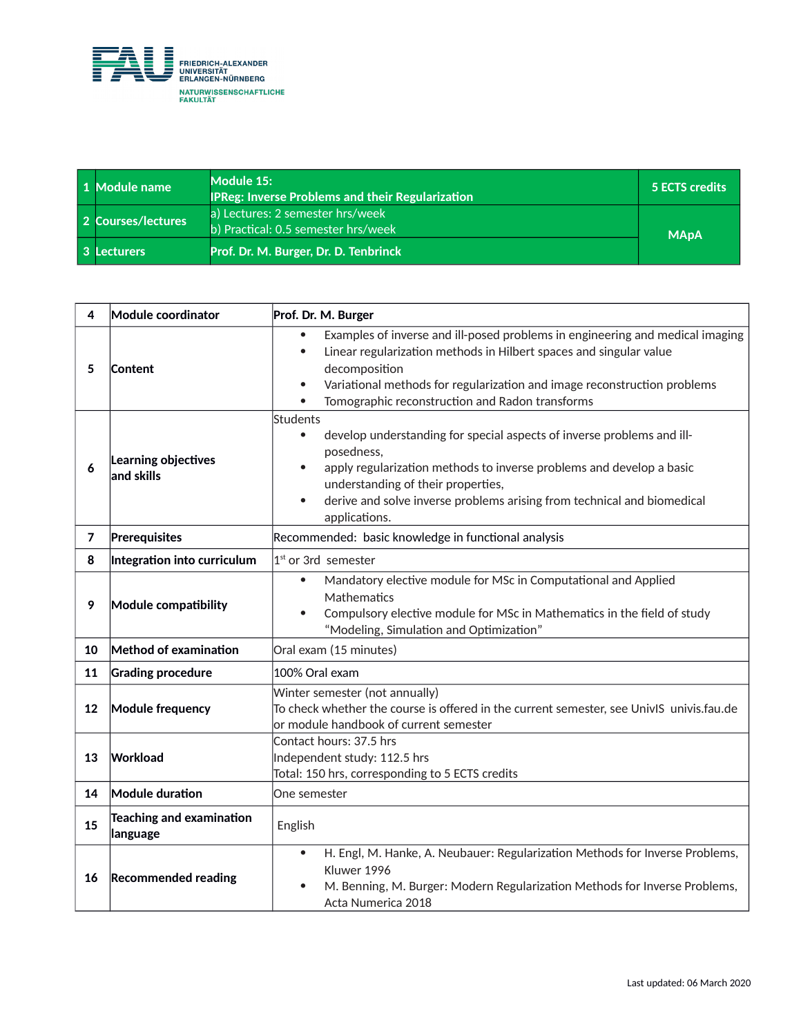

| 1 Module name      | Module 15:<br><b>IPReg: Inverse Problems and their Regularization</b>   | 5 ECTS credits |
|--------------------|-------------------------------------------------------------------------|----------------|
| 2 Courses/lectures | a) Lectures: 2 semester hrs/week<br>b) Practical: 0.5 semester hrs/week | <b>MApA</b>    |
| 3 Lecturers        | Prof. Dr. M. Burger, Dr. D. Tenbrinck                                   |                |

| 4                                                            | <b>Module coordinator</b>                                                                                              | Prof. Dr. M. Burger                                                                                                                                                                                                                                                                                                                                     |  |
|--------------------------------------------------------------|------------------------------------------------------------------------------------------------------------------------|---------------------------------------------------------------------------------------------------------------------------------------------------------------------------------------------------------------------------------------------------------------------------------------------------------------------------------------------------------|--|
| Content<br>5                                                 |                                                                                                                        | Examples of inverse and ill-posed problems in engineering and medical imaging<br>$\bullet$<br>Linear regularization methods in Hilbert spaces and singular value<br>$\bullet$<br>decomposition<br>Variational methods for regularization and image reconstruction problems<br>$\bullet$<br>Tomographic reconstruction and Radon transforms<br>$\bullet$ |  |
| 6                                                            | Learning objectives<br>and skills                                                                                      | Students<br>develop understanding for special aspects of inverse problems and ill-<br>$\bullet$<br>posedness,<br>apply regularization methods to inverse problems and develop a basic<br>$\bullet$<br>understanding of their properties,<br>derive and solve inverse problems arising from technical and biomedical<br>$\bullet$<br>applications.       |  |
| 7                                                            | Prerequisites                                                                                                          | Recommended: basic knowledge in functional analysis                                                                                                                                                                                                                                                                                                     |  |
| 8                                                            | Integration into curriculum                                                                                            | $1st$ or 3rd semester                                                                                                                                                                                                                                                                                                                                   |  |
| 9                                                            | Module compatibility                                                                                                   | Mandatory elective module for MSc in Computational and Applied<br>$\bullet$<br>Mathematics<br>Compulsory elective module for MSc in Mathematics in the field of study<br>$\bullet$<br>"Modeling, Simulation and Optimization"                                                                                                                           |  |
| 10                                                           | Method of examination                                                                                                  | Oral exam (15 minutes)                                                                                                                                                                                                                                                                                                                                  |  |
| 11                                                           | <b>Grading procedure</b>                                                                                               | 100% Oral exam                                                                                                                                                                                                                                                                                                                                          |  |
| 12                                                           | <b>Module frequency</b>                                                                                                | Winter semester (not annually)<br>To check whether the course is offered in the current semester, see UnivIS univis.fau.de<br>or module handbook of current semester                                                                                                                                                                                    |  |
| 13                                                           | Contact hours: 37.5 hrs<br>Workload<br>Independent study: 112.5 hrs<br>Total: 150 hrs, corresponding to 5 ECTS credits |                                                                                                                                                                                                                                                                                                                                                         |  |
| 14                                                           | Module duration                                                                                                        | One semester                                                                                                                                                                                                                                                                                                                                            |  |
| <b>Teaching and examination</b><br>15<br>English<br>language |                                                                                                                        |                                                                                                                                                                                                                                                                                                                                                         |  |
| 16                                                           | <b>Recommended reading</b>                                                                                             | H. Engl, M. Hanke, A. Neubauer: Regularization Methods for Inverse Problems,<br>$\bullet$<br>Kluwer 1996<br>M. Benning, M. Burger: Modern Regularization Methods for Inverse Problems,<br>Acta Numerica 2018                                                                                                                                            |  |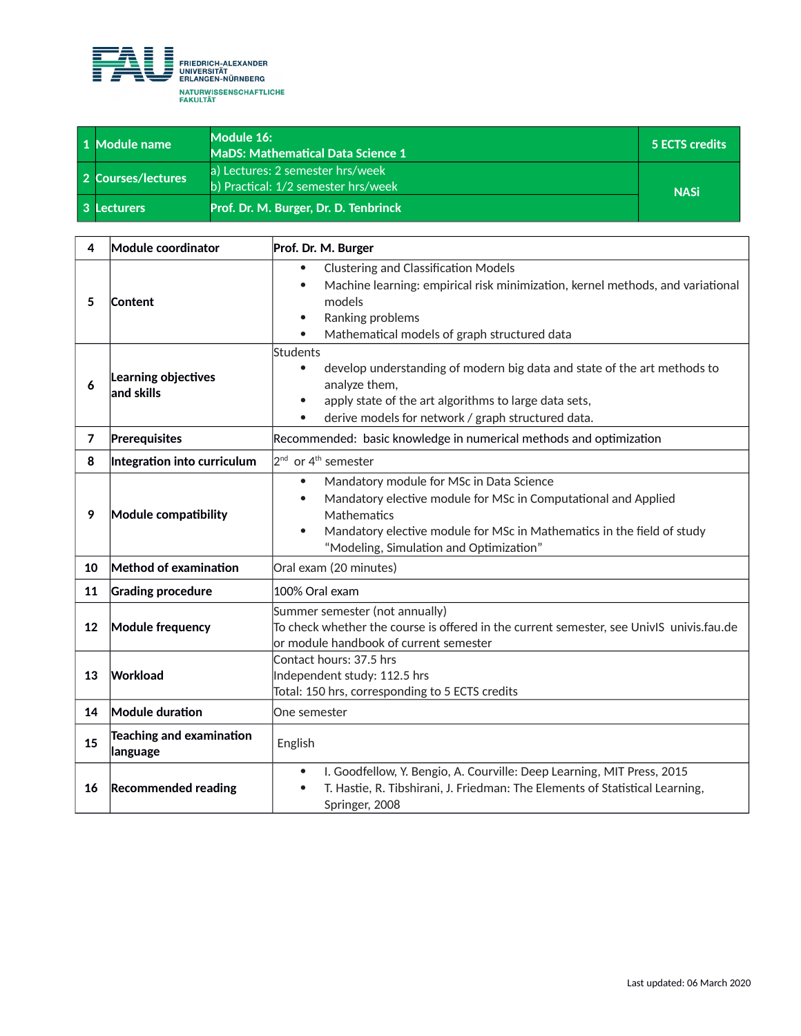

| 1 Module name      | Module 16:<br><b>MaDS: Mathematical Data Science 1</b>                  | 5 ECTS credits |
|--------------------|-------------------------------------------------------------------------|----------------|
| 2 Courses/lectures | a) Lectures: 2 semester hrs/week<br>b) Practical: 1/2 semester hrs/week | <b>NASi</b>    |
| 3 Lecturers        | Prof. Dr. M. Burger, Dr. D. Tenbrinck                                   |                |

| 4              | Module coordinator                          | Prof. Dr. M. Burger                                                                                                                                                                                                                                                                   |  |
|----------------|---------------------------------------------|---------------------------------------------------------------------------------------------------------------------------------------------------------------------------------------------------------------------------------------------------------------------------------------|--|
| 5              | Content                                     | <b>Clustering and Classification Models</b><br>$\bullet$<br>Machine learning: empirical risk minimization, kernel methods, and variational<br>$\bullet$<br>models<br>Ranking problems<br>$\bullet$<br>Mathematical models of graph structured data<br>$\bullet$                       |  |
| 6              | Learning objectives<br>and skills           | Students<br>develop understanding of modern big data and state of the art methods to<br>$\bullet$<br>analyze them,<br>apply state of the art algorithms to large data sets,<br>$\bullet$<br>derive models for network / graph structured data.                                        |  |
| $\overline{7}$ | Prerequisites                               | Recommended: basic knowledge in numerical methods and optimization                                                                                                                                                                                                                    |  |
| 8              | Integration into curriculum                 | $2^{nd}$ or 4 <sup>th</sup> semester                                                                                                                                                                                                                                                  |  |
| 9              | Module compatibility                        | Mandatory module for MSc in Data Science<br>$\bullet$<br>Mandatory elective module for MSc in Computational and Applied<br>$\bullet$<br>Mathematics<br>Mandatory elective module for MSc in Mathematics in the field of study<br>$\bullet$<br>"Modeling, Simulation and Optimization" |  |
| 10             | Method of examination                       | Oral exam (20 minutes)                                                                                                                                                                                                                                                                |  |
| 11             | <b>Grading procedure</b>                    | 100% Oral exam                                                                                                                                                                                                                                                                        |  |
| 12             | <b>Module frequency</b>                     | Summer semester (not annually)<br>To check whether the course is offered in the current semester, see UnivIS univis.fau.de<br>or module handbook of current semester                                                                                                                  |  |
| 13             | Workload                                    | Contact hours: 37.5 hrs<br>Independent study: 112.5 hrs<br>Total: 150 hrs, corresponding to 5 ECTS credits                                                                                                                                                                            |  |
| 14             | Module duration                             | One semester                                                                                                                                                                                                                                                                          |  |
| 15             | <b>Teaching and examination</b><br>language | English                                                                                                                                                                                                                                                                               |  |
| 16             | <b>Recommended reading</b>                  | I. Goodfellow, Y. Bengio, A. Courville: Deep Learning, MIT Press, 2015<br>$\bullet$<br>T. Hastie, R. Tibshirani, J. Friedman: The Elements of Statistical Learning,<br>$\bullet$<br>Springer, 2008                                                                                    |  |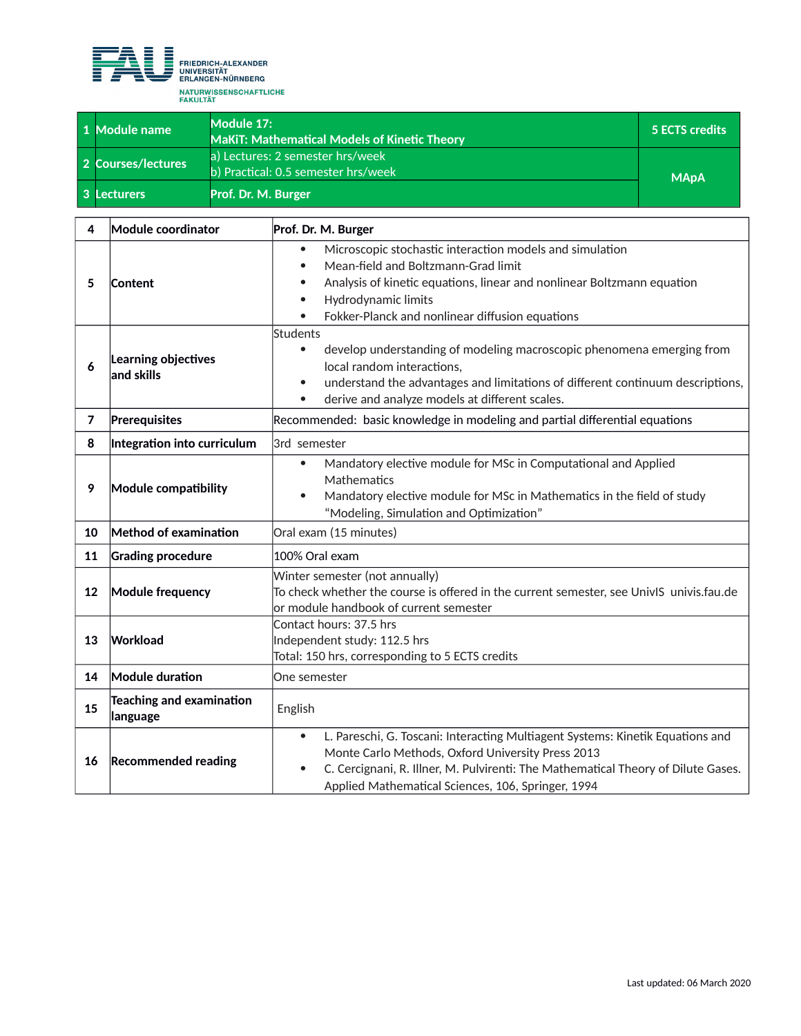

┱

| 1 Module name      | Module 17:<br><b>MaKiT: Mathematical Models of Kinetic Theory</b>       | 5 ECTS credits |
|--------------------|-------------------------------------------------------------------------|----------------|
| 2 Courses/lectures | a) Lectures: 2 semester hrs/week<br>b) Practical: 0.5 semester hrs/week | <b>MApA</b>    |
| 3 Lecturers        | Prof. Dr. M. Burger                                                     |                |

| 4              | Module coordinator                          | Prof. Dr. M. Burger                                                                                                                                                                                                                                                                                      |  |
|----------------|---------------------------------------------|----------------------------------------------------------------------------------------------------------------------------------------------------------------------------------------------------------------------------------------------------------------------------------------------------------|--|
| 5              | Content                                     | Microscopic stochastic interaction models and simulation<br>$\bullet$<br>Mean-field and Boltzmann-Grad limit<br>$\bullet$<br>Analysis of kinetic equations, linear and nonlinear Boltzmann equation<br>$\bullet$<br>Hydrodynamic limits<br>$\bullet$<br>Fokker-Planck and nonlinear diffusion equations  |  |
| 6              | Learning objectives<br>and skills           | Students<br>develop understanding of modeling macroscopic phenomena emerging from<br>$\bullet$<br>local random interactions,<br>understand the advantages and limitations of different continuum descriptions,<br>$\bullet$<br>derive and analyze models at different scales.<br>$\bullet$               |  |
| $\overline{7}$ | Prerequisites                               | Recommended: basic knowledge in modeling and partial differential equations                                                                                                                                                                                                                              |  |
| 8              | Integration into curriculum                 | 3rd semester                                                                                                                                                                                                                                                                                             |  |
| 9              | Module compatibility                        | Mandatory elective module for MSc in Computational and Applied<br>$\bullet$<br>Mathematics<br>Mandatory elective module for MSc in Mathematics in the field of study<br>$\bullet$<br>"Modeling, Simulation and Optimization"                                                                             |  |
| 10             | Method of examination                       | Oral exam (15 minutes)                                                                                                                                                                                                                                                                                   |  |
| 11             | <b>Grading procedure</b>                    | 100% Oral exam                                                                                                                                                                                                                                                                                           |  |
| 12             | Module frequency                            | Winter semester (not annually)<br>To check whether the course is offered in the current semester, see UnivIS  univis.fau.de<br>$ $ or module handbook of current semester                                                                                                                                |  |
| 13             | Workload                                    | Contact hours: 37.5 hrs<br>Independent study: 112.5 hrs<br>Total: 150 hrs, corresponding to 5 ECTS credits                                                                                                                                                                                               |  |
| 14             | Module duration                             | One semester                                                                                                                                                                                                                                                                                             |  |
| 15             | <b>Teaching and examination</b><br>language | English                                                                                                                                                                                                                                                                                                  |  |
| 16             | <b>Recommended reading</b>                  | L. Pareschi, G. Toscani: Interacting Multiagent Systems: Kinetik Equations and<br>$\bullet$<br>Monte Carlo Methods, Oxford University Press 2013<br>C. Cercignani, R. Illner, M. Pulvirenti: The Mathematical Theory of Dilute Gases.<br>$\bullet$<br>Applied Mathematical Sciences, 106, Springer, 1994 |  |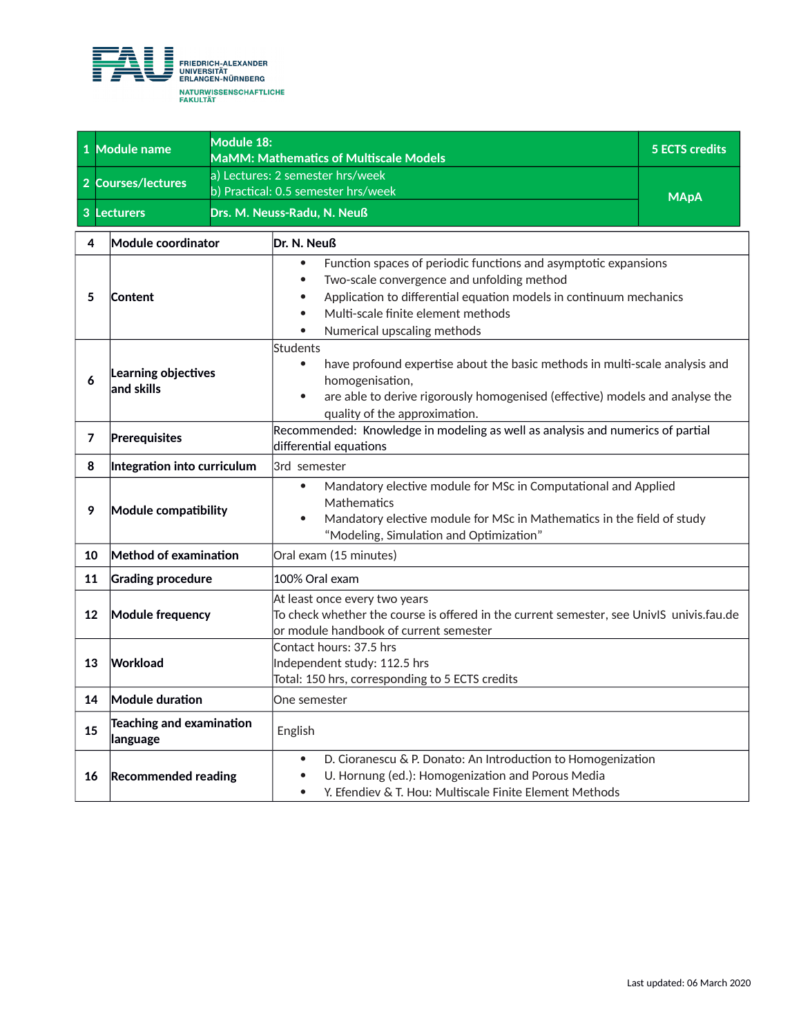

|    | 1 Module name                         | Module 18:<br><b>MaMM: Mathematics of Multiscale Models</b> |                                                                                                                                                                                                                                                                                                                           | <b>5 ECTS credits</b> |
|----|---------------------------------------|-------------------------------------------------------------|---------------------------------------------------------------------------------------------------------------------------------------------------------------------------------------------------------------------------------------------------------------------------------------------------------------------------|-----------------------|
|    | 2 Courses/lectures                    |                                                             | a) Lectures: 2 semester hrs/week<br>b) Practical: 0.5 semester hrs/week                                                                                                                                                                                                                                                   | <b>MApA</b>           |
|    | 3 Lecturers                           | Drs. M. Neuss-Radu, N. Neuß                                 |                                                                                                                                                                                                                                                                                                                           |                       |
| 4  | Module coordinator                    |                                                             | Dr. N. Neuß                                                                                                                                                                                                                                                                                                               |                       |
| 5  | <b>Content</b>                        |                                                             | Function spaces of periodic functions and asymptotic expansions<br>$\bullet$<br>Two-scale convergence and unfolding method<br>$\bullet$<br>Application to differential equation models in continuum mechanics<br>$\bullet$<br>Multi-scale finite element methods<br>$\bullet$<br>Numerical upscaling methods<br>$\bullet$ |                       |
| 6  | Learning objectives<br>$ $ and skills |                                                             | Students<br>have profound expertise about the basic methods in multi-scale analysis and<br>$\bullet$<br>homogenisation,<br>are able to derive rigorously homogenised (effective) models and analyse the<br>$\bullet$<br>quality of the approximation.                                                                     |                       |
| 7  | Prerequisites                         |                                                             | Recommended: Knowledge in modeling as well as analysis and numerics of partial<br>differential equations                                                                                                                                                                                                                  |                       |
| 8  | Integration into curriculum           |                                                             | 3rd semester                                                                                                                                                                                                                                                                                                              |                       |
| 9  | Module compatibility                  |                                                             | Mandatory elective module for MSc in Computational and Applied<br>$\bullet$<br>Mathematics<br>Mandatory elective module for MSc in Mathematics in the field of study<br>$\bullet$<br>"Modeling, Simulation and Optimization"                                                                                              |                       |
| 10 | Method of examination                 |                                                             | Oral exam (15 minutes)                                                                                                                                                                                                                                                                                                    |                       |
| 11 | <b>Grading procedure</b>              |                                                             | 100% Oral exam                                                                                                                                                                                                                                                                                                            |                       |
| 12 | Module frequency                      |                                                             | At least once every two years<br>To check whether the course is offered in the current semester, see UnivIS univis.fau.de<br>lor module handbook of current semester                                                                                                                                                      |                       |
| 13 | Workload                              |                                                             | Contact hours: 37.5 hrs<br>Independent study: 112.5 hrs<br>Total: 150 hrs, corresponding to 5 ECTS credits                                                                                                                                                                                                                |                       |
| 14 | <b>Module duration</b>                |                                                             | One semester                                                                                                                                                                                                                                                                                                              |                       |
| 15 | Teaching and examination<br>language  |                                                             | English                                                                                                                                                                                                                                                                                                                   |                       |
| 16 | <b>Recommended reading</b>            |                                                             | D. Cioranescu & P. Donato: An Introduction to Homogenization<br>$\bullet$<br>U. Hornung (ed.): Homogenization and Porous Media<br>$\bullet$<br>Y. Efendiev & T. Hou: Multiscale Finite Element Methods<br>$\bullet$                                                                                                       |                       |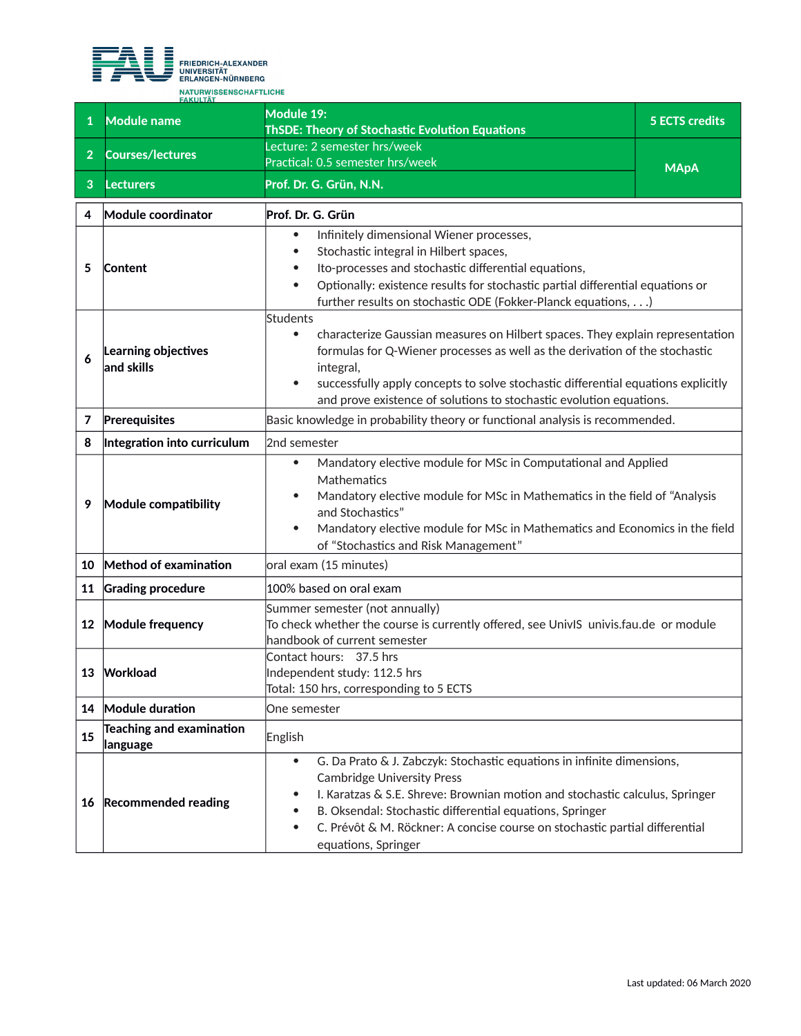

|                | <b>FAKULTÄT</b>                             |                                                                                                                                                                                                                                                                                                                                                                                 |                                                                              |  |
|----------------|---------------------------------------------|---------------------------------------------------------------------------------------------------------------------------------------------------------------------------------------------------------------------------------------------------------------------------------------------------------------------------------------------------------------------------------|------------------------------------------------------------------------------|--|
| 1              | <b>Module name</b>                          | Module 19:<br><b>ThSDE: Theory of Stochastic Evolution Equations</b>                                                                                                                                                                                                                                                                                                            | <b>5 ECTS credits</b>                                                        |  |
|                | <b>Courses/lectures</b>                     | ecture: 2 semester hrs/week                                                                                                                                                                                                                                                                                                                                                     |                                                                              |  |
| $\overline{2}$ |                                             | Practical: 0.5 semester hrs/week                                                                                                                                                                                                                                                                                                                                                | <b>MApA</b>                                                                  |  |
| 3              | <b>Lecturers</b>                            | Prof. Dr. G. Grün, N.N.                                                                                                                                                                                                                                                                                                                                                         |                                                                              |  |
| 4              | Module coordinator                          | Prof. Dr. G. Grün                                                                                                                                                                                                                                                                                                                                                               |                                                                              |  |
| 5              | Content                                     | Infinitely dimensional Wiener processes,<br>$\bullet$<br>Stochastic integral in Hilbert spaces,<br>$\bullet$<br>Ito-processes and stochastic differential equations,<br>$\bullet$<br>Optionally: existence results for stochastic partial differential equations or<br>$\bullet$<br>further results on stochastic ODE (Fokker-Planck equations,)                                |                                                                              |  |
| 6              | Learning objectives<br>$ $ and skills       | Students<br>characterize Gaussian measures on Hilbert spaces. They explain representation<br>$\bullet$<br>formulas for Q-Wiener processes as well as the derivation of the stochastic<br>integral,<br>successfully apply concepts to solve stochastic differential equations explicitly<br>$\bullet$<br>and prove existence of solutions to stochastic evolution equations.     |                                                                              |  |
| 7              | Prerequisites                               |                                                                                                                                                                                                                                                                                                                                                                                 | Basic knowledge in probability theory or functional analysis is recommended. |  |
| 8              | Integration into curriculum                 | 2nd semester                                                                                                                                                                                                                                                                                                                                                                    |                                                                              |  |
| 9              | Module compatibility                        | Mandatory elective module for MSc in Computational and Applied<br>$\bullet$<br>Mathematics<br>Mandatory elective module for MSc in Mathematics in the field of "Analysis<br>and Stochastics"<br>Mandatory elective module for MSc in Mathematics and Economics in the field<br>$\bullet$<br>of "Stochastics and Risk Management"                                                |                                                                              |  |
| 10             | Method of examination                       | oral exam (15 minutes)                                                                                                                                                                                                                                                                                                                                                          |                                                                              |  |
| 11             | <b>Grading procedure</b>                    | 100% based on oral exam                                                                                                                                                                                                                                                                                                                                                         |                                                                              |  |
| $12 \,$        | Module frequency                            | Summer semester (not annually)<br>To check whether the course is currently offered, see UnivIS univis.fau.de or module<br>handbook of current semester                                                                                                                                                                                                                          |                                                                              |  |
| 13             | Workload                                    | Contact hours: 37.5 hrs<br>Independent study: 112.5 hrs<br>Total: 150 hrs, corresponding to 5 ECTS                                                                                                                                                                                                                                                                              |                                                                              |  |
| 14             | Module duration                             | One semester                                                                                                                                                                                                                                                                                                                                                                    |                                                                              |  |
| 15             | <b>Teaching and examination</b><br>language | English                                                                                                                                                                                                                                                                                                                                                                         |                                                                              |  |
| 16             | <b>Recommended reading</b>                  | G. Da Prato & J. Zabczyk: Stochastic equations in infinite dimensions,<br>$\bullet$<br><b>Cambridge University Press</b><br>I. Karatzas & S.E. Shreve: Brownian motion and stochastic calculus, Springer<br>B. Oksendal: Stochastic differential equations, Springer<br>C. Prévôt & M. Röckner: A concise course on stochastic partial differential<br>٠<br>equations, Springer |                                                                              |  |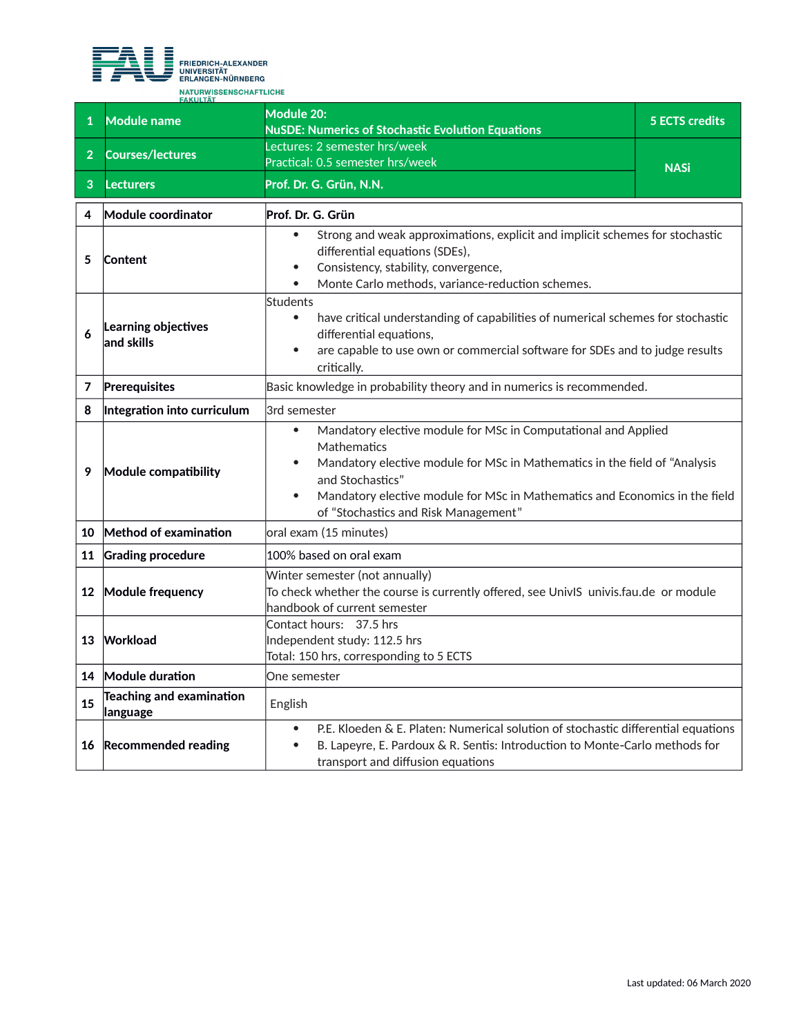

|                | <b>FAKULTAT</b><br><b>Module name</b>       | Module 20:                                                                                                                                                                                                                                                                                                          | <b>5 ECTS credits</b> |
|----------------|---------------------------------------------|---------------------------------------------------------------------------------------------------------------------------------------------------------------------------------------------------------------------------------------------------------------------------------------------------------------------|-----------------------|
|                |                                             | <b>NuSDE: Numerics of Stochastic Evolution Equations</b>                                                                                                                                                                                                                                                            |                       |
| 2 <sup>1</sup> | <b>Courses/lectures</b>                     | Lectures: 2 semester hrs/week                                                                                                                                                                                                                                                                                       |                       |
|                |                                             | Practical: 0.5 semester hrs/week                                                                                                                                                                                                                                                                                    | <b>NASi</b>           |
| 3              | <b>Lecturers</b>                            | Prof. Dr. G. Grün, N.N.                                                                                                                                                                                                                                                                                             |                       |
| 4              | Module coordinator                          | Prof. Dr. G. Grün                                                                                                                                                                                                                                                                                                   |                       |
| 5              | Content                                     | Strong and weak approximations, explicit and implicit schemes for stochastic<br>differential equations (SDEs),<br>Consistency, stability, convergence,<br>$\bullet$<br>Monte Carlo methods, variance-reduction schemes.                                                                                             |                       |
| 6              | Learning objectives<br>and skills           | Students<br>have critical understanding of capabilities of numerical schemes for stochastic<br>$\bullet$<br>differential equations,<br>are capable to use own or commercial software for SDEs and to judge results<br>$\bullet$<br>critically.                                                                      |                       |
| 7              | Prerequisites                               | Basic knowledge in probability theory and in numerics is recommended.                                                                                                                                                                                                                                               |                       |
| 8              | Integration into curriculum                 | 3rd semester                                                                                                                                                                                                                                                                                                        |                       |
| 9              | Module compatibility                        | Mandatory elective module for MSc in Computational and Applied<br>$\bullet$<br>Mathematics<br>Mandatory elective module for MSc in Mathematics in the field of "Analysis<br>and Stochastics"<br>Mandatory elective module for MSc in Mathematics and Economics in the field<br>of "Stochastics and Risk Management" |                       |
| 10             | Method of examination                       | oral exam (15 minutes)                                                                                                                                                                                                                                                                                              |                       |
| 11             | <b>Grading procedure</b>                    | 100% based on oral exam                                                                                                                                                                                                                                                                                             |                       |
|                | 12 Module frequency                         | Winter semester (not annually)<br>To check whether the course is currently offered, see UnivIS  univis.fau.de  or module<br>handbook of current semester                                                                                                                                                            |                       |
| 13             | Workload                                    | Contact hours: 37.5 hrs<br>Independent study: 112.5 hrs<br>Total: 150 hrs, corresponding to 5 ECTS                                                                                                                                                                                                                  |                       |
|                | 14 Module duration                          | One semester                                                                                                                                                                                                                                                                                                        |                       |
| 15             | <b>Teaching and examination</b><br>language | English                                                                                                                                                                                                                                                                                                             |                       |
| 16             | <b>Recommended reading</b>                  | P.E. Kloeden & E. Platen: Numerical solution of stochastic differential equations<br>$\bullet$<br>B. Lapeyre, E. Pardoux & R. Sentis: Introduction to Monte-Carlo methods for<br>$\bullet$<br>transport and diffusion equations                                                                                     |                       |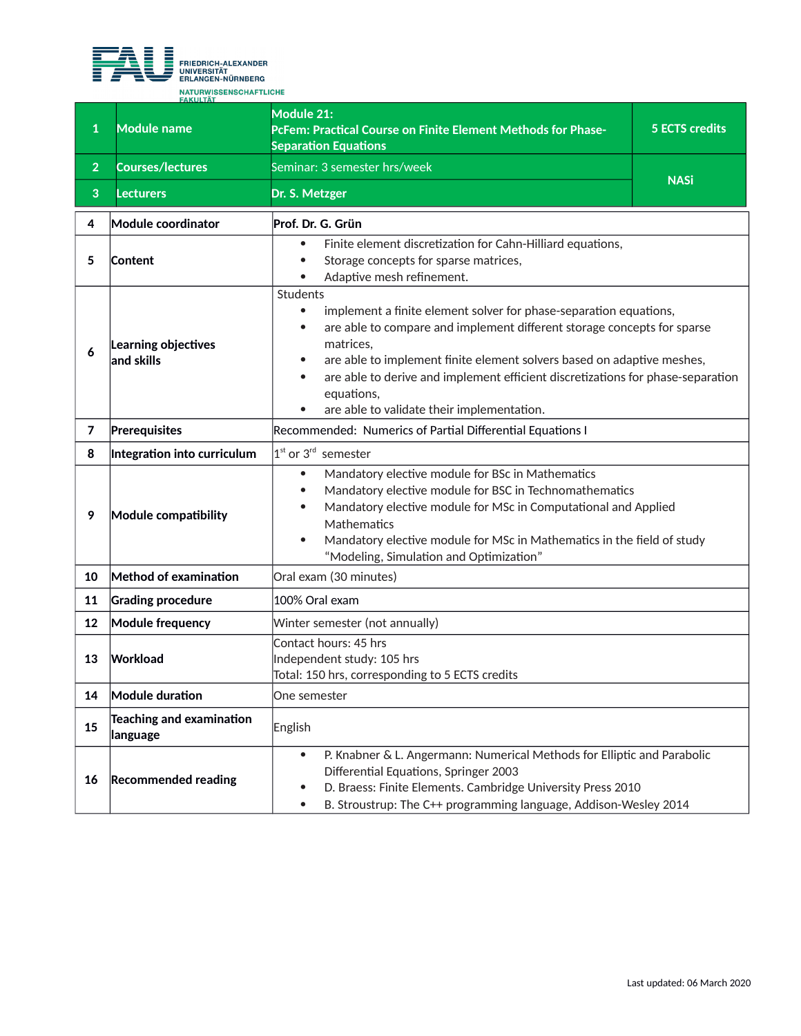

| $\mathbf{1}$   | FAKULTAT<br><b>Module name</b>              | Module 21:<br>PcFem: Practical Course on Finite Element Methods for Phase-<br><b>Separation Equations</b>                                                                                                                                                                                                                                                                                                                                                       | <b>5 ECTS credits</b> |
|----------------|---------------------------------------------|-----------------------------------------------------------------------------------------------------------------------------------------------------------------------------------------------------------------------------------------------------------------------------------------------------------------------------------------------------------------------------------------------------------------------------------------------------------------|-----------------------|
| $\overline{2}$ | <b>Courses/lectures</b>                     | Seminar: 3 semester hrs/week                                                                                                                                                                                                                                                                                                                                                                                                                                    |                       |
| 3              | Lecturers                                   | Dr. S. Metzger                                                                                                                                                                                                                                                                                                                                                                                                                                                  | <b>NASi</b>           |
| 4              | Module coordinator                          | Prof. Dr. G. Grün                                                                                                                                                                                                                                                                                                                                                                                                                                               |                       |
| 5              | Content                                     | Finite element discretization for Cahn-Hilliard equations,<br>$\bullet$<br>Storage concepts for sparse matrices,<br>$\bullet$<br>Adaptive mesh refinement.                                                                                                                                                                                                                                                                                                      |                       |
| 6              | Learning objectives<br>and skills           | Students<br>implement a finite element solver for phase-separation equations,<br>$\bullet$<br>are able to compare and implement different storage concepts for sparse<br>$\bullet$<br>matrices,<br>are able to implement finite element solvers based on adaptive meshes,<br>$\bullet$<br>are able to derive and implement efficient discretizations for phase-separation<br>$\bullet$<br>equations,<br>are able to validate their implementation.<br>$\bullet$ |                       |
| 7              | Prerequisites                               | Recommended: Numerics of Partial Differential Equations I                                                                                                                                                                                                                                                                                                                                                                                                       |                       |
| 8              | Integration into curriculum                 | $1st$ or 3 <sup>rd</sup> semester                                                                                                                                                                                                                                                                                                                                                                                                                               |                       |
| 9              | Module compatibility                        | Mandatory elective module for BSc in Mathematics<br>$\bullet$<br>Mandatory elective module for BSC in Technomathematics<br>$\bullet$<br>Mandatory elective module for MSc in Computational and Applied<br>$\bullet$<br>Mathematics<br>Mandatory elective module for MSc in Mathematics in the field of study<br>$\bullet$<br>"Modeling, Simulation and Optimization"                                                                                            |                       |
| 10             | Method of examination                       | Oral exam (30 minutes)                                                                                                                                                                                                                                                                                                                                                                                                                                          |                       |
| 11             | <b>Grading procedure</b>                    | 100% Oral exam                                                                                                                                                                                                                                                                                                                                                                                                                                                  |                       |
| 12             | <b>Module frequency</b>                     | Winter semester (not annually)                                                                                                                                                                                                                                                                                                                                                                                                                                  |                       |
| 13             | Workload                                    | Contact hours: 45 hrs<br>Independent study: 105 hrs<br>Total: 150 hrs, corresponding to 5 ECTS credits                                                                                                                                                                                                                                                                                                                                                          |                       |
| 14             | <b>Module duration</b>                      | One semester                                                                                                                                                                                                                                                                                                                                                                                                                                                    |                       |
| 15             | <b>Teaching and examination</b><br>language | English                                                                                                                                                                                                                                                                                                                                                                                                                                                         |                       |
| 16             | <b>Recommended reading</b>                  | P. Knabner & L. Angermann: Numerical Methods for Elliptic and Parabolic<br>$\bullet$<br>Differential Equations, Springer 2003<br>D. Braess: Finite Elements. Cambridge University Press 2010<br>$\bullet$<br>B. Stroustrup: The C++ programming language, Addison-Wesley 2014                                                                                                                                                                                   |                       |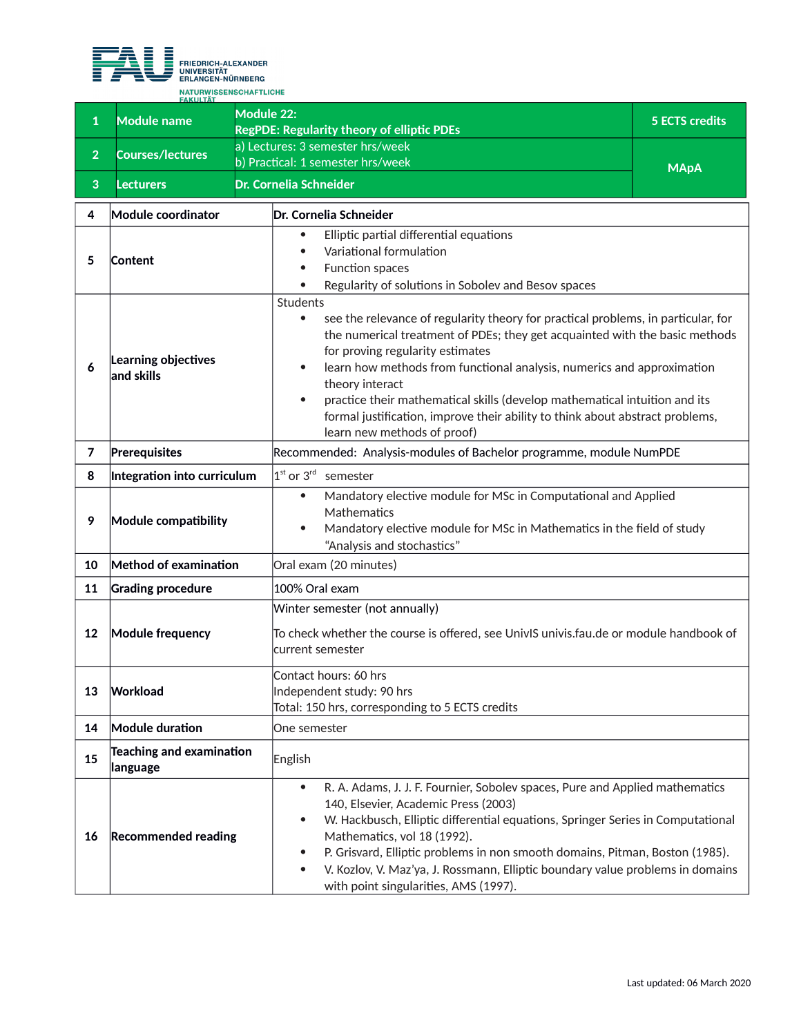

**<sup>1</sup> Module name Module 22: RegPDE: Regularity theory of elliptic PDEs 5 ECTS credits <sup>2</sup> Courses/lectures** a) Lectures: 3 semester hrs/week b) Practical: 1 semester hrs/week MAPA MAPA **3 Lecturers Dr. Cornelia Schneider 4 Module coordinator Dr. Cornelia Schneider 5 Content** Elliptic partial differential equations Variational formulation Function spaces Regularity of solutions in Sobolev and Besov spaces **6 Learning objectives and skills** Students see the relevance of regularity theory for practical problems, in particular, for the numerical treatment of PDEs; they get acquainted with the basic methods for proving regularity estimates learn how methods from functional analysis, numerics and approximation theory interact practice their mathematical skills (develop mathematical intuition and its formal justification, improve their ability to think about abstract problems, learn new methods of proof) **7 Prerequisites Recommended: Analysis-modules of Bachelor programme, module NumPDE 8 Integration into curriculum** 1  $1<sup>st</sup>$  or  $3<sup>rd</sup>$  semester **9 Module compatibility** Mandatory elective module for MSc in Computational and Applied **Mathematics**  Mandatory elective module for MSc in Mathematics in the field of study "Analysis and stochastics" **10 Method of examination Oral exam (20 minutes) 11 Grading procedure** 100% Oral exam **12 Module frequency** Winter semester (not annually) To check whether the course is offered, see UnivIS univis.fau.de or module handbook of current semester **13 Workload** Contact hours: 60 hrs Independent study: 90 hrs Total: 150 hrs, corresponding to 5 ECTS credits **14 Module duration One semester <sup>15</sup> Teaching and examination language** English **16 Recommended reading** R. A. Adams, J. J. F. Fournier, Sobolev spaces, Pure and Applied mathematics 140, Elsevier, Academic Press (2003) W. Hackbusch, Elliptic differential equations, Springer Series in Computational Mathematics, vol 18 (1992). P. Grisvard, Elliptic problems in non smooth domains, Pitman, Boston (1985). V. Kozlov, V. Maz'ya, J. Rossmann, Elliptic boundary value problems in domains with point singularities, AMS (1997).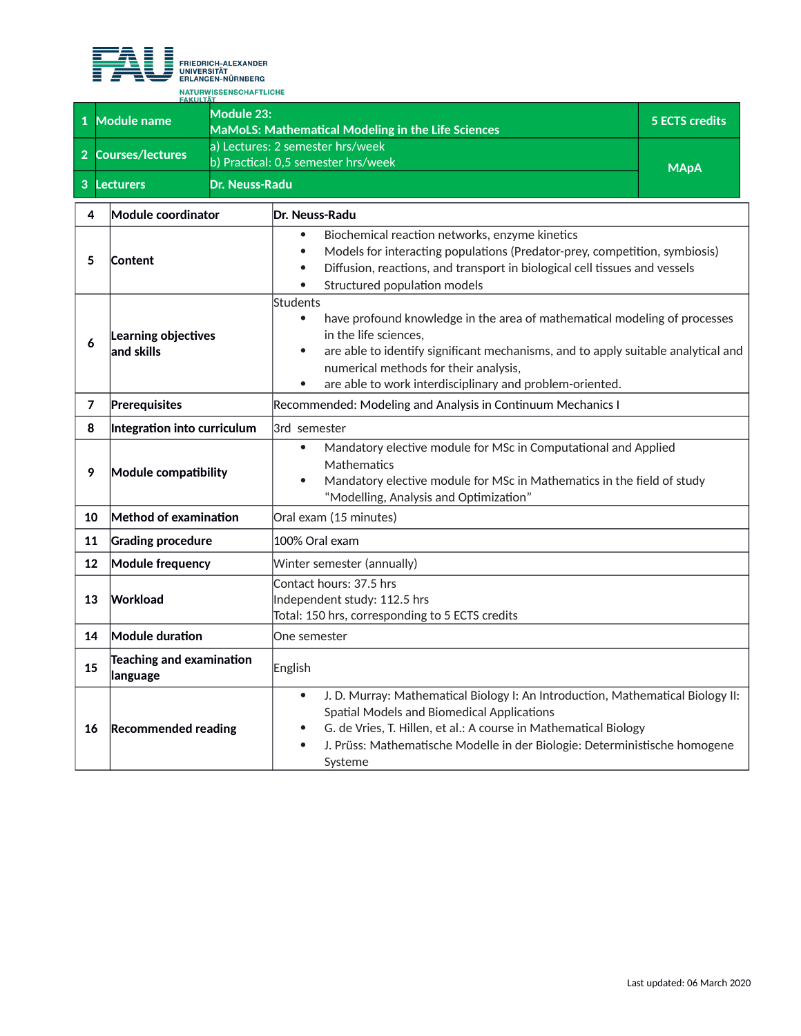

 $\overline{\phantom{a}}$ 

| <b>FAKULTÄT</b> |                    |                                                                         |                       |
|-----------------|--------------------|-------------------------------------------------------------------------|-----------------------|
|                 | Module name        | Module 23:<br><b>MaMoLS: Mathematical Modeling in the Life Sciences</b> | <b>5 ECTS credits</b> |
|                 | 2 Courses/lectures | a) Lectures: 2 semester hrs/week<br>b) Practical: 0,5 semester hrs/week | <b>MApA</b>           |
|                 | <b>Lecturers</b>   | <b>IDr. Neuss-Radu</b>                                                  |                       |

| 4              | Module coordinator                   | Dr. Neuss-Radu                                                                                                                                                                                                                                                                                                                                  |  |
|----------------|--------------------------------------|-------------------------------------------------------------------------------------------------------------------------------------------------------------------------------------------------------------------------------------------------------------------------------------------------------------------------------------------------|--|
| 5              | Content                              | Biochemical reaction networks, enzyme kinetics<br>Models for interacting populations (Predator-prey, competition, symbiosis)<br>$\bullet$<br>Diffusion, reactions, and transport in biological cell tissues and vessels<br>$\bullet$<br>Structured population models                                                                            |  |
| 6              | Learning objectives<br>and skills    | Students<br>have profound knowledge in the area of mathematical modeling of processes<br>$\bullet$<br>in the life sciences,<br>are able to identify significant mechanisms, and to apply suitable analytical and<br>$\bullet$<br>numerical methods for their analysis,<br>are able to work interdisciplinary and problem-oriented.<br>$\bullet$ |  |
| $\overline{7}$ | Prerequisites                        | Recommended: Modeling and Analysis in Continuum Mechanics I                                                                                                                                                                                                                                                                                     |  |
| 8              | Integration into curriculum          | 3rd semester                                                                                                                                                                                                                                                                                                                                    |  |
| 9              | Module compatibility                 | Mandatory elective module for MSc in Computational and Applied<br>$\bullet$<br>Mathematics<br>Mandatory elective module for MSc in Mathematics in the field of study<br>$\bullet$<br>"Modelling, Analysis and Optimization"                                                                                                                     |  |
| 10             | Method of examination                | Oral exam (15 minutes)                                                                                                                                                                                                                                                                                                                          |  |
| 11             | <b>Grading procedure</b>             | 100% Oral exam                                                                                                                                                                                                                                                                                                                                  |  |
| 12             | <b>Module frequency</b>              | Winter semester (annually)                                                                                                                                                                                                                                                                                                                      |  |
| 13             | Workload                             | Contact hours: 37.5 hrs<br>Independent study: 112.5 hrs<br>Total: 150 hrs, corresponding to 5 ECTS credits                                                                                                                                                                                                                                      |  |
| 14             | Module duration                      | One semester                                                                                                                                                                                                                                                                                                                                    |  |
| 15             | Teaching and examination<br>language | English                                                                                                                                                                                                                                                                                                                                         |  |
| 16             | <b>Recommended reading</b>           | J. D. Murray: Mathematical Biology I: An Introduction, Mathematical Biology II:<br>$\bullet$<br>Spatial Models and Biomedical Applications<br>G. de Vries, T. Hillen, et al.: A course in Mathematical Biology<br>J. Prüss: Mathematische Modelle in der Biologie: Deterministische homogene<br>$\bullet$<br>Systeme                            |  |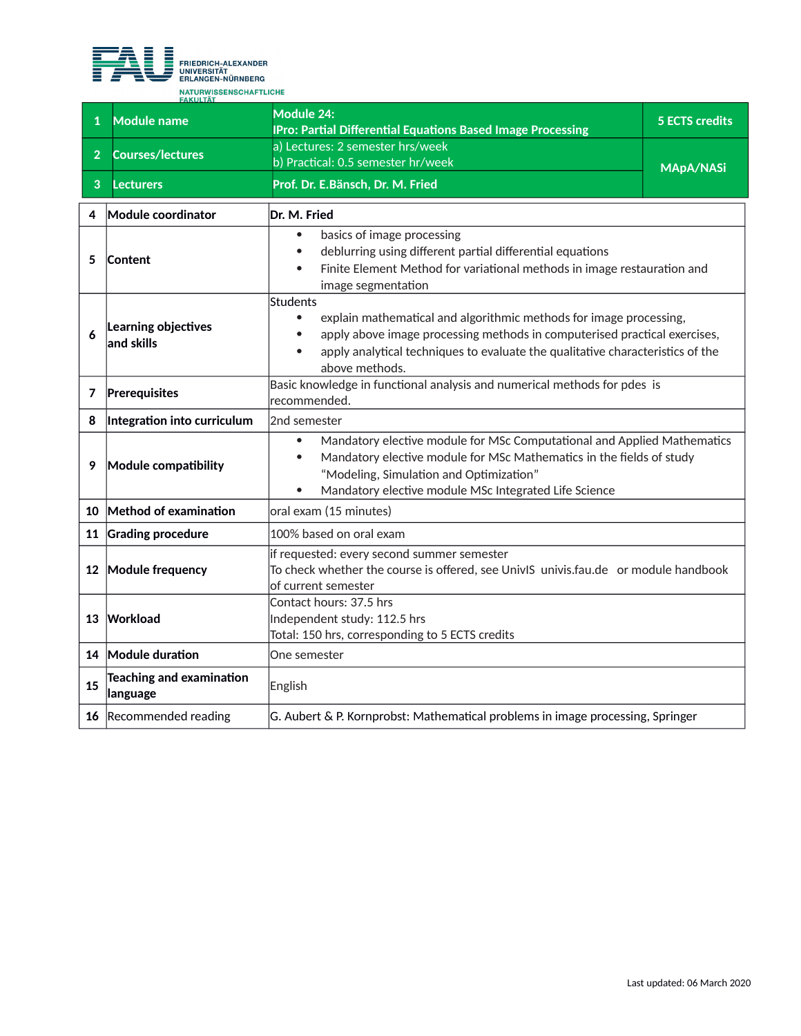

**10 Method of examination oral exam (15 minutes) 11 Grading procedure 100%** based on oral exam

**14 Module duration One semester** 

**leading and examination**<br>**anguage** English

**12 Module frequency**

**<sup>15</sup> Teaching and examination** 

**13 Workload**

|                | <b>FAKULTÄT</b>                   |                                                                                                                                                                                                                                                                                                                                                                                          |  |  |
|----------------|-----------------------------------|------------------------------------------------------------------------------------------------------------------------------------------------------------------------------------------------------------------------------------------------------------------------------------------------------------------------------------------------------------------------------------------|--|--|
| $\mathbf{1}$   | <b>Module name</b>                | <b>Module 24:</b><br><b>5 ECTS credits</b><br><b>IPro: Partial Differential Equations Based Image Processing</b>                                                                                                                                                                                                                                                                         |  |  |
| $\overline{2}$ | <b>Courses/lectures</b>           | a) Lectures: 2 semester hrs/week<br>b) Practical: 0.5 semester hr/week<br><b>MApA/NASi</b>                                                                                                                                                                                                                                                                                               |  |  |
| $\mathbf{3}$   | <b>Lecturers</b>                  | Prof. Dr. E.Bänsch, Dr. M. Fried                                                                                                                                                                                                                                                                                                                                                         |  |  |
| 4              | Module coordinator                | Dr. M. Fried                                                                                                                                                                                                                                                                                                                                                                             |  |  |
| 5              | Content                           | basics of image processing<br>$\bullet$<br>deblurring using different partial differential equations<br>Finite Element Method for variational methods in image restauration and<br>$\bullet$<br>image segmentation                                                                                                                                                                       |  |  |
| 6              | Learning objectives<br>and skills | Students<br>explain mathematical and algorithmic methods for image processing,<br>٠<br>apply above image processing methods in computerised practical exercises,<br>apply analytical techniques to evaluate the qualitative characteristics of the<br>$\bullet$<br>above methods.                                                                                                        |  |  |
| 7              | Prerequisites                     | Basic knowledge in functional analysis and numerical methods for pdes is<br>recommended.                                                                                                                                                                                                                                                                                                 |  |  |
| 8              | Integration into curriculum       | 2nd semester                                                                                                                                                                                                                                                                                                                                                                             |  |  |
| 9              | Module compatibility              | Mandatory elective module for MSc Computational and Applied Mathematics<br>٠<br>Mandatory elective module for MSc Mathematics in the fields of study<br>$(0.4 \pm 1.1)$ $C_1$ $C_2$ $C_3$ $C_4$ $C_5$ $C_6$ $C_7$ $C_8$ $C_9$ $C_9$ $C_1$ $C_2$ $C_3$ $C_4$ $C_7$ $C_8$ $C_9$ $C_9$ $C_9$ $C_1$ $C_2$ $C_3$ $C_4$ $C_7$ $C_8$ $C_9$ $C_9$ $C_9$ $C_9$ $C_9$ $C_9$ $C_9$ $C_9$ $C_9$ $C_$ |  |  |

"Modeling, Simulation and Optimization"

if requested: every second summer semester

Total: 150 hrs, corresponding to 5 ECTS credits

**16** Recommended reading G. Aubert & P. Kornprobst: Mathematical problems in image processing, Springer

of current semester

Contact hours: 37.5 hrs Independent study: 112.5 hrs

Mandatory elective module MSc Integrated Life Science

To check whether the course is offered, see UnivIS univis.fau.de or module handbook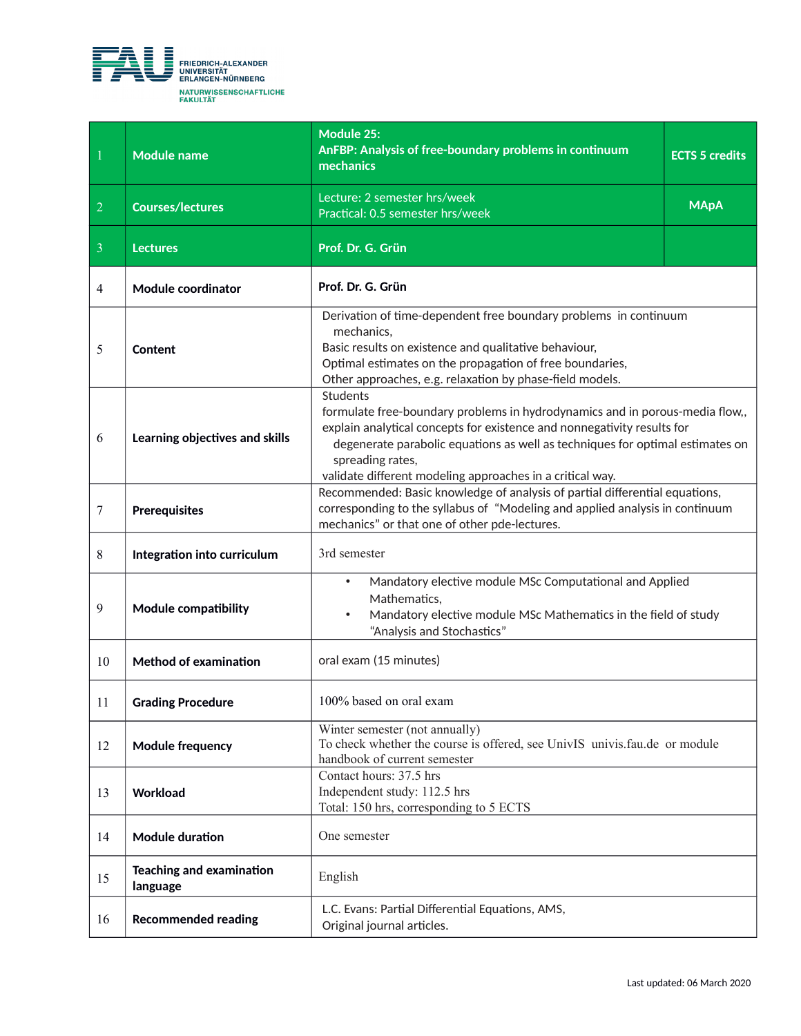

| 1              | <b>Module name</b>                                     | Module 25:<br>AnFBP: Analysis of free-boundary problems in continuum<br>mechanics                                                                                                                                                                                                                                                            | <b>ECTS 5 credits</b> |
|----------------|--------------------------------------------------------|----------------------------------------------------------------------------------------------------------------------------------------------------------------------------------------------------------------------------------------------------------------------------------------------------------------------------------------------|-----------------------|
| $\overline{2}$ | <b>Courses/lectures</b>                                | Lecture: 2 semester hrs/week<br>Practical: 0.5 semester hrs/week                                                                                                                                                                                                                                                                             | <b>MApA</b>           |
| $\overline{3}$ | <b>Lectures</b>                                        | Prof. Dr. G. Grün                                                                                                                                                                                                                                                                                                                            |                       |
| $\overline{4}$ | <b>Module coordinator</b>                              | Prof. Dr. G. Grün                                                                                                                                                                                                                                                                                                                            |                       |
| 5              | Content                                                | Derivation of time-dependent free boundary problems in continuum<br>mechanics,<br>Basic results on existence and qualitative behaviour,<br>Optimal estimates on the propagation of free boundaries,<br>Other approaches, e.g. relaxation by phase-field models.                                                                              |                       |
| 6              | Learning objectives and skills                         | <b>Students</b><br>formulate free-boundary problems in hydrodynamics and in porous-media flow,,<br>explain analytical concepts for existence and nonnegativity results for<br>degenerate parabolic equations as well as techniques for optimal estimates on<br>spreading rates,<br>validate different modeling approaches in a critical way. |                       |
| $\tau$         | <b>Prerequisites</b>                                   | Recommended: Basic knowledge of analysis of partial differential equations,<br>corresponding to the syllabus of "Modeling and applied analysis in continuum<br>mechanics" or that one of other pde-lectures.                                                                                                                                 |                       |
| 8              | Integration into curriculum                            | 3rd semester                                                                                                                                                                                                                                                                                                                                 |                       |
| 9              | Module compatibility                                   | Mandatory elective module MSc Computational and Applied<br>$\bullet$<br>Mathematics,<br>Mandatory elective module MSc Mathematics in the field of study<br>$\bullet$<br>"Analysis and Stochastics"                                                                                                                                           |                       |
| 10             | <b>Method of examination</b>                           | oral exam (15 minutes)                                                                                                                                                                                                                                                                                                                       |                       |
| 11             | <b>Grading Procedure</b>                               | 100% based on oral exam                                                                                                                                                                                                                                                                                                                      |                       |
| 12             | <b>Module frequency</b>                                | Winter semester (not annually)<br>To check whether the course is offered, see UnivIS univis.fau.de or module<br>handbook of current semester                                                                                                                                                                                                 |                       |
| 13             | Workload                                               | Contact hours: 37.5 hrs<br>Independent study: 112.5 hrs<br>Total: 150 hrs, corresponding to 5 ECTS                                                                                                                                                                                                                                           |                       |
| 14             | <b>Module duration</b>                                 | One semester                                                                                                                                                                                                                                                                                                                                 |                       |
| 15             | <b>Teaching and examination</b><br>English<br>language |                                                                                                                                                                                                                                                                                                                                              |                       |
| 16             | <b>Recommended reading</b>                             | L.C. Evans: Partial Differential Equations, AMS,<br>Original journal articles.                                                                                                                                                                                                                                                               |                       |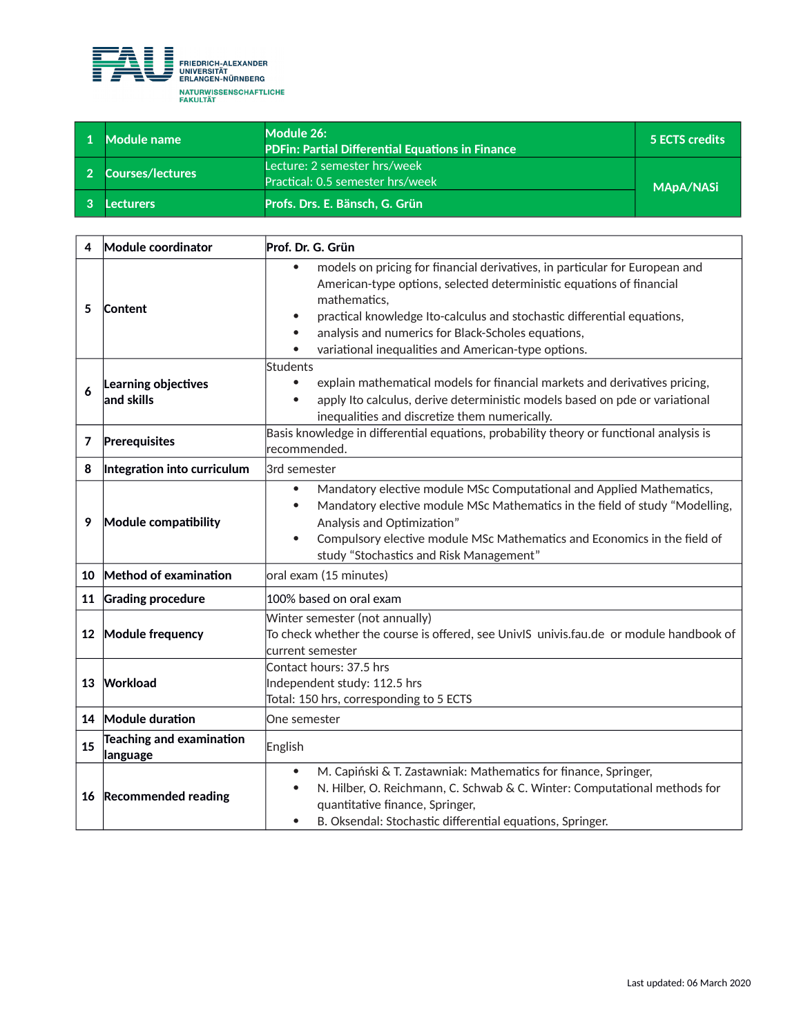

| <b>Module name</b> | Module 26:<br><b>PDFin: Partial Differential Equations in Finance</b> | 5 ECTS credits   |
|--------------------|-----------------------------------------------------------------------|------------------|
| 2 Courses/lectures | Lecture: 2 semester hrs/week '<br>Practical: 0.5 semester hrs/week    | <b>MApA/NASi</b> |
| Lecturers          | Profs. Drs. E. Bänsch, G. Grün                                        |                  |

| 4  | Module coordinator                          | Prof. Dr. G. Grün                                                                                                                                                                                                                                                                                                                                           |  |
|----|---------------------------------------------|-------------------------------------------------------------------------------------------------------------------------------------------------------------------------------------------------------------------------------------------------------------------------------------------------------------------------------------------------------------|--|
| 5  | Content                                     | models on pricing for financial derivatives, in particular for European and<br>American-type options, selected deterministic equations of financial<br>mathematics,<br>practical knowledge Ito-calculus and stochastic differential equations,<br>analysis and numerics for Black-Scholes equations,<br>variational inequalities and American-type options. |  |
| 6  | Learning objectives<br>and skills           | Students<br>explain mathematical models for financial markets and derivatives pricing,<br>apply Ito calculus, derive deterministic models based on pde or variational<br>$\bullet$<br>inequalities and discretize them numerically.                                                                                                                         |  |
| 7  | Prerequisites                               | Basis knowledge in differential equations, probability theory or functional analysis is<br>recommended.                                                                                                                                                                                                                                                     |  |
| 8  | Integration into curriculum                 | 3rd semester                                                                                                                                                                                                                                                                                                                                                |  |
| 9  | Module compatibility                        | Mandatory elective module MSc Computational and Applied Mathematics,<br>$\bullet$<br>Mandatory elective module MSc Mathematics in the field of study "Modelling,<br>$\bullet$<br>Analysis and Optimization"<br>Compulsory elective module MSc Mathematics and Economics in the field of<br>$\bullet$<br>study "Stochastics and Risk Management"             |  |
| 10 | Method of examination                       | oral exam (15 minutes)                                                                                                                                                                                                                                                                                                                                      |  |
| 11 | <b>Grading procedure</b>                    | 100% based on oral exam                                                                                                                                                                                                                                                                                                                                     |  |
| 12 | Module frequency                            | Winter semester (not annually)<br>To check whether the course is offered, see UnivIS univis.fau.de or module handbook of<br>lcurrent semester                                                                                                                                                                                                               |  |
| 13 | Workload                                    | Contact hours: 37.5 hrs<br>Independent study: 112.5 hrs<br>Total: 150 hrs, corresponding to 5 ECTS                                                                                                                                                                                                                                                          |  |
| 14 | Module duration                             | One semester                                                                                                                                                                                                                                                                                                                                                |  |
| 15 | <b>Teaching and examination</b><br>language | English                                                                                                                                                                                                                                                                                                                                                     |  |
| 16 | <b>Recommended reading</b>                  | M. Capiński & T. Zastawniak: Mathematics for finance, Springer,<br>$\bullet$<br>N. Hilber, O. Reichmann, C. Schwab & C. Winter: Computational methods for<br>$\bullet$<br>quantitative finance, Springer,<br>B. Oksendal: Stochastic differential equations, Springer.<br>$\bullet$                                                                         |  |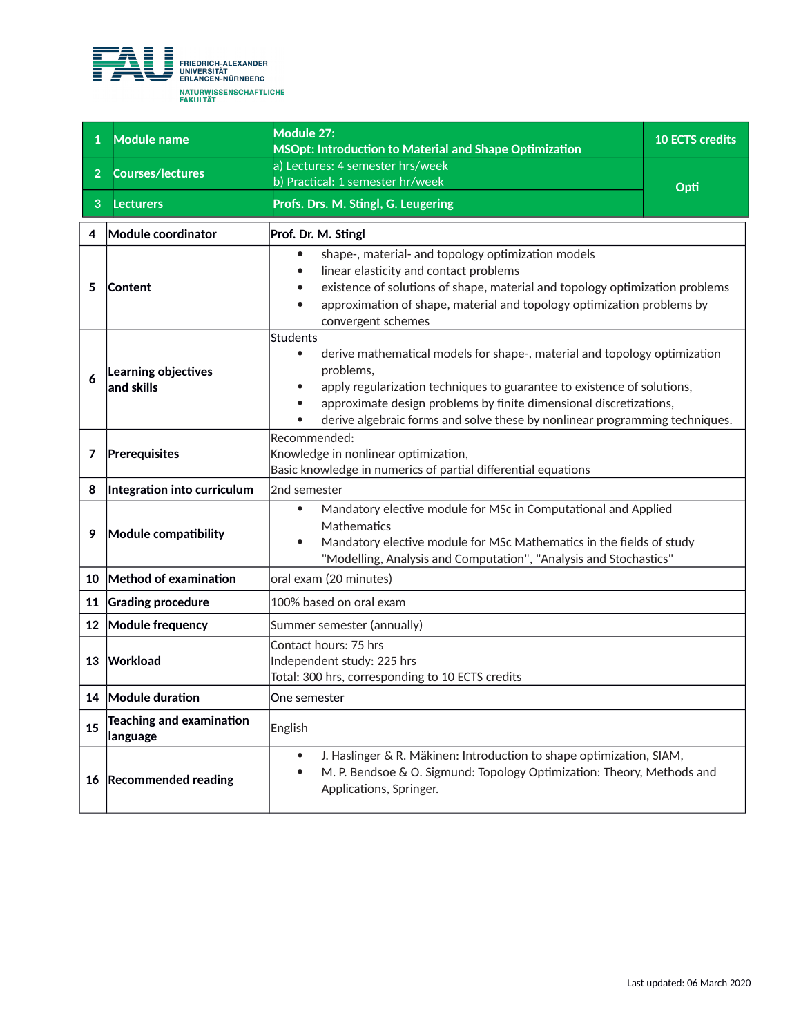

| $\mathbf{1}$   | <b>Module name</b>                          | Module 27:<br>MSOpt: Introduction to Material and Shape Optimization                                                                                                                                                                                                                                                                                         | <b>10 ECTS credits</b> |
|----------------|---------------------------------------------|--------------------------------------------------------------------------------------------------------------------------------------------------------------------------------------------------------------------------------------------------------------------------------------------------------------------------------------------------------------|------------------------|
| 2 <sup>1</sup> | <b>Courses/lectures</b>                     | a) Lectures: 4 semester hrs/week<br>b) Practical: 1 semester hr/week                                                                                                                                                                                                                                                                                         |                        |
| 3              | <b>Lecturers</b>                            | Profs. Drs. M. Stingl, G. Leugering                                                                                                                                                                                                                                                                                                                          | Opti                   |
| 4              | Module coordinator                          | Prof. Dr. M. Stingl                                                                                                                                                                                                                                                                                                                                          |                        |
| 5              | Content                                     | shape-, material- and topology optimization models<br>linear elasticity and contact problems<br>existence of solutions of shape, material and topology optimization problems<br>approximation of shape, material and topology optimization problems by<br>convergent schemes                                                                                 |                        |
| 6              | Learning objectives<br>and skills           | Students<br>derive mathematical models for shape-, material and topology optimization<br>$\bullet$<br>problems,<br>apply regularization techniques to guarantee to existence of solutions,<br>approximate design problems by finite dimensional discretizations,<br>$\bullet$<br>derive algebraic forms and solve these by nonlinear programming techniques. |                        |
| 7              | Prerequisites                               | Recommended:<br>Knowledge in nonlinear optimization,<br>Basic knowledge in numerics of partial differential equations                                                                                                                                                                                                                                        |                        |
| 8              | Integration into curriculum                 | 2nd semester                                                                                                                                                                                                                                                                                                                                                 |                        |
| 9              | Module compatibility                        | Mandatory elective module for MSc in Computational and Applied<br>$\bullet$<br>Mathematics<br>Mandatory elective module for MSc Mathematics in the fields of study<br>$\bullet$<br>"Modelling, Analysis and Computation", "Analysis and Stochastics"                                                                                                         |                        |
| 10             | Method of examination                       | oral exam (20 minutes)                                                                                                                                                                                                                                                                                                                                       |                        |
| 11             | <b>Grading procedure</b>                    | 100% based on oral exam                                                                                                                                                                                                                                                                                                                                      |                        |
| 12             | <b>Module frequency</b>                     | Summer semester (annually)                                                                                                                                                                                                                                                                                                                                   |                        |
| 13             | Workload                                    | Contact hours: 75 hrs<br>Independent study: 225 hrs<br>Total: 300 hrs, corresponding to 10 ECTS credits                                                                                                                                                                                                                                                      |                        |
|                | 14 Module duration                          | One semester                                                                                                                                                                                                                                                                                                                                                 |                        |
| 15             | <b>Teaching and examination</b><br>language | English                                                                                                                                                                                                                                                                                                                                                      |                        |
| 16             | <b>Recommended reading</b>                  | J. Haslinger & R. Mäkinen: Introduction to shape optimization, SIAM,<br>$\bullet$<br>M. P. Bendsoe & O. Sigmund: Topology Optimization: Theory, Methods and<br>$\bullet$<br>Applications, Springer.                                                                                                                                                          |                        |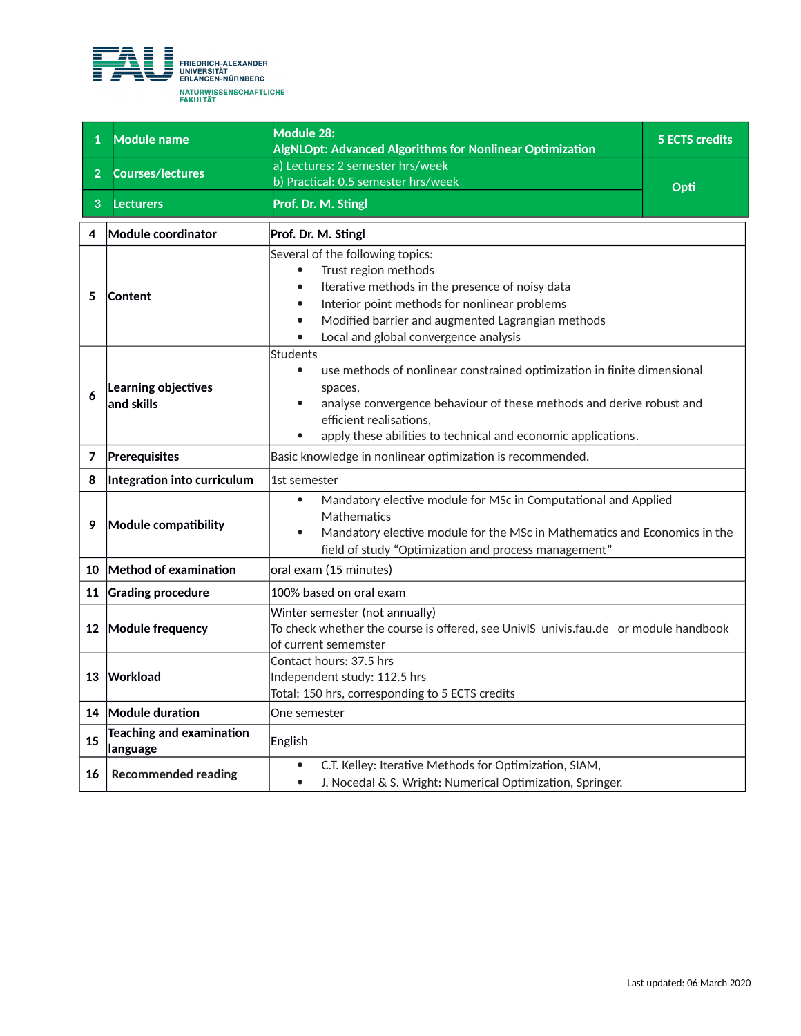

| $\mathbf{1}$   | <b>Module name</b>                          | <b>Module 28:</b><br>AlgNLOpt: Advanced Algorithms for Nonlinear Optimization                                                                                                                                                                                                          | <b>5 ECTS credits</b> |
|----------------|---------------------------------------------|----------------------------------------------------------------------------------------------------------------------------------------------------------------------------------------------------------------------------------------------------------------------------------------|-----------------------|
| 2 <sup>1</sup> | Courses/lectures                            | a) Lectures: 2 semester hrs/week<br>b) Practical: 0.5 semester hrs/week                                                                                                                                                                                                                | Opti                  |
| 3              | <b>Lecturers</b>                            | Prof. Dr. M. Stingl                                                                                                                                                                                                                                                                    |                       |
| 4              | Module coordinator                          | Prof. Dr. M. Stingl                                                                                                                                                                                                                                                                    |                       |
| 5              | Content                                     | Several of the following topics:<br>Trust region methods<br>$\bullet$<br>Iterative methods in the presence of noisy data<br>Interior point methods for nonlinear problems<br>Modified barrier and augmented Lagrangian methods<br>Local and global convergence analysis                |                       |
| 6              | Learning objectives<br>and skills           | <b>Students</b><br>use methods of nonlinear constrained optimization in finite dimensional<br>$\bullet$<br>spaces,<br>analyse convergence behaviour of these methods and derive robust and<br>efficient realisations,<br>apply these abilities to technical and economic applications. |                       |
| 7              | Prerequisites                               | Basic knowledge in nonlinear optimization is recommended.                                                                                                                                                                                                                              |                       |
| 8              | Integration into curriculum                 | 1st semester                                                                                                                                                                                                                                                                           |                       |
| 9              | Module compatibility                        | Mandatory elective module for MSc in Computational and Applied<br>$\bullet$<br>Mathematics<br>Mandatory elective module for the MSc in Mathematics and Economics in the<br>field of study "Optimization and process management"                                                        |                       |
| 10             | Method of examination                       | oral exam (15 minutes)                                                                                                                                                                                                                                                                 |                       |
| 11             | <b>Grading procedure</b>                    | 100% based on oral exam                                                                                                                                                                                                                                                                |                       |
|                | 12 Module frequency                         | Winter semester (not annually)<br>To check whether the course is offered, see UnivIS univis.fau.de or module handbook<br>of current sememster                                                                                                                                          |                       |
| 13             | Workload                                    | Contact hours: 37.5 hrs<br>Independent study: 112.5 hrs<br>Total: 150 hrs, corresponding to 5 ECTS credits                                                                                                                                                                             |                       |
|                | 14 Module duration                          | One semester                                                                                                                                                                                                                                                                           |                       |
| 15             | <b>Teaching and examination</b><br>language | English                                                                                                                                                                                                                                                                                |                       |
| 16             | <b>Recommended reading</b>                  | C.T. Kelley: Iterative Methods for Optimization, SIAM,<br>$\bullet$<br>J. Nocedal & S. Wright: Numerical Optimization, Springer.<br>$\bullet$                                                                                                                                          |                       |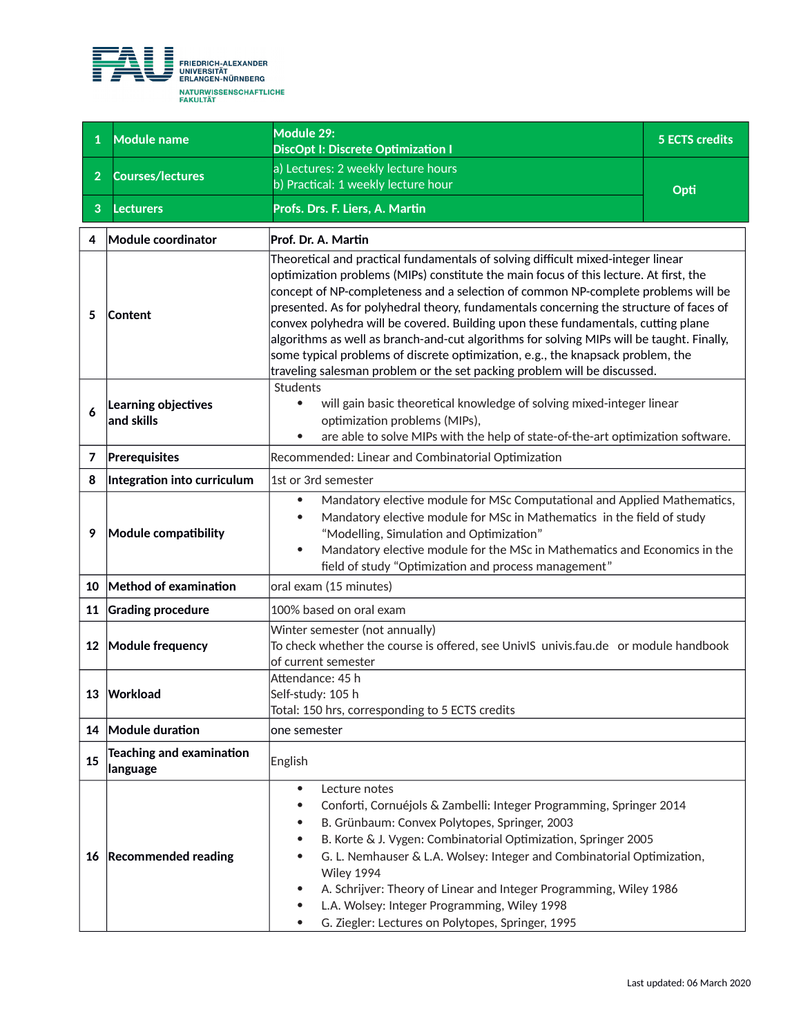

| $\mathbf{1}$   | <b>Module name</b>                          | Module 29:<br>DiscOpt I: Discrete Optimization I                                                                                                                                                                                                                                                                                                                                                                                                                                                                                                                                                                                                                                                          | <b>5 ECTS credits</b> |
|----------------|---------------------------------------------|-----------------------------------------------------------------------------------------------------------------------------------------------------------------------------------------------------------------------------------------------------------------------------------------------------------------------------------------------------------------------------------------------------------------------------------------------------------------------------------------------------------------------------------------------------------------------------------------------------------------------------------------------------------------------------------------------------------|-----------------------|
| $\overline{2}$ | <b>Courses/lectures</b>                     | a) Lectures: 2 weekly lecture hours                                                                                                                                                                                                                                                                                                                                                                                                                                                                                                                                                                                                                                                                       |                       |
|                |                                             | b) Practical: 1 weekly lecture hour                                                                                                                                                                                                                                                                                                                                                                                                                                                                                                                                                                                                                                                                       | Opti                  |
| 3              | Lecturers                                   | Profs. Drs. F. Liers, A. Martin                                                                                                                                                                                                                                                                                                                                                                                                                                                                                                                                                                                                                                                                           |                       |
| 4              | Module coordinator                          | Prof. Dr. A. Martin                                                                                                                                                                                                                                                                                                                                                                                                                                                                                                                                                                                                                                                                                       |                       |
| 5              | Content                                     | Theoretical and practical fundamentals of solving difficult mixed-integer linear<br>optimization problems (MIPs) constitute the main focus of this lecture. At first, the<br>concept of NP-completeness and a selection of common NP-complete problems will be<br>presented. As for polyhedral theory, fundamentals concerning the structure of faces of<br>convex polyhedra will be covered. Building upon these fundamentals, cutting plane<br>algorithms as well as branch-and-cut algorithms for solving MIPs will be taught. Finally,<br>some typical problems of discrete optimization, e.g., the knapsack problem, the<br>traveling salesman problem or the set packing problem will be discussed. |                       |
| 6              | Learning objectives<br>and skills           | Students<br>will gain basic theoretical knowledge of solving mixed-integer linear<br>$\bullet$<br>optimization problems (MIPs),<br>are able to solve MIPs with the help of state-of-the-art optimization software.<br>$\bullet$                                                                                                                                                                                                                                                                                                                                                                                                                                                                           |                       |
| $\overline{7}$ | Prerequisites                               | Recommended: Linear and Combinatorial Optimization                                                                                                                                                                                                                                                                                                                                                                                                                                                                                                                                                                                                                                                        |                       |
| 8              | Integration into curriculum                 | 1st or 3rd semester                                                                                                                                                                                                                                                                                                                                                                                                                                                                                                                                                                                                                                                                                       |                       |
| 9              | Module compatibility                        | Mandatory elective module for MSc Computational and Applied Mathematics,<br>$\bullet$<br>Mandatory elective module for MSc in Mathematics in the field of study<br>"Modelling, Simulation and Optimization"<br>Mandatory elective module for the MSc in Mathematics and Economics in the<br>$\bullet$<br>field of study "Optimization and process management"                                                                                                                                                                                                                                                                                                                                             |                       |
| 10             | Method of examination                       | oral exam (15 minutes)                                                                                                                                                                                                                                                                                                                                                                                                                                                                                                                                                                                                                                                                                    |                       |
| 11             | <b>Grading procedure</b>                    | 100% based on oral exam                                                                                                                                                                                                                                                                                                                                                                                                                                                                                                                                                                                                                                                                                   |                       |
| 12             | Module frequency                            | Winter semester (not annually)<br>To check whether the course is offered, see UnivIS univis.fau.de or module handbook<br>of current semester                                                                                                                                                                                                                                                                                                                                                                                                                                                                                                                                                              |                       |
|                | 13 Workload                                 | Attendance: 45 h<br>Self-study: 105 h<br>Total: 150 hrs, corresponding to 5 ECTS credits                                                                                                                                                                                                                                                                                                                                                                                                                                                                                                                                                                                                                  |                       |
|                | 14 Module duration                          | one semester                                                                                                                                                                                                                                                                                                                                                                                                                                                                                                                                                                                                                                                                                              |                       |
| 15             | <b>Teaching and examination</b><br>language | English                                                                                                                                                                                                                                                                                                                                                                                                                                                                                                                                                                                                                                                                                                   |                       |
|                | 16 Recommended reading                      | Lecture notes<br>$\bullet$<br>Conforti, Cornuéjols & Zambelli: Integer Programming, Springer 2014<br>٠<br>B. Grünbaum: Convex Polytopes, Springer, 2003<br>B. Korte & J. Vygen: Combinatorial Optimization, Springer 2005<br>G. L. Nemhauser & L.A. Wolsey: Integer and Combinatorial Optimization,<br>Wiley 1994<br>A. Schrijver: Theory of Linear and Integer Programming, Wiley 1986<br>L.A. Wolsey: Integer Programming, Wiley 1998<br>G. Ziegler: Lectures on Polytopes, Springer, 1995                                                                                                                                                                                                              |                       |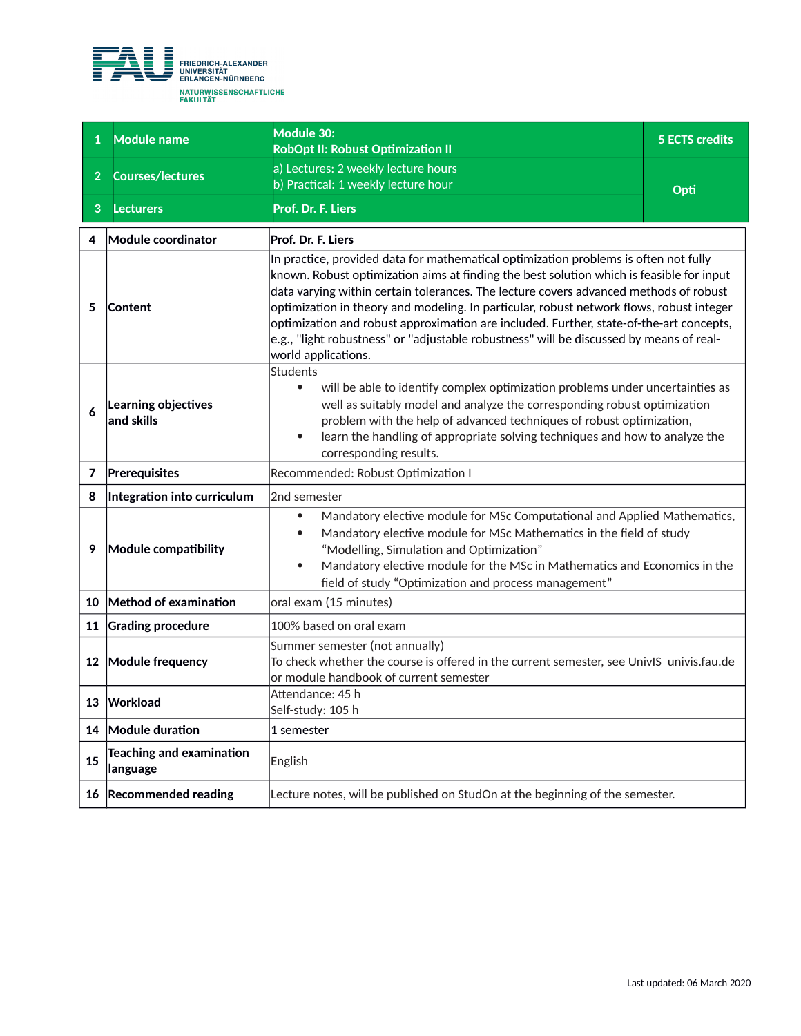

| $\mathbf{1}$   | <b>Module name</b>                          | Module 30:<br><b>RobOpt II: Robust Optimization II</b>                                                                                                                                                                                                                                                                                                                                                                                                                                                                                                                             | <b>5 ECTS credits</b> |
|----------------|---------------------------------------------|------------------------------------------------------------------------------------------------------------------------------------------------------------------------------------------------------------------------------------------------------------------------------------------------------------------------------------------------------------------------------------------------------------------------------------------------------------------------------------------------------------------------------------------------------------------------------------|-----------------------|
| 2 <sup>1</sup> | <b>Courses/lectures</b>                     | a) Lectures: 2 weekly lecture hours<br>b) Practical: 1 weekly lecture hour                                                                                                                                                                                                                                                                                                                                                                                                                                                                                                         | Opti                  |
| 3              | <b>Lecturers</b>                            | Prof. Dr. F. Liers                                                                                                                                                                                                                                                                                                                                                                                                                                                                                                                                                                 |                       |
| 4              | Module coordinator                          | Prof. Dr. F. Liers                                                                                                                                                                                                                                                                                                                                                                                                                                                                                                                                                                 |                       |
| 5              | <b>Content</b>                              | In practice, provided data for mathematical optimization problems is often not fully<br>known. Robust optimization aims at finding the best solution which is feasible for input<br>data varying within certain tolerances. The lecture covers advanced methods of robust<br>optimization in theory and modeling. In particular, robust network flows, robust integer<br>optimization and robust approximation are included. Further, state-of-the-art concepts,<br>e.g., "light robustness" or "adjustable robustness" will be discussed by means of real-<br>world applications. |                       |
| 6              | Learning objectives<br>and skills           | <b>Students</b><br>$\bullet$<br>will be able to identify complex optimization problems under uncertainties as<br>well as suitably model and analyze the corresponding robust optimization<br>problem with the help of advanced techniques of robust optimization,<br>learn the handling of appropriate solving techniques and how to analyze the<br>$\bullet$<br>corresponding results.                                                                                                                                                                                            |                       |
| 7              | Prerequisites                               | Recommended: Robust Optimization I                                                                                                                                                                                                                                                                                                                                                                                                                                                                                                                                                 |                       |
| 8              | Integration into curriculum                 | 2nd semester                                                                                                                                                                                                                                                                                                                                                                                                                                                                                                                                                                       |                       |
| 9              | <b>Module compatibility</b>                 | Mandatory elective module for MSc Computational and Applied Mathematics,<br>$\bullet$<br>Mandatory elective module for MSc Mathematics in the field of study<br>"Modelling, Simulation and Optimization"<br>Mandatory elective module for the MSc in Mathematics and Economics in the<br>$\bullet$<br>field of study "Optimization and process management"                                                                                                                                                                                                                         |                       |
| 10             | Method of examination                       | oral exam (15 minutes)                                                                                                                                                                                                                                                                                                                                                                                                                                                                                                                                                             |                       |
| 11             | <b>Grading procedure</b>                    | 100% based on oral exam                                                                                                                                                                                                                                                                                                                                                                                                                                                                                                                                                            |                       |
| 12             | Module frequency                            | Summer semester (not annually)<br>To check whether the course is offered in the current semester, see UnivIS univis.fau.de<br>or module handbook of current semester                                                                                                                                                                                                                                                                                                                                                                                                               |                       |
|                | 13 Workload                                 | Attendance: 45 h<br>Self-study: 105 h                                                                                                                                                                                                                                                                                                                                                                                                                                                                                                                                              |                       |
| 14             | Module duration                             | 1 semester                                                                                                                                                                                                                                                                                                                                                                                                                                                                                                                                                                         |                       |
| 15             | <b>Teaching and examination</b><br>language | English                                                                                                                                                                                                                                                                                                                                                                                                                                                                                                                                                                            |                       |
|                | 16 Recommended reading                      | Lecture notes, will be published on StudOn at the beginning of the semester.                                                                                                                                                                                                                                                                                                                                                                                                                                                                                                       |                       |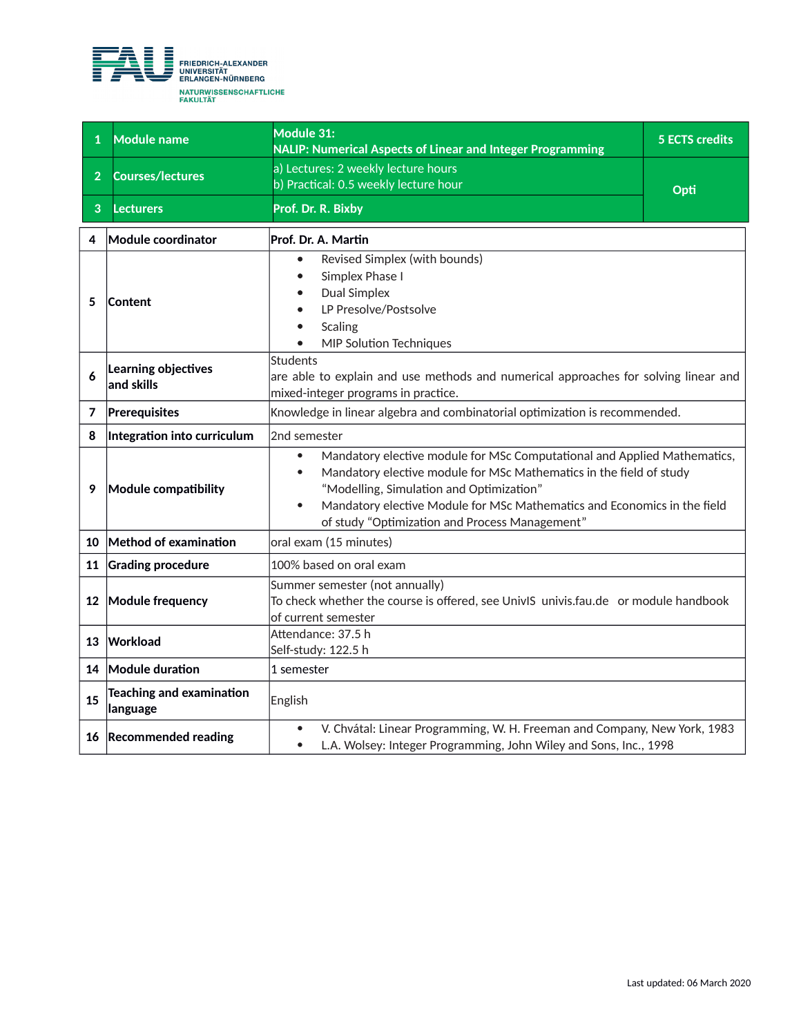

| $\mathbf{1}$   | <b>Module name</b>                   | Module 31:<br>NALIP: Numerical Aspects of Linear and Integer Programming                                                                                                                                                                                                                                                                                         | <b>5 ECTS credits</b> |
|----------------|--------------------------------------|------------------------------------------------------------------------------------------------------------------------------------------------------------------------------------------------------------------------------------------------------------------------------------------------------------------------------------------------------------------|-----------------------|
| $\overline{2}$ | <b>Courses/lectures</b>              | a) Lectures: 2 weekly lecture hours<br>b) Practical: 0.5 weekly lecture hour                                                                                                                                                                                                                                                                                     | Opti                  |
| 3              | Lecturers                            | Prof. Dr. R. Bixby                                                                                                                                                                                                                                                                                                                                               |                       |
| 4              | Module coordinator                   | Prof. Dr. A. Martin                                                                                                                                                                                                                                                                                                                                              |                       |
| 5              | Content                              | Revised Simplex (with bounds)<br>$\bullet$<br>Simplex Phase I<br><b>Dual Simplex</b><br>LP Presolve/Postsolve<br>Scaling<br><b>MIP Solution Techniques</b>                                                                                                                                                                                                       |                       |
| 6              | Learning objectives<br>and skills    | <b>Students</b><br>are able to explain and use methods and numerical approaches for solving linear and<br>mixed-integer programs in practice.                                                                                                                                                                                                                    |                       |
| 7              | Prerequisites                        | Knowledge in linear algebra and combinatorial optimization is recommended.                                                                                                                                                                                                                                                                                       |                       |
| 8              | Integration into curriculum          | 2nd semester                                                                                                                                                                                                                                                                                                                                                     |                       |
| 9              | Module compatibility                 | Mandatory elective module for MSc Computational and Applied Mathematics,<br>$\bullet$<br>Mandatory elective module for MSc Mathematics in the field of study<br>$\bullet$<br>"Modelling, Simulation and Optimization"<br>Mandatory elective Module for MSc Mathematics and Economics in the field<br>$\bullet$<br>of study "Optimization and Process Management" |                       |
| 10             | Method of examination                | oral exam (15 minutes)                                                                                                                                                                                                                                                                                                                                           |                       |
| 11             | <b>Grading procedure</b>             | 100% based on oral exam                                                                                                                                                                                                                                                                                                                                          |                       |
|                | 12 Module frequency                  | Summer semester (not annually)<br>To check whether the course is offered, see UnivIS univis.fau.de or module handbook<br>of current semester                                                                                                                                                                                                                     |                       |
|                | 13 Workload                          | Attendance: 37.5 h<br>Self-study: 122.5 h                                                                                                                                                                                                                                                                                                                        |                       |
|                | 14 Module duration                   | 1 semester                                                                                                                                                                                                                                                                                                                                                       |                       |
| 15             | Teaching and examination<br>language | English                                                                                                                                                                                                                                                                                                                                                          |                       |
|                | 16 Recommended reading               | V. Chvátal: Linear Programming, W. H. Freeman and Company, New York, 1983<br>$\bullet$<br>L.A. Wolsey: Integer Programming, John Wiley and Sons, Inc., 1998<br>$\bullet$                                                                                                                                                                                         |                       |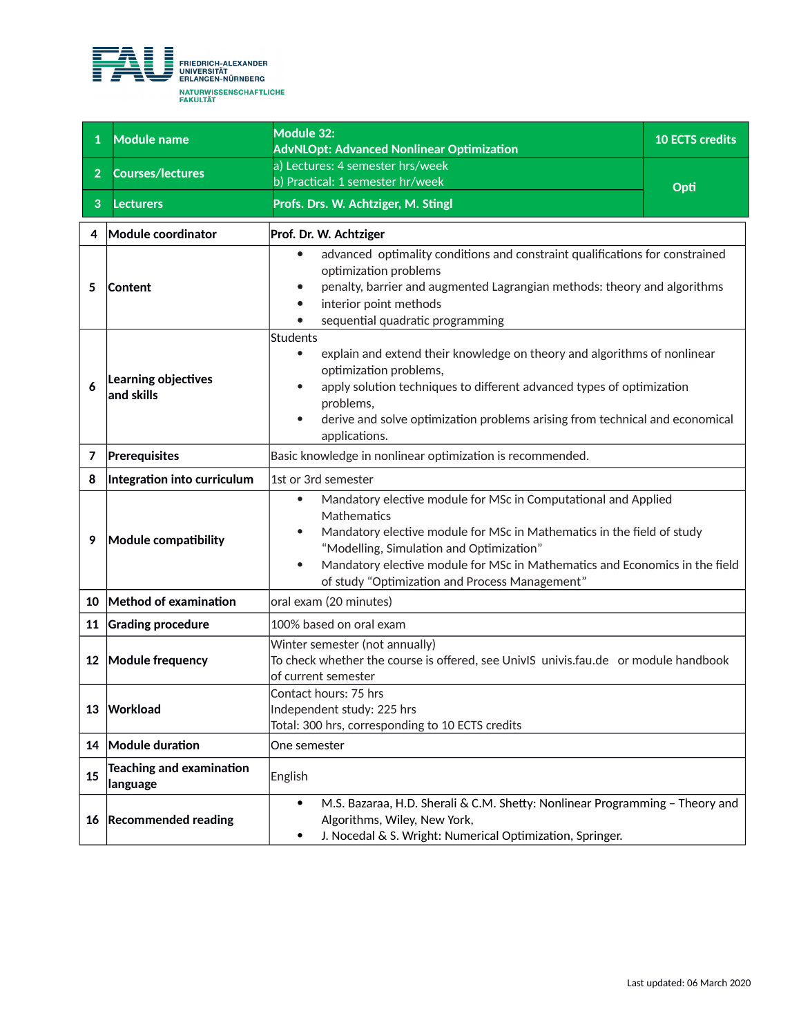

| $\mathbf{1}$   | <b>Module name</b>                          | Module 32:<br><b>AdvNLOpt: Advanced Nonlinear Optimization</b>                                                                                                                                                                                                                                                                                                              | <b>10 ECTS credits</b> |  |
|----------------|---------------------------------------------|-----------------------------------------------------------------------------------------------------------------------------------------------------------------------------------------------------------------------------------------------------------------------------------------------------------------------------------------------------------------------------|------------------------|--|
| $\overline{2}$ | <b>Courses/lectures</b>                     | a) Lectures: 4 semester hrs/week<br>b) Practical: 1 semester hr/week                                                                                                                                                                                                                                                                                                        |                        |  |
| 3              | Lecturers                                   | Profs. Drs. W. Achtziger, M. Stingl                                                                                                                                                                                                                                                                                                                                         | Opti                   |  |
| 4              | Module coordinator                          | Prof. Dr. W. Achtziger                                                                                                                                                                                                                                                                                                                                                      |                        |  |
| 5              | Content                                     | advanced optimality conditions and constraint qualifications for constrained<br>optimization problems<br>penalty, barrier and augmented Lagrangian methods: theory and algorithms<br>interior point methods<br>sequential quadratic programming                                                                                                                             |                        |  |
| 6              | Learning objectives<br>and skills           | Students<br>explain and extend their knowledge on theory and algorithms of nonlinear<br>$\bullet$<br>optimization problems,<br>apply solution techniques to different advanced types of optimization<br>$\bullet$<br>problems,<br>derive and solve optimization problems arising from technical and economical<br>$\bullet$<br>applications.                                |                        |  |
| 7              | Prerequisites                               | Basic knowledge in nonlinear optimization is recommended.                                                                                                                                                                                                                                                                                                                   |                        |  |
| 8              | Integration into curriculum                 | 1st or 3rd semester                                                                                                                                                                                                                                                                                                                                                         |                        |  |
| 9              | Module compatibility                        | Mandatory elective module for MSc in Computational and Applied<br>$\bullet$<br>Mathematics<br>Mandatory elective module for MSc in Mathematics in the field of study<br>$\bullet$<br>"Modelling, Simulation and Optimization"<br>Mandatory elective module for MSc in Mathematics and Economics in the field<br>$\bullet$<br>of study "Optimization and Process Management" |                        |  |
| 10             | Method of examination                       | oral exam (20 minutes)                                                                                                                                                                                                                                                                                                                                                      |                        |  |
| 11             | <b>Grading procedure</b>                    | 100% based on oral exam                                                                                                                                                                                                                                                                                                                                                     |                        |  |
| 12             | Module frequency                            | Winter semester (not annually)<br>To check whether the course is offered, see UnivIS univis.fau.de or module handbook<br>of current semester                                                                                                                                                                                                                                |                        |  |
| 13             | Workload                                    | Contact hours: 75 hrs<br>Independent study: 225 hrs<br>Total: 300 hrs, corresponding to 10 ECTS credits                                                                                                                                                                                                                                                                     |                        |  |
| 14             | Module duration                             | One semester                                                                                                                                                                                                                                                                                                                                                                |                        |  |
| 15             | <b>Teaching and examination</b><br>language | English                                                                                                                                                                                                                                                                                                                                                                     |                        |  |
| 16             | <b>Recommended reading</b>                  | M.S. Bazaraa, H.D. Sherali & C.M. Shetty: Nonlinear Programming - Theory and<br>$\bullet$<br>Algorithms, Wiley, New York,<br>J. Nocedal & S. Wright: Numerical Optimization, Springer.<br>$\bullet$                                                                                                                                                                         |                        |  |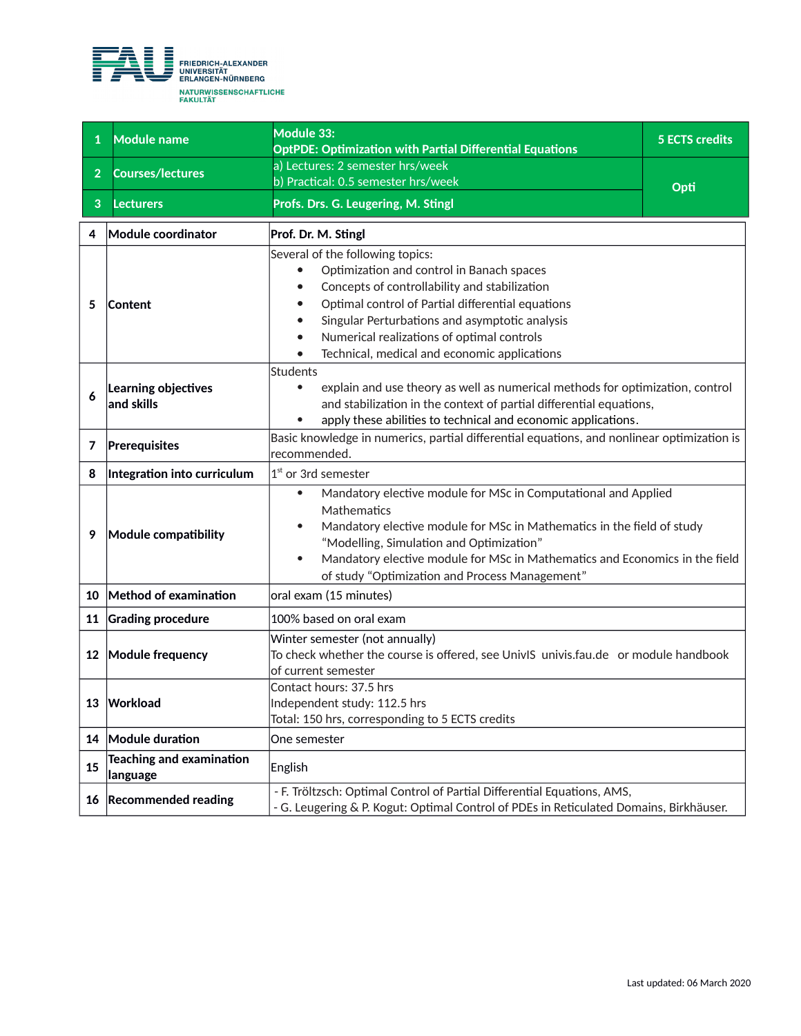

| $\mathbf{1}$   | <b>Module name</b>                          | Module 33:<br><b>OptPDE: Optimization with Partial Differential Equations</b>                                                                                                                                                                                                                                                                                  | <b>5 ECTS credits</b> |
|----------------|---------------------------------------------|----------------------------------------------------------------------------------------------------------------------------------------------------------------------------------------------------------------------------------------------------------------------------------------------------------------------------------------------------------------|-----------------------|
| 2 <sup>1</sup> | <b>Courses/lectures</b>                     | a) Lectures: 2 semester hrs/week<br>b) Practical: 0.5 semester hrs/week                                                                                                                                                                                                                                                                                        | Opti                  |
| 3              | <b>Lecturers</b>                            | Profs. Drs. G. Leugering, M. Stingl                                                                                                                                                                                                                                                                                                                            |                       |
| 4              | Module coordinator                          | Prof. Dr. M. Stingl                                                                                                                                                                                                                                                                                                                                            |                       |
| 5              | <b>Content</b>                              | Several of the following topics:<br>Optimization and control in Banach spaces<br>Concepts of controllability and stabilization<br>Optimal control of Partial differential equations<br>Singular Perturbations and asymptotic analysis<br>Numerical realizations of optimal controls<br>Technical, medical and economic applications                            |                       |
| 6              | Learning objectives<br>and skills           | <b>Students</b><br>explain and use theory as well as numerical methods for optimization, control<br>$\bullet$<br>and stabilization in the context of partial differential equations,<br>apply these abilities to technical and economic applications.                                                                                                          |                       |
| 7              | Prerequisites                               | Basic knowledge in numerics, partial differential equations, and nonlinear optimization is<br>recommended.                                                                                                                                                                                                                                                     |                       |
| 8              | Integration into curriculum                 | $1st$ or 3rd semester                                                                                                                                                                                                                                                                                                                                          |                       |
| 9              | Module compatibility                        | Mandatory elective module for MSc in Computational and Applied<br>$\bullet$<br>Mathematics<br>Mandatory elective module for MSc in Mathematics in the field of study<br>"Modelling, Simulation and Optimization"<br>Mandatory elective module for MSc in Mathematics and Economics in the field<br>$\bullet$<br>of study "Optimization and Process Management" |                       |
| 10             | Method of examination                       | oral exam (15 minutes)                                                                                                                                                                                                                                                                                                                                         |                       |
| 11             | <b>Grading procedure</b>                    | 100% based on oral exam                                                                                                                                                                                                                                                                                                                                        |                       |
|                | 12 Module frequency                         | Winter semester (not annually)<br>To check whether the course is offered, see UnivIS univis.fau.de or module handbook<br>of current semester                                                                                                                                                                                                                   |                       |
|                | 13 Workload                                 | Contact hours: 37.5 hrs<br>Independent study: 112.5 hrs<br>Total: 150 hrs, corresponding to 5 ECTS credits                                                                                                                                                                                                                                                     |                       |
|                | 14 Module duration                          | One semester                                                                                                                                                                                                                                                                                                                                                   |                       |
| 15             | <b>Teaching and examination</b><br>language | English                                                                                                                                                                                                                                                                                                                                                        |                       |
| 16             | <b>Recommended reading</b>                  | - F. Tröltzsch: Optimal Control of Partial Differential Equations, AMS,<br>- G. Leugering & P. Kogut: Optimal Control of PDEs in Reticulated Domains, Birkhäuser.                                                                                                                                                                                              |                       |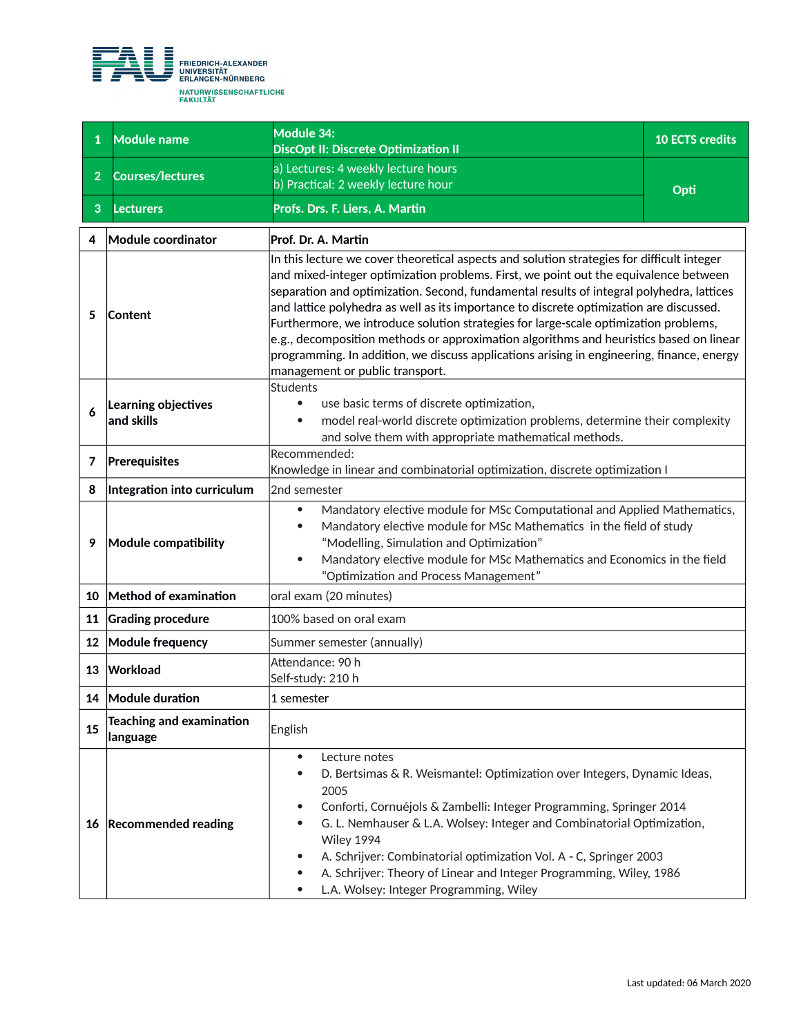

| $\mathbf{1}$   | Module name                                 | Module 34:<br>DiscOpt II: Discrete Optimization II                                                                                                                                                                                                                                                                                                                                                                                                                                                                                                                                                                                                                                                | <b>10 ECTS credits</b> |
|----------------|---------------------------------------------|---------------------------------------------------------------------------------------------------------------------------------------------------------------------------------------------------------------------------------------------------------------------------------------------------------------------------------------------------------------------------------------------------------------------------------------------------------------------------------------------------------------------------------------------------------------------------------------------------------------------------------------------------------------------------------------------------|------------------------|
| $\overline{2}$ | <b>Courses/lectures</b>                     | a) Lectures: 4 weekly lecture hours<br>b) Practical: 2 weekly lecture hour                                                                                                                                                                                                                                                                                                                                                                                                                                                                                                                                                                                                                        |                        |
| 3              | <b>Lecturers</b>                            | Profs. Drs. F. Liers, A. Martin                                                                                                                                                                                                                                                                                                                                                                                                                                                                                                                                                                                                                                                                   | Opti                   |
| 4              | Module coordinator                          | Prof. Dr. A. Martin                                                                                                                                                                                                                                                                                                                                                                                                                                                                                                                                                                                                                                                                               |                        |
| 5              | Content                                     | In this lecture we cover theoretical aspects and solution strategies for difficult integer<br>$ $ and mixed-integer optimization problems. First, we point out the equivalence between<br>separation and optimization. Second, fundamental results of integral polyhedra, lattices<br>and lattice polyhedra as well as its importance to discrete optimization are discussed.<br>Furthermore, we introduce solution strategies for large-scale optimization problems,<br>$e.g.,$ decomposition methods or approximation algorithms and heuristics based on linear<br>programming. In addition, we discuss applications arising in engineering, finance, energy<br>management or public transport. |                        |
| 6              | Learning objectives<br>and skills           | Students<br>use basic terms of discrete optimization,<br>model real-world discrete optimization problems, determine their complexity<br>and solve them with appropriate mathematical methods.                                                                                                                                                                                                                                                                                                                                                                                                                                                                                                     |                        |
| 7              | Prerequisites                               | Recommended:<br>Knowledge in linear and combinatorial optimization, discrete optimization I                                                                                                                                                                                                                                                                                                                                                                                                                                                                                                                                                                                                       |                        |
| 8              | Integration into curriculum                 | 2nd semester                                                                                                                                                                                                                                                                                                                                                                                                                                                                                                                                                                                                                                                                                      |                        |
| 9              | Module compatibility                        | Mandatory elective module for MSc Computational and Applied Mathematics,<br>$\bullet$<br>Mandatory elective module for MSc Mathematics in the field of study<br>"Modelling, Simulation and Optimization"<br>Mandatory elective module for MSc Mathematics and Economics in the field<br>$\bullet$<br>"Optimization and Process Management"                                                                                                                                                                                                                                                                                                                                                        |                        |
| 10             | Method of examination                       | oral exam (20 minutes)                                                                                                                                                                                                                                                                                                                                                                                                                                                                                                                                                                                                                                                                            |                        |
| 11             | <b>Grading procedure</b>                    | 100% based on oral exam                                                                                                                                                                                                                                                                                                                                                                                                                                                                                                                                                                                                                                                                           |                        |
| 12             | <b>Module frequency</b>                     | Summer semester (annually)                                                                                                                                                                                                                                                                                                                                                                                                                                                                                                                                                                                                                                                                        |                        |
| 13             | Workload                                    | Attendance: 90 h<br>Self-study: 210 h                                                                                                                                                                                                                                                                                                                                                                                                                                                                                                                                                                                                                                                             |                        |
|                | 14 Module duration                          | 1 semester                                                                                                                                                                                                                                                                                                                                                                                                                                                                                                                                                                                                                                                                                        |                        |
| 15             | <b>Teaching and examination</b><br>language | English                                                                                                                                                                                                                                                                                                                                                                                                                                                                                                                                                                                                                                                                                           |                        |
|                | 16 Recommended reading                      | Lecture notes<br>$\bullet$<br>D. Bertsimas & R. Weismantel: Optimization over Integers, Dynamic Ideas,<br>2005<br>Conforti, Cornuéjols & Zambelli: Integer Programming, Springer 2014<br>G. L. Nemhauser & L.A. Wolsey: Integer and Combinatorial Optimization,<br>Wiley 1994<br>A. Schrijver: Combinatorial optimization Vol. A - C, Springer 2003<br>A. Schrijver: Theory of Linear and Integer Programming, Wiley, 1986<br>L.A. Wolsey: Integer Programming, Wiley                                                                                                                                                                                                                             |                        |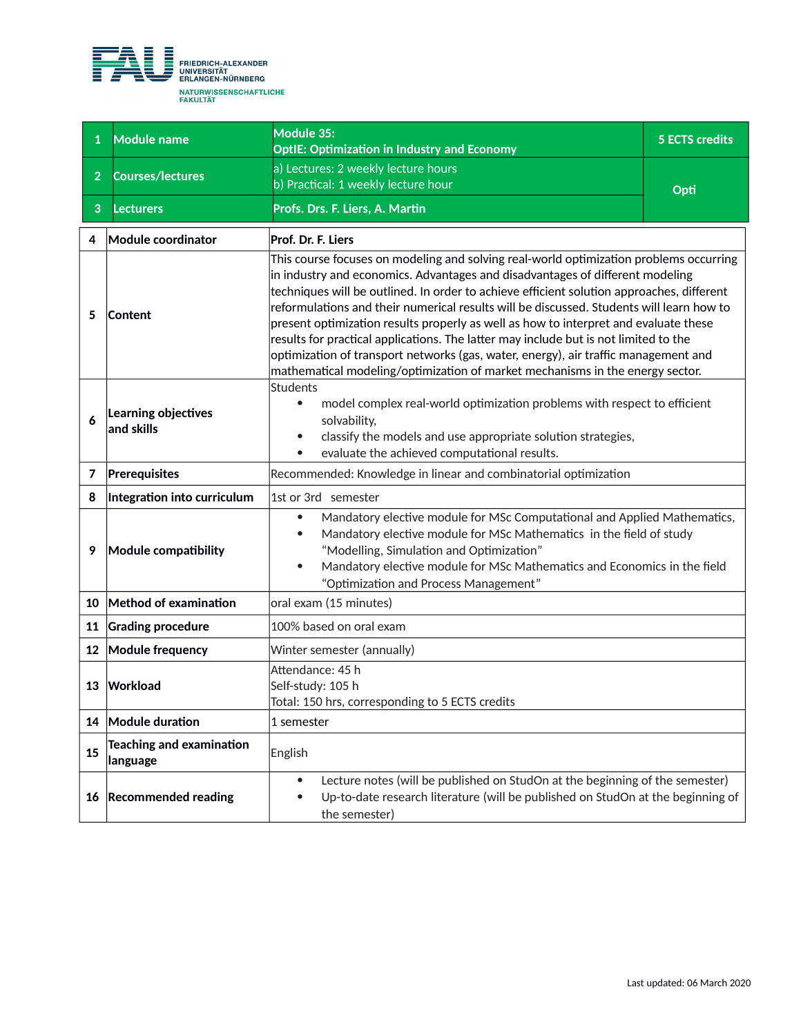

| $\mathbf{1}$   | <b>Module name</b>                                                                                                                                                                                                                       | Module 35:<br><b>OptIE: Optimization in Industry and Economy</b>                                                                                                                                                                                                                                                                                                                                                                                                                                                                                                                                                                                                                                                         | <b>5 ECTS credits</b> |
|----------------|------------------------------------------------------------------------------------------------------------------------------------------------------------------------------------------------------------------------------------------|--------------------------------------------------------------------------------------------------------------------------------------------------------------------------------------------------------------------------------------------------------------------------------------------------------------------------------------------------------------------------------------------------------------------------------------------------------------------------------------------------------------------------------------------------------------------------------------------------------------------------------------------------------------------------------------------------------------------------|-----------------------|
| 2 <sup>1</sup> | <b>Courses/lectures</b>                                                                                                                                                                                                                  | a) Lectures: 2 weekly lecture hours<br>b) Practical: 1 weekly lecture hour                                                                                                                                                                                                                                                                                                                                                                                                                                                                                                                                                                                                                                               | Opti                  |
| 3              | <b>Lecturers</b>                                                                                                                                                                                                                         | Profs. Drs. F. Liers, A. Martin                                                                                                                                                                                                                                                                                                                                                                                                                                                                                                                                                                                                                                                                                          |                       |
| 4              | Module coordinator                                                                                                                                                                                                                       | Prof. Dr. F. Liers                                                                                                                                                                                                                                                                                                                                                                                                                                                                                                                                                                                                                                                                                                       |                       |
| 5              | Content                                                                                                                                                                                                                                  | This course focuses on modeling and solving real-world optimization problems occurring<br>in industry and economics. Advantages and disadvantages of different modeling<br>techniques will be outlined. In order to achieve efficient solution approaches, different<br>reformulations and their numerical results will be discussed. Students will learn how to<br>present optimization results properly as well as how to interpret and evaluate these<br>results for practical applications. The latter may include but is not limited to the<br>optimization of transport networks (gas, water, energy), air traffic management and<br>mathematical modeling/optimization of market mechanisms in the energy sector. |                       |
| 6              | Learning objectives<br>and skills                                                                                                                                                                                                        | Students<br>model complex real-world optimization problems with respect to efficient<br>$\bullet$<br>solvability,<br>classify the models and use appropriate solution strategies,<br>$\bullet$<br>evaluate the achieved computational results.                                                                                                                                                                                                                                                                                                                                                                                                                                                                           |                       |
| 7              | Prerequisites                                                                                                                                                                                                                            | Recommended: Knowledge in linear and combinatorial optimization                                                                                                                                                                                                                                                                                                                                                                                                                                                                                                                                                                                                                                                          |                       |
| 8              | Integration into curriculum                                                                                                                                                                                                              | 1st or 3rd semester                                                                                                                                                                                                                                                                                                                                                                                                                                                                                                                                                                                                                                                                                                      |                       |
| 9              | Module compatibility                                                                                                                                                                                                                     | Mandatory elective module for MSc Computational and Applied Mathematics,<br>$\bullet$<br>Mandatory elective module for MSc Mathematics in the field of study<br>"Modelling, Simulation and Optimization"<br>Mandatory elective module for MSc Mathematics and Economics in the field<br>$\bullet$<br>"Optimization and Process Management"                                                                                                                                                                                                                                                                                                                                                                               |                       |
| 10             | Method of examination                                                                                                                                                                                                                    | oral exam (15 minutes)                                                                                                                                                                                                                                                                                                                                                                                                                                                                                                                                                                                                                                                                                                   |                       |
| 11             | <b>Grading procedure</b>                                                                                                                                                                                                                 | 100% based on oral exam                                                                                                                                                                                                                                                                                                                                                                                                                                                                                                                                                                                                                                                                                                  |                       |
| 12             | <b>Module frequency</b>                                                                                                                                                                                                                  | Winter semester (annually)                                                                                                                                                                                                                                                                                                                                                                                                                                                                                                                                                                                                                                                                                               |                       |
| 13             | Workload                                                                                                                                                                                                                                 | Attendance: 45 h<br>Self-study: 105 h<br>Total: 150 hrs, corresponding to 5 ECTS credits                                                                                                                                                                                                                                                                                                                                                                                                                                                                                                                                                                                                                                 |                       |
| 14             | Module duration                                                                                                                                                                                                                          | 1 semester                                                                                                                                                                                                                                                                                                                                                                                                                                                                                                                                                                                                                                                                                                               |                       |
| 15             | <b>Teaching and examination</b><br>language                                                                                                                                                                                              | English                                                                                                                                                                                                                                                                                                                                                                                                                                                                                                                                                                                                                                                                                                                  |                       |
| 16             | Lecture notes (will be published on StudOn at the beginning of the semester)<br>$\bullet$<br><b>Recommended reading</b><br>Up-to-date research literature (will be published on StudOn at the beginning of<br>$\bullet$<br>the semester) |                                                                                                                                                                                                                                                                                                                                                                                                                                                                                                                                                                                                                                                                                                                          |                       |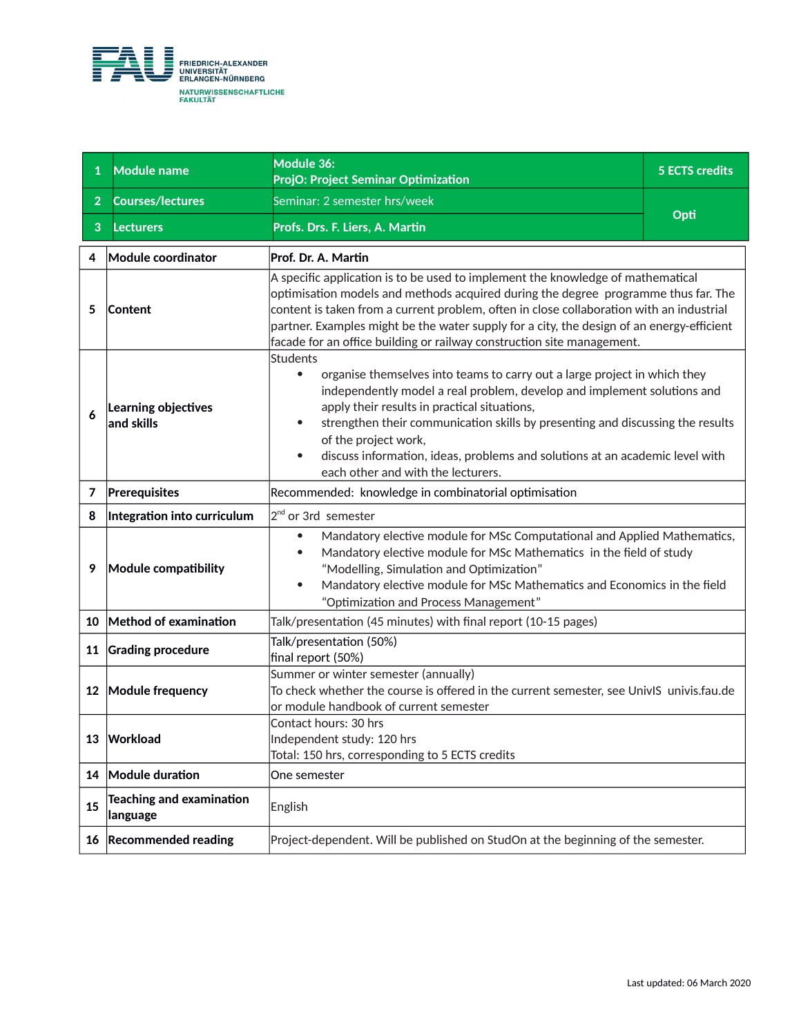

| 1              | <b>Module name</b>                          | Module 36:<br>ProjO: Project Seminar Optimization                                                                                                                                                                                                                                                                                                                                                                                                                                 | <b>5 ECTS credits</b> |
|----------------|---------------------------------------------|-----------------------------------------------------------------------------------------------------------------------------------------------------------------------------------------------------------------------------------------------------------------------------------------------------------------------------------------------------------------------------------------------------------------------------------------------------------------------------------|-----------------------|
| $\overline{2}$ | <b>Courses/lectures</b>                     | Seminar: 2 semester hrs/week                                                                                                                                                                                                                                                                                                                                                                                                                                                      |                       |
| 3              | <b>Lecturers</b>                            | Profs. Drs. F. Liers, A. Martin                                                                                                                                                                                                                                                                                                                                                                                                                                                   | Opti                  |
| 4              | Module coordinator                          | Prof. Dr. A. Martin                                                                                                                                                                                                                                                                                                                                                                                                                                                               |                       |
| 5              | Content                                     | A specific application is to be used to implement the knowledge of mathematical<br>optimisation models and methods acquired during the degree programme thus far. The<br>content is taken from a current problem, often in close collaboration with an industrial<br>partner. Examples might be the water supply for a city, the design of an energy-efficient<br>facade for an office building or railway construction site management.                                          |                       |
| 6              | Learning objectives<br>and skills           | <b>Students</b><br>organise themselves into teams to carry out a large project in which they<br>$\bullet$<br>independently model a real problem, develop and implement solutions and<br>apply their results in practical situations,<br>strengthen their communication skills by presenting and discussing the results<br>$\bullet$<br>of the project work,<br>discuss information, ideas, problems and solutions at an academic level with<br>each other and with the lecturers. |                       |
| 7              | Prerequisites                               | Recommended: knowledge in combinatorial optimisation                                                                                                                                                                                                                                                                                                                                                                                                                              |                       |
| 8              | Integration into curriculum                 | 2 <sup>nd</sup> or 3rd semester                                                                                                                                                                                                                                                                                                                                                                                                                                                   |                       |
| 9              | Module compatibility                        | Mandatory elective module for MSc Computational and Applied Mathematics,<br>Mandatory elective module for MSc Mathematics in the field of study<br>"Modelling, Simulation and Optimization"<br>Mandatory elective module for MSc Mathematics and Economics in the field<br>"Optimization and Process Management"                                                                                                                                                                  |                       |
|                | 10 Method of examination                    | Talk/presentation (45 minutes) with final report (10-15 pages)                                                                                                                                                                                                                                                                                                                                                                                                                    |                       |
|                | 11 Grading procedure                        | Talk/presentation (50%)<br>final report (50%)                                                                                                                                                                                                                                                                                                                                                                                                                                     |                       |
|                | 12 Module frequency                         | Summer or winter semester (annually)<br>To check whether the course is offered in the current semester, see UnivIS univis.fau.de<br>or module handbook of current semester                                                                                                                                                                                                                                                                                                        |                       |
| 13             | Workload                                    | Contact hours: 30 hrs<br>Independent study: 120 hrs<br>Total: 150 hrs, corresponding to 5 ECTS credits                                                                                                                                                                                                                                                                                                                                                                            |                       |
|                | 14 Module duration                          | One semester                                                                                                                                                                                                                                                                                                                                                                                                                                                                      |                       |
| 15             | <b>Teaching and examination</b><br>language | English                                                                                                                                                                                                                                                                                                                                                                                                                                                                           |                       |
|                | 16 Recommended reading                      | Project-dependent. Will be published on StudOn at the beginning of the semester.                                                                                                                                                                                                                                                                                                                                                                                                  |                       |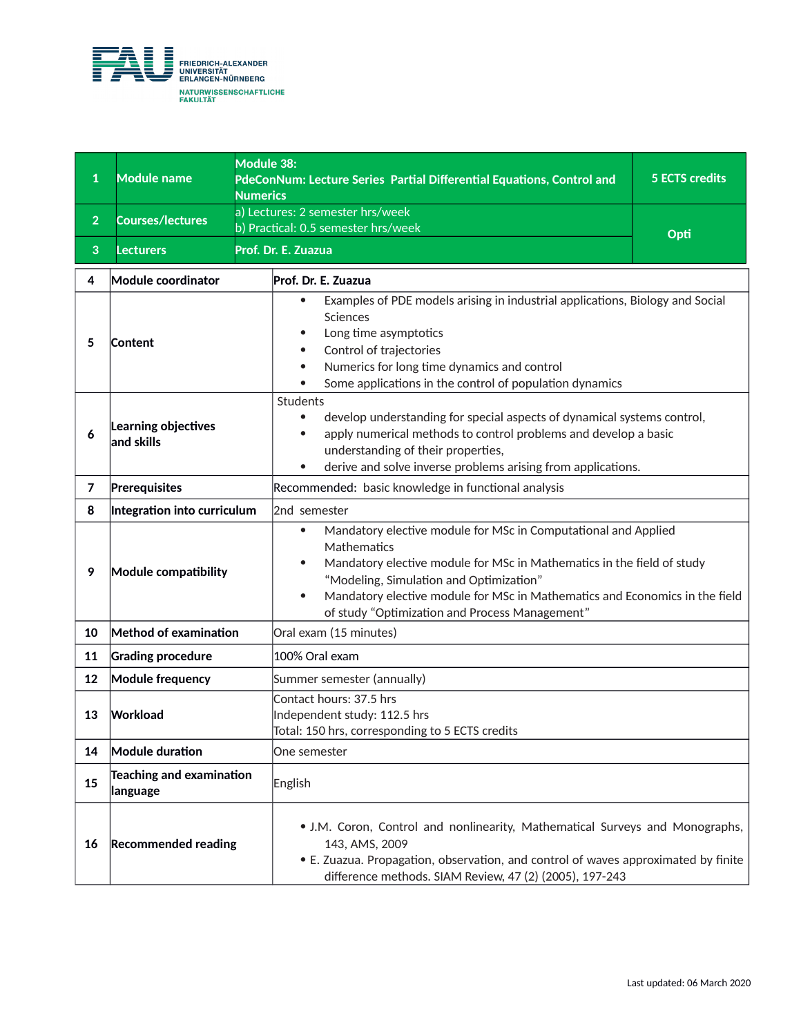

| 1              | <b>Module name</b><br><b>Numerics</b>       | Module 38:<br>PdeConNum: Lecture Series Partial Differential Equations, Control and                                                                                                                                                                                                                                                                                        | <b>5 ECTS credits</b> |
|----------------|---------------------------------------------|----------------------------------------------------------------------------------------------------------------------------------------------------------------------------------------------------------------------------------------------------------------------------------------------------------------------------------------------------------------------------|-----------------------|
| $\overline{2}$ | <b>Courses/lectures</b>                     | a) Lectures: 2 semester hrs/week<br>b) Practical: 0.5 semester hrs/week                                                                                                                                                                                                                                                                                                    |                       |
| 3              | <b>Lecturers</b>                            | Prof. Dr. E. Zuazua                                                                                                                                                                                                                                                                                                                                                        | Opti                  |
| 4              | <b>Module coordinator</b>                   | Prof. Dr. E. Zuazua                                                                                                                                                                                                                                                                                                                                                        |                       |
| 5              | Content                                     | Examples of PDE models arising in industrial applications, Biology and Social<br>$\bullet$<br>Sciences<br>Long time asymptotics<br>٠<br>Control of trajectories<br>٠<br>Numerics for long time dynamics and control<br>$\bullet$<br>Some applications in the control of population dynamics                                                                                |                       |
| 6              | Learning objectives<br>$ $ and skills       | Students<br>develop understanding for special aspects of dynamical systems control,<br>٠<br>apply numerical methods to control problems and develop a basic<br>$\bullet$<br>understanding of their properties,<br>derive and solve inverse problems arising from applications.<br>$\bullet$                                                                                |                       |
| 7              | Prerequisites                               | Recommended: basic knowledge in functional analysis                                                                                                                                                                                                                                                                                                                        |                       |
| 8              | Integration into curriculum                 | 2nd semester                                                                                                                                                                                                                                                                                                                                                               |                       |
| 9              | Module compatibility                        | Mandatory elective module for MSc in Computational and Applied<br>$\bullet$<br>Mathematics<br>Mandatory elective module for MSc in Mathematics in the field of study<br>$\bullet$<br>"Modeling, Simulation and Optimization"<br>Mandatory elective module for MSc in Mathematics and Economics in the field<br>$\bullet$<br>of study "Optimization and Process Management" |                       |
| 10             | Method of examination                       | Oral exam (15 minutes)                                                                                                                                                                                                                                                                                                                                                     |                       |
| 11             | <b>Grading procedure</b>                    | 100% Oral exam                                                                                                                                                                                                                                                                                                                                                             |                       |
| 12             | <b>Module frequency</b>                     | Summer semester (annually)                                                                                                                                                                                                                                                                                                                                                 |                       |
| 13             | Workload                                    | Contact hours: 37.5 hrs<br>Independent study: 112.5 hrs<br>Total: 150 hrs, corresponding to 5 ECTS credits                                                                                                                                                                                                                                                                 |                       |
| 14             | Module duration                             | One semester                                                                                                                                                                                                                                                                                                                                                               |                       |
| 15             | <b>Teaching and examination</b><br>language | English                                                                                                                                                                                                                                                                                                                                                                    |                       |
| 16             | <b>Recommended reading</b>                  | • J.M. Coron, Control and nonlinearity, Mathematical Surveys and Monographs,<br>143, AMS, 2009<br>• E. Zuazua. Propagation, observation, and control of waves approximated by finite<br>difference methods. SIAM Review, 47 (2) (2005), 197-243                                                                                                                            |                       |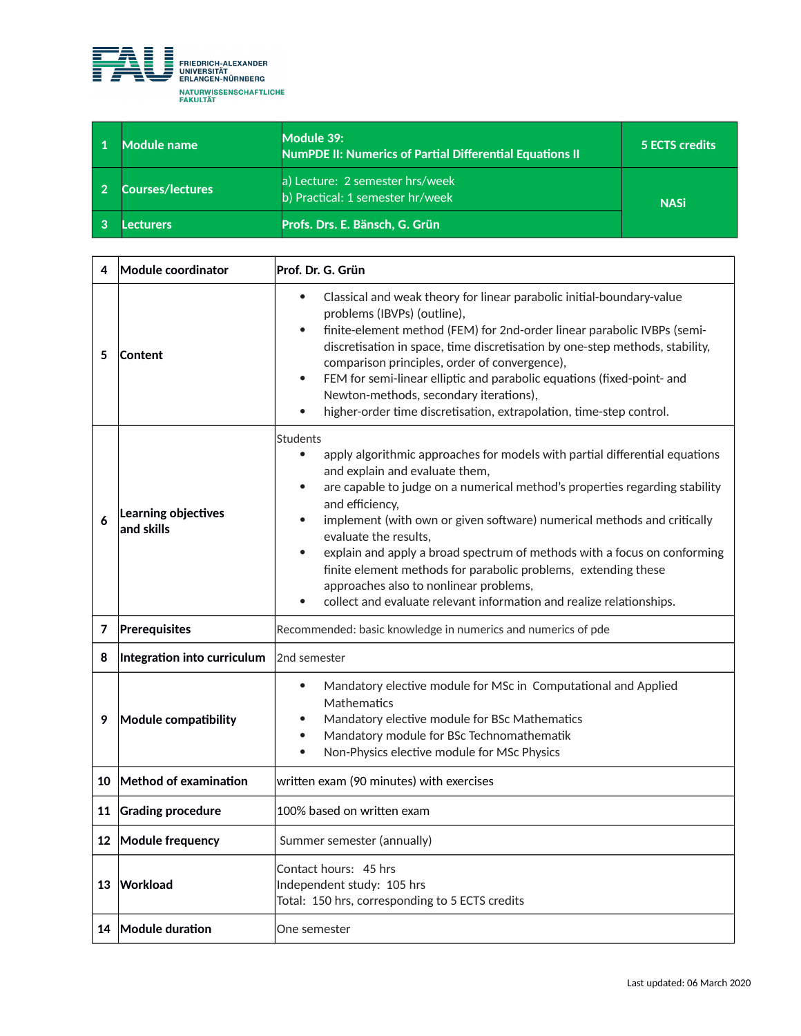

| Module name             | Module 39:<br><b>NumPDE II: Numerics of Partial Differential Equations II</b> | <b>5 ECTS credits</b> |
|-------------------------|-------------------------------------------------------------------------------|-----------------------|
| <b>Courses/lectures</b> | a) Lecture: 2 semester hrs/week<br>b) Practical: 1 semester hr/week           | <b>NASi</b>           |
| .ecturers               | Profs. Drs. E. Bänsch, G. Grün                                                |                       |

| 4                | Module coordinator                | Prof. Dr. G. Grün                                                                                                                                                                                                                                                                                                                                                                                                                                                                                                                                                                                                                             |  |
|------------------|-----------------------------------|-----------------------------------------------------------------------------------------------------------------------------------------------------------------------------------------------------------------------------------------------------------------------------------------------------------------------------------------------------------------------------------------------------------------------------------------------------------------------------------------------------------------------------------------------------------------------------------------------------------------------------------------------|--|
| 5                | <b>Content</b>                    | Classical and weak theory for linear parabolic initial-boundary-value<br>$\bullet$<br>problems (IBVPs) (outline),<br>finite-element method (FEM) for 2nd-order linear parabolic IVBPs (semi-<br>discretisation in space, time discretisation by one-step methods, stability,<br>comparison principles, order of convergence),<br>FEM for semi-linear elliptic and parabolic equations (fixed-point- and<br>$\bullet$<br>Newton-methods, secondary iterations),<br>higher-order time discretisation, extrapolation, time-step control.<br>$\bullet$                                                                                            |  |
| 6                | Learning objectives<br>and skills | <b>Students</b><br>apply algorithmic approaches for models with partial differential equations<br>$\bullet$<br>and explain and evaluate them,<br>are capable to judge on a numerical method's properties regarding stability<br>$\bullet$<br>and efficiency,<br>implement (with own or given software) numerical methods and critically<br>evaluate the results,<br>explain and apply a broad spectrum of methods with a focus on conforming<br>$\bullet$<br>finite element methods for parabolic problems, extending these<br>approaches also to nonlinear problems,<br>collect and evaluate relevant information and realize relationships. |  |
| 7                | Prerequisites                     | Recommended: basic knowledge in numerics and numerics of pde                                                                                                                                                                                                                                                                                                                                                                                                                                                                                                                                                                                  |  |
| 8                | Integration into curriculum       | 2nd semester                                                                                                                                                                                                                                                                                                                                                                                                                                                                                                                                                                                                                                  |  |
| 9                | Module compatibility              | Mandatory elective module for MSc in Computational and Applied<br>$\bullet$<br>Mathematics<br>Mandatory elective module for BSc Mathematics<br>Mandatory module for BSc Technomathematik<br>$\bullet$<br>Non-Physics elective module for MSc Physics<br>$\bullet$                                                                                                                                                                                                                                                                                                                                                                             |  |
|                  | 10 Method of examination          | written exam (90 minutes) with exercises                                                                                                                                                                                                                                                                                                                                                                                                                                                                                                                                                                                                      |  |
| 11               | <b>Grading procedure</b>          | 100% based on written exam                                                                                                                                                                                                                                                                                                                                                                                                                                                                                                                                                                                                                    |  |
| 12 <sup>12</sup> | Module frequency                  | Summer semester (annually)                                                                                                                                                                                                                                                                                                                                                                                                                                                                                                                                                                                                                    |  |
| 13               | Workload                          | Contact hours: 45 hrs<br>Independent study: 105 hrs<br>Total: 150 hrs, corresponding to 5 ECTS credits                                                                                                                                                                                                                                                                                                                                                                                                                                                                                                                                        |  |
|                  | 14 Module duration                | One semester                                                                                                                                                                                                                                                                                                                                                                                                                                                                                                                                                                                                                                  |  |